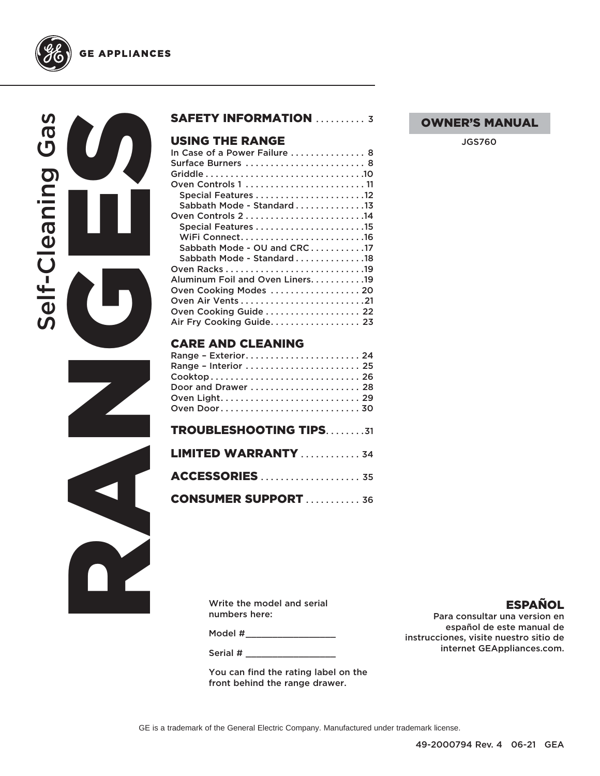



**GE APPLIANCES** 



### SAFETY INFORMATION ........... 3

### USING THE RANGE

| In Case of a Power Failure 8      |
|-----------------------------------|
| Surface Burners  8                |
|                                   |
|                                   |
| Special Features 12               |
| Sabbath Mode - Standard 13        |
|                                   |
|                                   |
|                                   |
| Sabbath Mode - OU and CRC17       |
| Sabbath Mode - Standard 18        |
|                                   |
| Aluminum Foil and Oven Liners. 19 |
| Oven Cooking Modes  20            |
|                                   |
| Oven Cooking Guide 22             |
| Air Fry Cooking Guide 23          |
|                                   |

### CARE AND CLEANING

| Range - Exterior 24           |  |
|-------------------------------|--|
| Range - Interior  25          |  |
|                               |  |
| Door and Drawer  28           |  |
|                               |  |
|                               |  |
| <b>TROUBLESHOOTING TIPS31</b> |  |
| <b>LIMITED WARRANTY</b> 34    |  |
| <b>ACCESSORIES</b> 35         |  |
| <b>CONSUMER SUPPORT</b> 36    |  |

### OWNER'S MANUAL

JGS760

Write the model and serial numbers here:

Model #\_\_\_\_\_\_\_\_\_\_\_\_\_\_\_\_\_\_\_\_\_\_

Serial #

You can find the rating label on the front behind the range drawer.

ESPAÑOL

Para consultar una version en español de este manual de instrucciones, visite nuestro sitio de internet GEAppliances.com.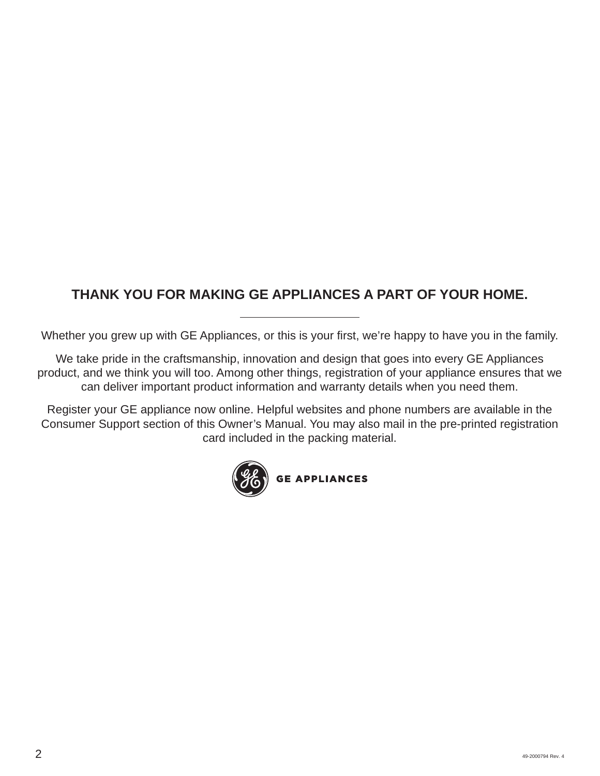### **THANK YOU FOR MAKING GE APPLIANCES A PART OF YOUR HOME.**

Whether you grew up with GE Appliances, or this is your first, we're happy to have you in the family.

We take pride in the craftsmanship, innovation and design that goes into every GE Appliances product, and we think you will too. Among other things, registration of your appliance ensures that we can deliver important product information and warranty details when you need them.

Register your GE appliance now online. Helpful websites and phone numbers are available in the Consumer Support section of this Owner's Manual. You may also mail in the pre-printed registration card included in the packing material.

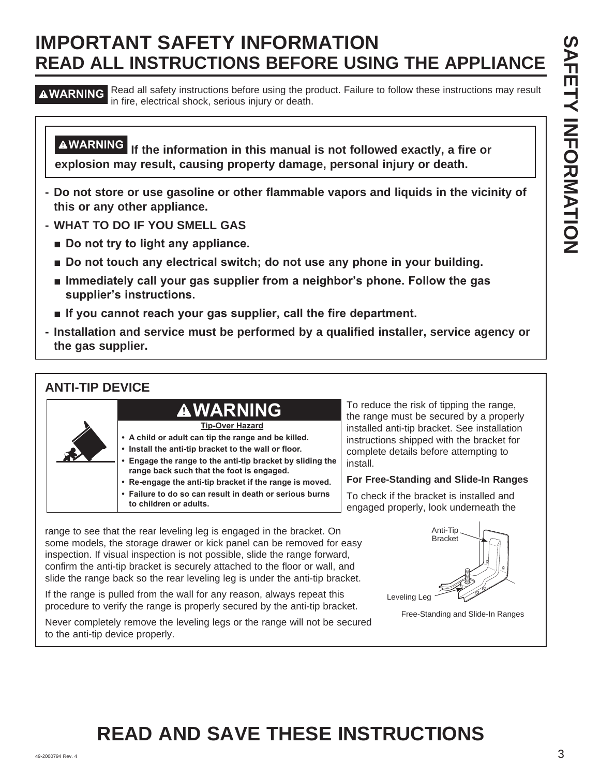**A WARNING** Read all safety instructions before using the product. Failure to follow these instructions may result in fire, electrical shock, serious injury or death.

**WARNING If the information in this manual is not followed exactly, a fire or explosion may result, causing property damage, personal injury or death.**

- **Do not store or use gasoline or other flammable vapors and liquids in the vicinity of this or any other appliance.**
- **WHAT TO DO IF YOU SMELL GAS**
	- **E** Do not try to light any appliance.
	- $\blacksquare$  Do not touch any electrical switch; do not use any phone in your building.
	- **E** Immediately call your gas supplier from a neighbor's phone. Follow the gas supplier's instructions.
	- **If you cannot reach your gas supplier, call the fire department.**
- **Installation and service must be performed by a qualified installer, service agency or the gas supplier.**

### **ANTI-TIP DEVICE**



To reduce the risk of tipping the range, the range must be secured by a properly installed anti-tip bracket. See installation instructions shipped with the bracket for complete details before attempting to install.

### **For Free-Standing and Slide-In Ranges**

To check if the bracket is installed and engaged properly, look underneath the

range to see that the rear leveling leg is engaged in the bracket. On some models, the storage drawer or kick panel can be removed for easy inspection. If visual inspection is not possible, slide the range forward, confirm the anti-tip bracket is securely attached to the floor or wall, and slide the range back so the rear leveling leg is under the anti-tip bracket.

If the range is pulled from the wall for any reason, always repeat this procedure to verify the range is properly secured by the anti-tip bracket.

Never completely remove the leveling legs or the range will not be secured to the anti-tip device properly.



Free-Standing and Slide-In Ranges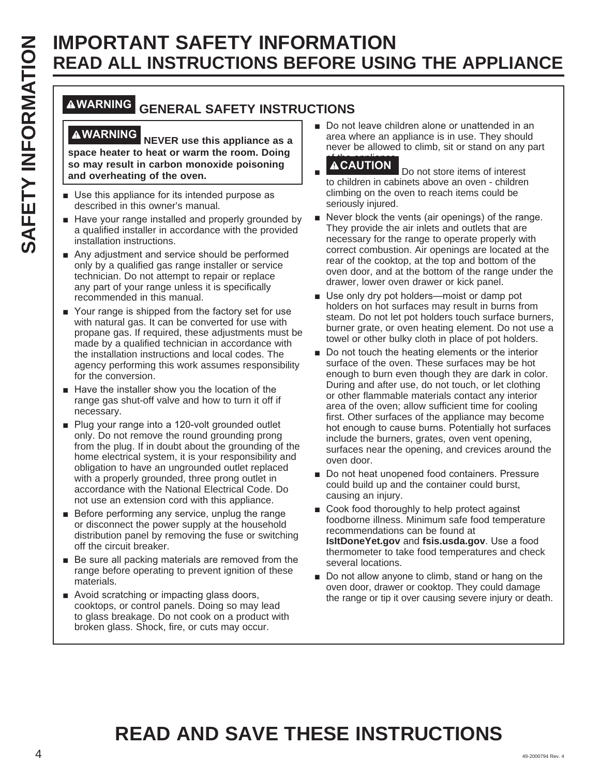### **WARNING GENERAL SAFETY INSTRUCTIONS**

**WARNING NEVER use this appliance as a space heater to heat or warm the room. Doing so may result in carbon monoxide poisoning and overheating of the oven.**

- Use this appliance for its intended purpose as described in this owner's manual.
- Have your range installed and properly grounded by a qualified installer in accordance with the provided installation instructions.
- $\blacksquare$  Any adjustment and service should be performed only by a qualified gas range installer or service technician. Do not attempt to repair or replace any part of your range unless it is specifically recommended in this manual.
- Your range is shipped from the factory set for use with natural gas. It can be converted for use with propane gas. If required, these adjustments must be made by a qualified technician in accordance with the installation instructions and local codes. The agency performing this work assumes responsibility for the conversion.
- $\blacksquare$  Have the installer show you the location of the range gas shut-off valve and how to turn it off if necessary.
- Plug your range into a 120-volt grounded outlet only. Do not remove the round grounding prong from the plug. If in doubt about the grounding of the home electrical system, it is your responsibility and obligation to have an ungrounded outlet replaced with a properly grounded, three prong outlet in accordance with the National Electrical Code. Do not use an extension cord with this appliance.
- $\blacksquare$  Before performing any service, unplug the range or disconnect the power supply at the household distribution panel by removing the fuse or switching off the circuit breaker.
- $\blacksquare$  Be sure all packing materials are removed from the range before operating to prevent ignition of these materials.
- Avoid scratching or impacting glass doors, cooktops, or control panels. Doing so may lead to glass breakage. Do not cook on a product with broken glass. Shock, fire, or cuts may occur.

■ Do not leave children alone or unattended in an area where an appliance is in use. They should never be allowed to climb, sit or stand on any part

### **ACAUTION**

Ŷ Do not store items of interest to children in cabinets above an oven - children climbing on the oven to reach items could be seriously injured.

- Never block the vents (air openings) of the range. They provide the air inlets and outlets that are necessary for the range to operate properly with correct combustion. Air openings are located at the rear of the cooktop, at the top and bottom of the oven door, and at the bottom of the range under the drawer, lower oven drawer or kick panel.
- Use only dry pot holders-moist or damp pot holders on hot surfaces may result in burns from steam. Do not let pot holders touch surface burners, burner grate, or oven heating element. Do not use a towel or other bulky cloth in place of pot holders.
- **EXAMPLE THE SET INFORMATION SECTIONS AND ARREST SECTION SECTION SECTION SECTION SECTION SECTION SECTION SECTION SECTION SECTION SECTION SECTION SECTION SECTION SECTION SECTION SECTION SECTION SECTION SECTION SECTION SECT**  $\blacksquare$  Do not touch the heating elements or the interior surface of the oven. These surfaces may be hot enough to burn even though they are dark in color. During and after use, do not touch, or let clothing or other flammable materials contact any interior area of the oven; allow sufficient time for cooling first. Other surfaces of the appliance may become hot enough to cause burns. Potentially hot surfaces include the burners, grates, oven vent opening, surfaces near the opening, and crevices around the oven door.
	- Do not heat unopened food containers. Pressure could build up and the container could burst, causing an injury.
	- Cook food thoroughly to help protect against foodborne illness. Minimum safe food temperature recommendations can be found at **IsItDoneYet.gov** and **fsis.usda.gov**. Use a food thermometer to take food temperatures and check several locations.
	- Do not allow anyone to climb, stand or hang on the oven door, drawer or cooktop. They could damage the range or tip it over causing severe injury or death.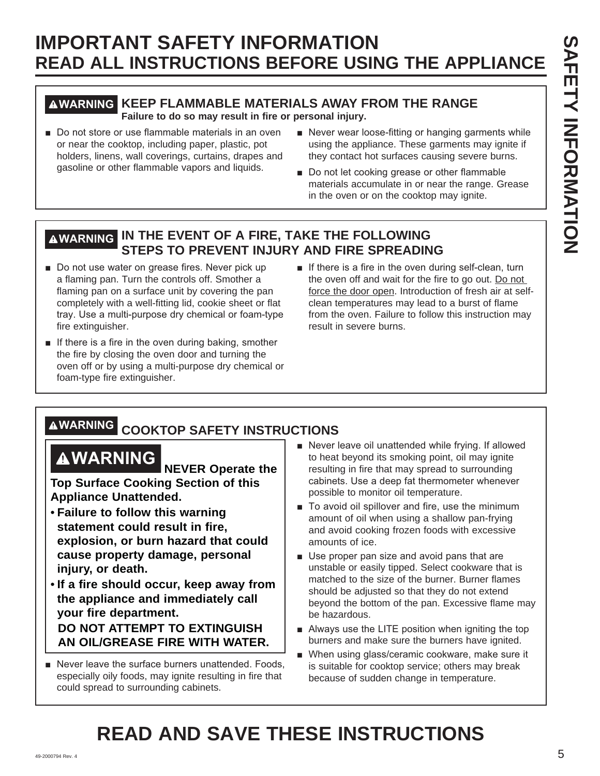### **WARNING KEEP FLAMMABLE MATERIALS AWAY FROM THE RANGE**

**Failure to do so may result in fire or personal injury.**

- Do not store or use flammable materials in an oven or near the cooktop, including paper, plastic, pot holders, linens, wall coverings, curtains, drapes and gasoline or other flammable vapors and liquids.
- Never wear loose-fitting or hanging garments while using the appliance. These garments may ignite if they contact hot surfaces causing severe burns.
- Do not let cooking grease or other flammable materials accumulate in or near the range. Grease in the oven or on the cooktop may ignite.

### **WARNING IN THE EVENT OF A FIRE, TAKE THE FOLLOWING STEPS TO PREVENT INJURY AND FIRE SPREADING**

- Do not use water on grease fires. Never pick up a flaming pan. Turn the controls off. Smother a flaming pan on a surface unit by covering the pan completely with a well-fitting lid, cookie sheet or flat tray. Use a multi-purpose dry chemical or foam-type fire extinguisher.
- $\blacksquare$  If there is a fire in the oven during baking, smother the fire by closing the oven door and turning the oven off or by using a multi-purpose dry chemical or foam-type fire extinguisher.
- $\blacksquare$  If there is a fire in the oven during self-clean, turn the oven off and wait for the fire to go out. Do not force the door open. Introduction of fresh air at selfclean temperatures may lead to a burst of flame from the oven. Failure to follow this instruction may result in severe burns.

# **WARNING COOKTOP SAFETY INSTRUCTIONS**

**WARNING NEVER Operate the Top Surface Cooking Section of this Appliance Unattended.**

- • **Failure to follow this warning statement could result in fire, explosion, or burn hazard that could cause property damage, personal injury, or death.**
- • **If a fire should occur, keep away from the appliance and immediately call your fire department.**

 **DO NOT ATTEMPT TO EXTINGUISH AN OIL/GREASE FIRE WITH WATER.**

Never leave the surface burners unattended. Foods, especially oily foods, may ignite resulting in fire that could spread to surrounding cabinets.

- Never leave oil unattended while frying. If allowed to heat beyond its smoking point, oil may ignite resulting in fire that may spread to surrounding cabinets. Use a deep fat thermometer whenever possible to monitor oil temperature.
- To avoid oil spillover and fire, use the minimum amount of oil when using a shallow pan-frying and avoid cooking frozen foods with excessive amounts of ice.
- Use proper pan size and avoid pans that are unstable or easily tipped. Select cookware that is matched to the size of the burner. Burner flames should be adjusted so that they do not extend beyond the bottom of the pan. Excessive flame may be hazardous.
- $\blacksquare$  Always use the LITE position when igniting the top burners and make sure the burners have ignited.
- When using glass/ceramic cookware, make sure it is suitable for cooktop service; others may break because of sudden change in temperature.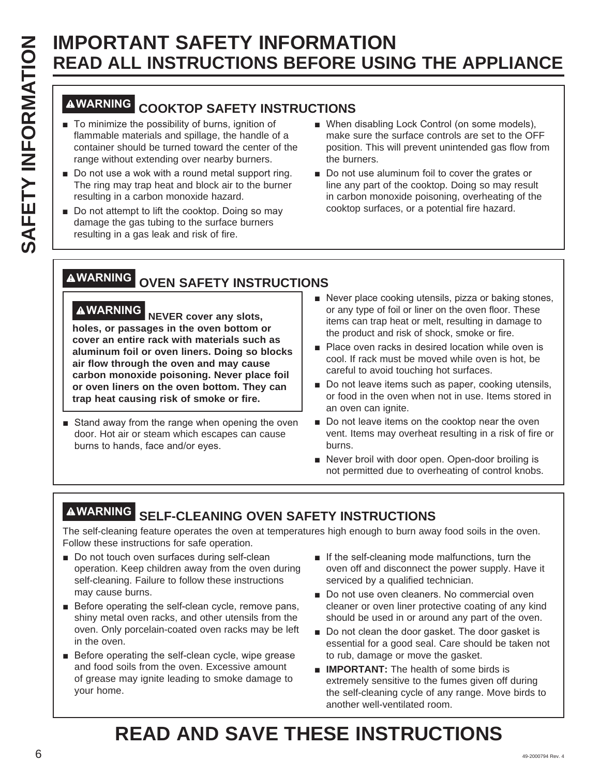# **SAFETY INFORMATION<br>
SAFETY INSTRUCTIONS BEFORE USIN<br>
INFORMATION<br>
INFORMATING COOKTOP SAFETY INSTRUCTIONS<br>
To minimize the possibility of burns, ignition of<br>
flammable materials and spillage, the handle of a<br>
container sh READ ALL INSTRUCTIONS BEFORE USING THE APPLIANCE**

## **WARNING COOKTOP SAFETY INSTRUCTIONS**

- $\blacksquare$  To minimize the possibility of burns, ignition of flammable materials and spillage, the handle of a container should be turned toward the center of the range without extending over nearby burners.
- $\blacksquare$  Do not use a wok with a round metal support ring. The ring may trap heat and block air to the burner resulting in a carbon monoxide hazard.
- Do not attempt to lift the cooktop. Doing so may damage the gas tubing to the surface burners resulting in a gas leak and risk of fire.
- When disabling Lock Control (on some models), make sure the surface controls are set to the OFF position. This will prevent unintended gas flow from the burners.
- Do not use aluminum foil to cover the grates or line any part of the cooktop. Doing so may result in carbon monoxide poisoning, overheating of the cooktop surfaces, or a potential fire hazard.

# **WARNING OVEN SAFETY INSTRUCTIONS**

**WARNING NEVER cover any slots, holes, or passages in the oven bottom or cover an entire rack with materials such as aluminum foil or oven liners. Doing so blocks air flow through the oven and may cause carbon monoxide poisoning. Never place foil or oven liners on the oven bottom. They can trap heat causing risk of smoke or fire.**

- Stand away from the range when opening the oven door. Hot air or steam which escapes can cause burns to hands, face and/or eyes.
- Never place cooking utensils, pizza or baking stones, or any type of foil or liner on the oven floor. These items can trap heat or melt, resulting in damage to the product and risk of shock, smoke or fire.
- **Place oven racks in desired location while oven is** cool. If rack must be moved while oven is hot, be careful to avoid touching hot surfaces.
- Do not leave items such as paper, cooking utensils, or food in the oven when not in use. Items stored in an oven can ignite.
- Do not leave items on the cooktop near the oven vent. Items may overheat resulting in a risk of fire or burns.
- Never broil with door open. Open-door broiling is not permitted due to overheating of control knobs.

# **WARNING SELF-CLEANING OVEN SAFETY INSTRUCTIONS**

The self-cleaning feature operates the oven at temperatures high enough to burn away food soils in the oven. Follow these instructions for safe operation.

- Do not touch oven surfaces during self-clean operation. Keep children away from the oven during self-cleaning. Failure to follow these instructions may cause burns.
- $\blacksquare$  Before operating the self-clean cycle, remove pans, shiny metal oven racks, and other utensils from the oven. Only porcelain-coated oven racks may be left in the oven.
- $\blacksquare$  Before operating the self-clean cycle, wipe grease and food soils from the oven. Excessive amount of grease may ignite leading to smoke damage to your home.
- $\blacksquare$  If the self-cleaning mode malfunctions, turn the oven off and disconnect the power supply. Have it serviced by a qualified technician.
- Do not use oven cleaners. No commercial oven cleaner or oven liner protective coating of any kind should be used in or around any part of the oven.
- Do not clean the door gasket. The door gasket is essential for a good seal. Care should be taken not to rub, damage or move the gasket.
- **IMPORTANT:** The health of some birds is extremely sensitive to the fumes given off during the self-cleaning cycle of any range. Move birds to another well-ventilated room.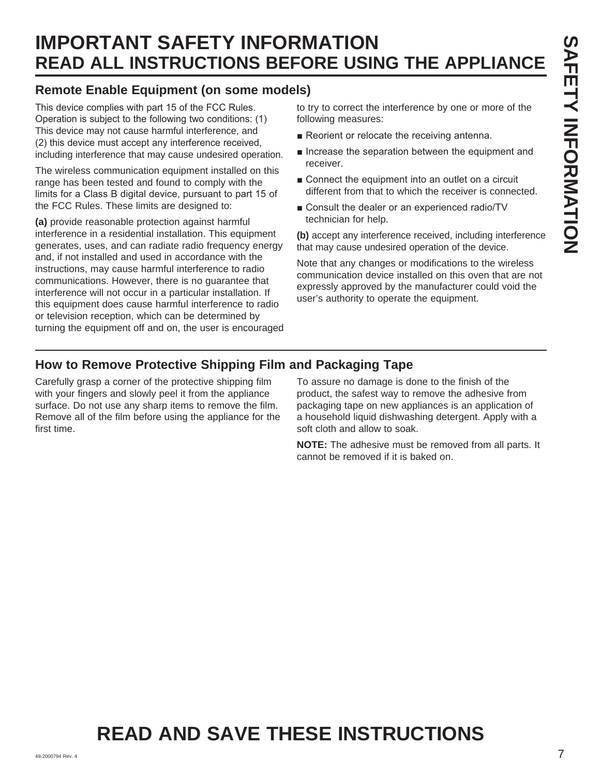### **Remote Enable Equipment (on some models)**

This device complies with part 15 of the FCC Rules. Operation is subject to the following two conditions: (1) This device may not cause harmful interference, and (2) this device must accept any interference received, including interference that may cause undesired operation.

The wireless communication equipment installed on this range has been tested and found to comply with the limits for a Class B digital device, pursuant to part 15 of the FCC Rules. These limits are designed to:

**(a)** provide reasonable protection against harmful interference in a residential installation. This equipment generates, uses, and can radiate radio frequency energy and, if not installed and used in accordance with the instructions, may cause harmful interference to radio communications. However, there is no guarantee that interference will not occur in a particular installation. If this equipment does cause harmful interference to radio or television reception, which can be determined by turning the equipment off and on, the user is encouraged

to try to correct the interference by one or more of the following measures:

- Reorient or relocate the receiving antenna.
- $\blacksquare$  Increase the separation between the equipment and receiver.
- $\blacksquare$  Connect the equipment into an outlet on a circuit different from that to which the receiver is connected.
- Consult the dealer or an experienced radio/TV technician for help.

**(b)** accept any interference received, including interference that may cause undesired operation of the device.

Note that any changes or modifications to the wireless communication device installed on this oven that are not expressly approved by the manufacturer could void the user's authority to operate the equipment.

### **How to Remove Protective Shipping Film and Packaging Tape**

Carefully grasp a corner of the protective shipping film with your fingers and slowly peel it from the appliance surface. Do not use any sharp items to remove the film. Remove all of the film before using the appliance for the first time.

To assure no damage is done to the finish of the product, the safest way to remove the adhesive from packaging tape on new appliances is an application of a household liquid dishwashing detergent. Apply with a soft cloth and allow to soak.

**NOTE:** The adhesive must be removed from all parts. It cannot be removed if it is baked on.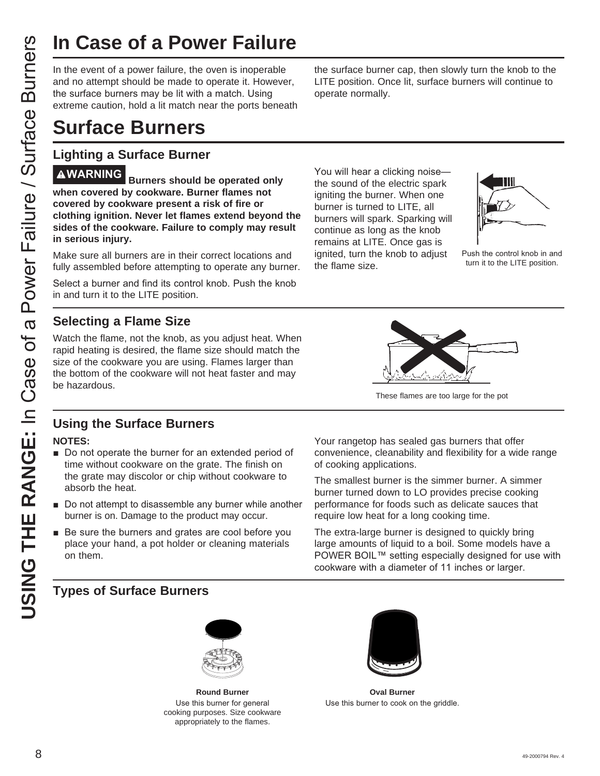In the event of a power failure, the oven is inoperable and no attempt should be made to operate it. However, the surface burners may be lit with a match. Using extreme caution, hold a lit match near the ports beneath

# **Surface Burners**

### **Lighting a Surface Burner**

**USING THE RANGE SECT THE RANGE SECT THE RANGE AND SOMET THE SANGE CONDUCT THE RANGE CONDUCT THE CONDUCT CONDUCT THE CONDUCT CONDUCT THE SANGE CONDUCT THE SANGE CONDUCT THE SANGE CONDUCT THE SANGE CONDUCT THE SANGE CONDU WARNING Burners should be operated only when covered by cookware. Burner flames not covered by cookware present a risk of fire or clothing ignition. Never let flames extend beyond the sides of the cookware. Failure to comply may result in serious injury.**

Make sure all burners are in their correct locations and fully assembled before attempting to operate any burner.

Select a burner and find its control knob. Push the knob in and turn it to the LITE position.

### **Selecting a Flame Size**

Watch the flame, not the knob, as you adjust heat. When rapid heating is desired, the flame size should match the size of the cookware you are using. Flames larger than the bottom of the cookware will not heat faster and may be hazardous.



operate normally.



Push the control knob in and turn it to the LITE position.



the surface burner cap, then slowly turn the knob to the LITE position. Once lit, surface burners will continue to

These flames are too large for the pot

### **Using the Surface Burners**

### **NOTES:**

- Do not operate the burner for an extended period of time without cookware on the grate. The finish on the grate may discolor or chip without cookware to absorb the heat.
- Do not attempt to disassemble any burner while another burner is on. Damage to the product may occur.
- $\blacksquare$  Be sure the burners and grates are cool before you place your hand, a pot holder or cleaning materials on them.

Your rangetop has sealed gas burners that offer convenience, cleanability and flexibility for a wide range of cooking applications.

The smallest burner is the simmer burner. A simmer burner turned down to LO provides precise cooking performance for foods such as delicate sauces that require low heat for a long cooking time.

The extra-large burner is designed to quickly bring large amounts of liquid to a boil. Some models have a POWER BOIL™ setting especially designed for use with cookware with a diameter of 11 inches or larger.

### **Types of Surface Burners**



**Round Burner** Use this burner for general cooking purposes. Size cookware appropriately to the flames.



**Oval Burner** Use this burner to cook on the griddle.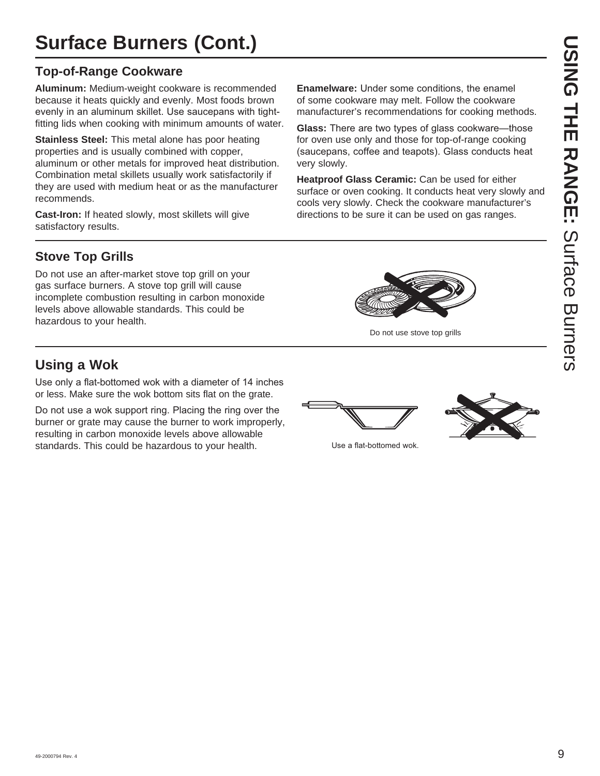# **Surface Burners (Cont.)**

### **Top-of-Range Cookware**

**Aluminum:** Medium-weight cookware is recommended because it heats quickly and evenly. Most foods brown evenly in an aluminum skillet. Use saucepans with tightfitting lids when cooking with minimum amounts of water.

**Stainless Steel:** This metal alone has poor heating properties and is usually combined with copper, aluminum or other metals for improved heat distribution. Combination metal skillets usually work satisfactorily if they are used with medium heat or as the manufacturer recommends.

**Cast-Iron:** If heated slowly, most skillets will give satisfactory results.

**Enamelware:** Under some conditions, the enamel of some cookware may melt. Follow the cookware manufacturer's recommendations for cooking methods.

**Glass:** There are two types of glass cookware-those for oven use only and those for top-of-range cooking (saucepans, coffee and teapots). Glass conducts heat very slowly.

**Heatproof Glass Ceramic:** Can be used for either surface or oven cooking. It conducts heat very slowly and cools very slowly. Check the cookware manufacturer's directions to be sure it can be used on gas ranges.

Do not use stove top grills

### **Stove Top Grills**

Do not use an after-market stove top grill on your gas surface burners. A stove top grill will cause incomplete combustion resulting in carbon monoxide levels above allowable standards. This could be hazardous to your health.

### **Using a Wok**

Use only a flat-bottomed wok with a diameter of 14 inches or less. Make sure the wok bottom sits flat on the grate.

Do not use a wok support ring. Placing the ring over the burner or grate may cause the burner to work improperly, resulting in carbon monoxide levels above allowable standards. This could be hazardous to your health. Some that use a flat-bottomed wok.



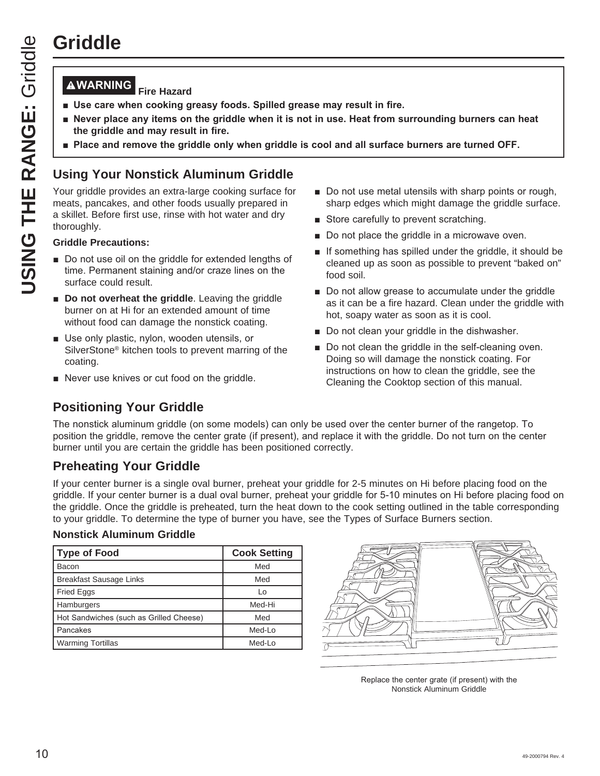# **Griddle**

### **WARNING Fire Hazard**

- **U** Use care when cooking greasy foods. Spilled grease may result in fire.
- **Never place any items on the griddle when it is not in use. Heat from surrounding burners can heat UPS the griddle and may result in fire.**
- **Place and remove the griddle only when griddle is cool and all surface burners are turned OFF.**

### **Using Your Nonstick Aluminum Griddle**

Your griddle provides an extra-large cooking surface for meats, pancakes, and other foods usually prepared in a skillet. Before first use, rinse with hot water and dry thoroughly.

### **Griddle Precautions:**

- Do not use oil on the griddle for extended lengths of time. Permanent staining and/or craze lines on the surface could result.
- **Do not overheat the griddle.** Leaving the griddle burner on at Hi for an extended amount of time without food can damage the nonstick coating.
- Use only plastic, nylon, wooden utensils, or SilverStone® kitchen tools to prevent marring of the coating.
- Never use knives or cut food on the griddle.
- $\blacksquare$  Do not use metal utensils with sharp points or rough, sharp edges which might damage the griddle surface.
- Store carefully to prevent scratching.
- Do not place the griddle in a microwave oven.
- $\blacksquare$  If something has spilled under the griddle, it should be cleaned up as soon as possible to prevent "baked on" food soil.
- Do not allow grease to accumulate under the griddle as it can be a fire hazard. Clean under the griddle with hot, soapy water as soon as it is cool.
- Do not clean your griddle in the dishwasher.
- Do not clean the griddle in the self-cleaning oven. Doing so will damage the nonstick coating. For instructions on how to clean the griddle, see the Cleaning the Cooktop section of this manual.

### **Positioning Your Griddle**

The nonstick aluminum griddle (on some models) can only be used over the center burner of the rangetop. To position the griddle, remove the center grate (if present), and replace it with the griddle. Do not turn on the center burner until you are certain the griddle has been positioned correctly.

### **Preheating Your Griddle**

If your center burner is a single oval burner, preheat your griddle for 2-5 minutes on Hi before placing food on the griddle. If your center burner is a dual oval burner, preheat your griddle for 5-10 minutes on Hi before placing food on the griddle. Once the griddle is preheated, turn the heat down to the cook setting outlined in the table corresponding to your griddle. To determine the type of burner you have, see the Types of Surface Burners section.

### **Nonstick Aluminum Griddle**

| Type of Food                            | <b>Cook Setting</b> |
|-----------------------------------------|---------------------|
| Bacon                                   | Med                 |
| <b>Breakfast Sausage Links</b>          | Med                 |
| Fried Eggs                              | Lo                  |
| Hamburgers                              | Med-Hi              |
| Hot Sandwiches (such as Grilled Cheese) | Med                 |
| Pancakes                                | Med-Lo              |
| <b>Warming Tortillas</b>                | Med-Lo              |



Replace the center grate (if present) with the Nonstick Aluminum Griddle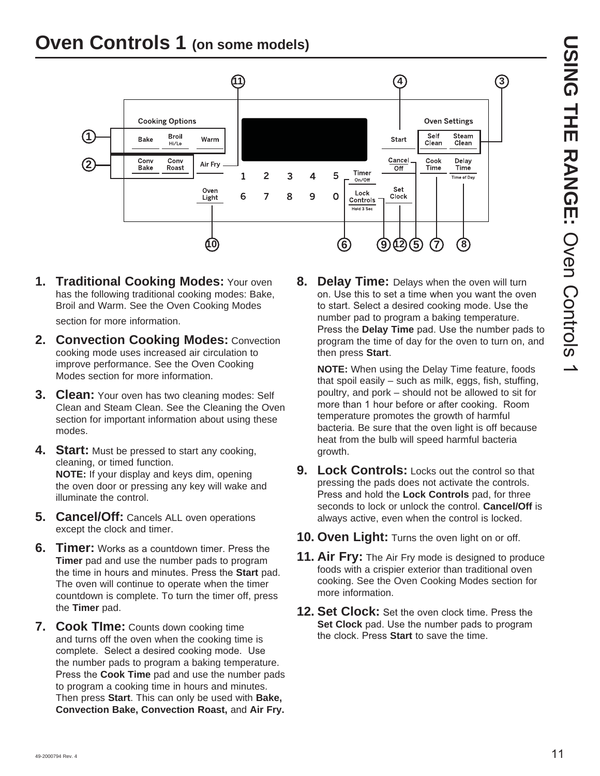### **Oven Controls 1 (on some models)**



**1. Traditional Cooking Modes:** Your oven has the following traditional cooking modes: Bake, Broil and Warm. See the Oven Cooking Modes

section for more information.

- **2. Convection Cooking Modes:** Convection cooking mode uses increased air circulation to improve performance. See the Oven Cooking Modes section for more information.
- **3. Clean:** Your oven has two cleaning modes: Self Clean and Steam Clean. See the Cleaning the Oven section for important information about using these modes.
- **4.** Start: Must be pressed to start any cooking, cleaning, or timed function. **NOTE:** If your display and keys dim, opening the oven door or pressing any key will wake and illuminate the control.
- **5. Cancel/Off:** Cancels ALL oven operations except the clock and timer.
- **6. Timer:** Works as a countdown timer. Press the **Timer** pad and use the number pads to program the time in hours and minutes. Press the **Start** pad. The oven will continue to operate when the timer countdown is complete. To turn the timer off, press the **Timer** pad.
- **7. Cook TIme:** Counts down cooking time and turns off the oven when the cooking time is complete. Select a desired cooking mode. Use the number pads to program a baking temperature. Press the **Cook Time** pad and use the number pads to program a cooking time in hours and minutes. Then press **Start**. This can only be used with **Bake, Convection Bake, Convection Roast,** and **Air Fry.**

**8. Delay Time:** Delays when the oven will turn on. Use this to set a time when you want the oven to start. Select a desired cooking mode. Use the number pad to program a baking temperature. Press the **Delay Time** pad. Use the number pads to program the time of day for the oven to turn on, and then press **Start**.

**NOTE:** When using the Delay Time feature, foods that spoil easily – such as milk, eggs, fish, stuffing, poultry, and pork – should not be allowed to sit for more than 1 hour before or after cooking. Room temperature promotes the growth of harmful bacteria. Be sure that the oven light is off because heat from the bulb will speed harmful bacteria growth.

- **9.** Lock Controls: Locks out the control so that pressing the pads does not activate the controls. Press and hold the **Lock Controls** pad, for three seconds to lock or unlock the control. **Cancel/Off** is always active, even when the control is locked.
- **10. Oven Light:** Turns the oven light on or off.
- **11. Air Fry:** The Air Fry mode is designed to produce foods with a crispier exterior than traditional oven cooking. See the Oven Cooking Modes section for more information.
- **12. Set Clock:** Set the oven clock time. Press the **Set Clock** pad. Use the number pads to program the clock. Press **Start** to save the time.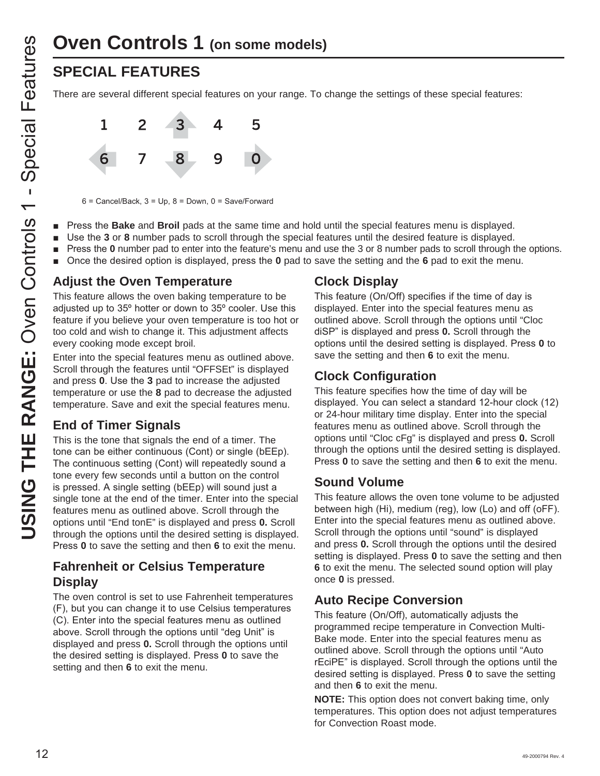# **Oven Controls 1 (on some models)**

There are several different special features on your range. To change the settings of these special features:



 $6$  = Cancel/Back,  $3$  = Up,  $8$  = Down,  $0$  = Save/Forward

- **Phone** 3 Press the **Bake** and **Broil** pads at the same time and hold until the special features menu is displayed.
- **B** Use the 3 or 8 number pads to scroll through the special features until the desired feature is displayed.
- **Phonon 1** Press the **0** number pad to enter into the feature's menu and use the 3 or 8 number pads to scroll through the options.
- **n** Once the desired option is displayed, press the **0** pad to save the setting and the **6** pad to exit the menu.

### **Adjust the Oven Temperature**

This feature allows the oven baking temperature to be adiusted up to 35° hotter or down to 35° cooler. Use this feature if you believe your oven temperature is too hot or too cold and wish to change it. This adjustment affects every cooking mode except broil.

Enter into the special features menu as outlined above. Scroll through the features until "OFFSEt" is displayed and press 0. Use the 3 pad to increase the adjusted temperature or use the **8** pad to decrease the adjusted temperature. Save and exit the special features menu.

### **End of Timer Signals**

**USING THE RANGE THE RANGE SEE AN ASSEMBLAT CONDUCT THE PRESS the Bake and Broil pads to the set of a set of a set of a set of a set of a set of a set of a set of a set of a set of a set of a set of a set of a set of a set** This is the tone that signals the end of a timer. The tone can be either continuous (Cont) or single (bEEp). The continuous setting (Cont) will repeatedly sound a tone every few seconds until a button on the control is pressed. A single setting (bEEp) will sound just a single tone at the end of the timer. Enter into the special features menu as outlined above. Scroll through the options until "End tonE" is displayed and press **0.** Scroll through the options until the desired setting is displayed. Press 0 to save the setting and then 6 to exit the menu.

### **Fahrenheit or Celsius Temperature Display**

The oven control is set to use Fahrenheit temperatures (F), but you can change it to use Celsius temperatures (C). Enter into the special features menu as outlined above. Scroll through the options until "deg Unit" is displayed and press **0.** Scroll through the options until the desired setting is displayed. Press 0 to save the setting and then **6** to exit the menu.

### **Clock Display**

This feature (On/Off) specifies if the time of day is displayed. Enter into the special features menu as outlined above. Scroll through the options until "Cloc diSP" is displayed and press **0.** Scroll through the options until the desired setting is displayed. Press 0 to save the setting and then **6** to exit the menu.

### **Clock Configuration**

This feature specifies how the time of day will be displayed. You can select a standard 12-hour clock (12) or 24-hour military time display. Enter into the special features menu as outlined above. Scroll through the options until "Cloc cFg" is displayed and press **0.** Scroll through the options until the desired setting is displayed. Press 0 to save the setting and then 6 to exit the menu.

### **Sound Volume**

This feature allows the oven tone volume to be adjusted between high (Hi), medium (reg), low (Lo) and off (oFF). Enter into the special features menu as outlined above. Scroll through the options until "sound" is displayed and press **0.** Scroll through the options until the desired setting is displayed. Press 0 to save the setting and then **6** to exit the menu. The selected sound option will play once **0** is pressed.

### **Auto Recipe Conversion**

This feature (On/Off), automatically adjusts the programmed recipe temperature in Convection Multi-Bake mode. Enter into the special features menu as outlined above. Scroll through the options until "Auto rEciPE" is displayed. Scroll through the options until the desired setting is displayed. Press 0 to save the setting and then **6** to exit the menu.

**NOTE:** This option does not convert baking time, only temperatures. This option does not adjust temperatures for Convection Roast mode.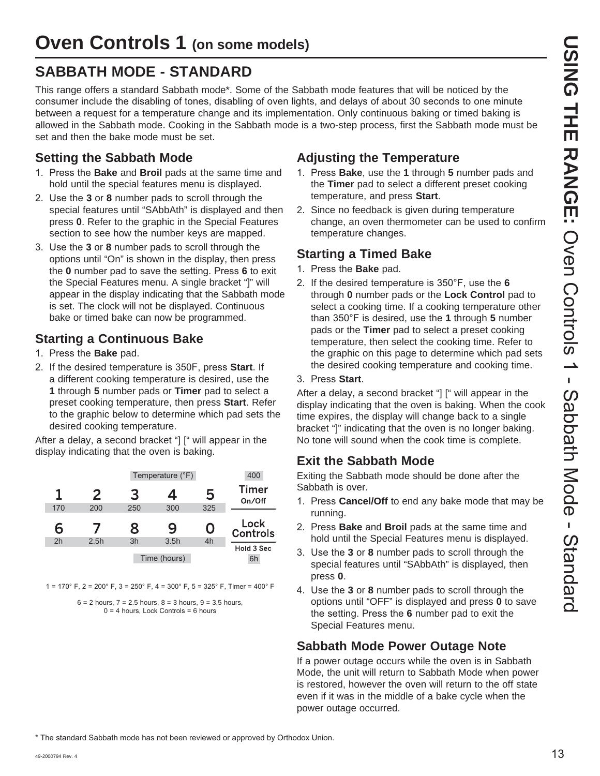### **SABBATH MODE - STANDARD**

This range offers a standard Sabbath mode\*. Some of the Sabbath mode features that will be noticed by the consumer include the disabling of tones, disabling of oven lights, and delays of about 30 seconds to one minute between a request for a temperature change and its implementation. Only continuous baking or timed baking is allowed in the Sabbath mode. Cooking in the Sabbath mode is a two-step process, first the Sabbath mode must be set and then the bake mode must be set.

### **Setting the Sabbath Mode**

- 1. Press the **Bake** and **Broil** pads at the same time and hold until the special features menu is displayed.
- 2. Use the 3 or 8 number pads to scroll through the special features until "SAbbAth" is displayed and then press **0**. Refer to the graphic in the Special Features section to see how the number keys are mapped.
- 3. Use the 3 or 8 number pads to scroll through the options until "On" is shown in the display, then press the 0 number pad to save the setting. Press 6 to exit the Special Features menu. A single bracket "]" will appear in the display indicating that the Sabbath mode is set. The clock will not be displayed. Continuous bake or timed bake can now be programmed.

### **Starting a Continuous Bake**

- 1. Press the **Bake** pad.
- 2. If the desired temperature is 350F, press Start. If a different cooking temperature is desired, use the **1** through **5** number pads or **Timer** pad to select a preset cooking temperature, then press **Start**. Refer to the graphic below to determine which pad sets the desired cooking temperature.

After a delay, a second bracket "] [" will appear in the display indicating that the oven is baking.



 $1 = 170^{\circ}$  F,  $2 = 200^{\circ}$  F,  $3 = 250^{\circ}$  F,  $4 = 300^{\circ}$  F,  $5 = 325^{\circ}$  F, Timer = 400° F

 $6 = 2$  hours,  $7 = 2.5$  hours,  $8 = 3$  hours,  $9 = 3.5$  hours,  $0 = 4$  hours. Lock Controls = 6 hours

### **Adjusting the Temperature**

- 1. Press **Bake**, use the 1 through 5 number pads and the **Timer** pad to select a different preset cooking temperature, and press **Start**.
- 2. Since no feedback is given during temperature change, an oven thermometer can be used to confirm temperature changes.

### **Starting a Timed Bake**

- 1. Press the **Bake** pad.
- 2. If the desired temperature is 350°F, use the 6 through **0** number pads or the **Lock Control** pad to select a cooking time. If a cooking temperature other than 350°F is desired, use the 1 through 5 number pads or the **Timer** pad to select a preset cooking temperature, then select the cooking time. Refer to the graphic on this page to determine which pad sets the desired cooking temperature and cooking time.

### 3. Press Start.

After a delay, a second bracket "] [" will appear in the display indicating that the oven is baking. When the cook time expires, the display will change back to a single bracket "]" indicating that the oven is no longer baking. No tone will sound when the cook time is complete.

### **Exit the Sabbath Mode**

Exiting the Sabbath mode should be done after the Sabbath is over.

- 1. Press **Cancel/Off** to end any bake mode that may be running.
- 2. Press **Bake** and **Broil** pads at the same time and hold until the Special Features menu is displayed.
- 3. Use the 3 or 8 number pads to scroll through the special features until "SAbbAth" is displayed, then press **0**.
- 4. Use the 3 or 8 number pads to scroll through the options until "OFF" is displayed and press **0** to save the setting. Press the 6 number pad to exit the Special Features menu.

### **Sabbath Mode Power Outage Note**

If a power outage occurs while the oven is in Sabbath Mode, the unit will return to Sabbath Mode when power is restored, however the oven will return to the off state even if it was in the middle of a bake cycle when the power outage occurred.

\* The standard Sabbath mode has not been reviewed or approved by Orthodox Union.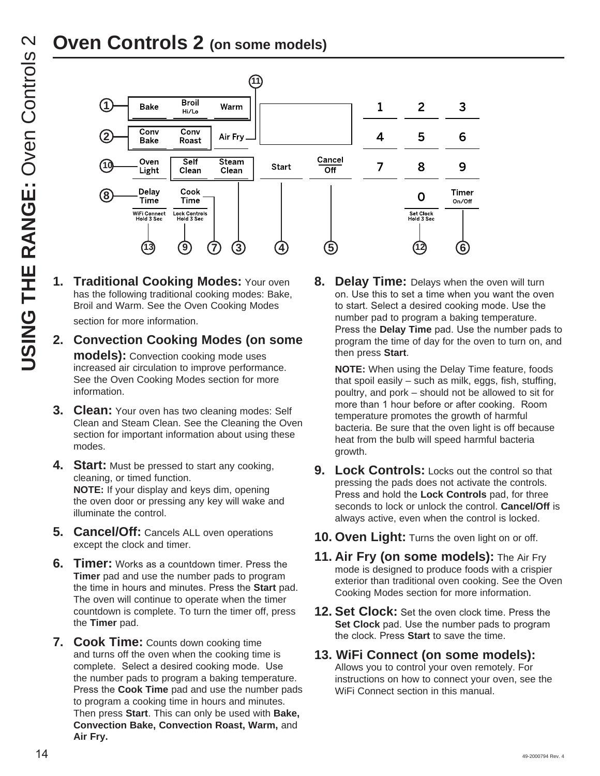# **Oven Controls 2 (on some models)**



**1. Traditional Cooking Modes:** Your oven has the following traditional cooking modes: Bake, Broil and Warm. See the Oven Cooking Modes

section for more information.

- **2. Convection Cooking Modes (on some models):** Convection cooking mode uses increased air circulation to improve performance. See the Oven Cooking Modes section for more information.
- **3. Clean:** Your oven has two cleaning modes: Self Clean and Steam Clean. See the Cleaning the Oven section for important information about using these modes.
- **4.** Start: Must be pressed to start any cooking, cleaning, or timed function. **NOTE:** If your display and keys dim, opening the oven door or pressing any key will wake and illuminate the control.
- **5. Cancel/Off:** Cancels ALL oven operations except the clock and timer.
- **6. Timer:** Works as a countdown timer. Press the **Timer** pad and use the number pads to program the time in hours and minutes. Press the **Start** pad. The oven will continue to operate when the timer countdown is complete. To turn the timer off, press the **Timer** pad.
- **7. Cook Time:** Counts down cooking time and turns off the oven when the cooking time is complete. Select a desired cooking mode. Use the number pads to program a baking temperature. Press the **Cook Time** pad and use the number pads to program a cooking time in hours and minutes. Then press **Start**. This can only be used with **Bake, Convection Bake, Convection Roast, Warm,** and **Air Fry.**

**8. Delay Time:** Delays when the oven will turn on. Use this to set a time when you want the oven to start. Select a desired cooking mode. Use the number pad to program a baking temperature. Press the **Delay Time** pad. Use the number pads to program the time of day for the oven to turn on, and then press **Start**.

**NOTE:** When using the Delay Time feature, foods that spoil easily – such as milk, eggs, fish, stuffing, poultry, and pork – should not be allowed to sit for more than 1 hour before or after cooking. Room temperature promotes the growth of harmful bacteria. Be sure that the oven light is off because heat from the bulb will speed harmful bacteria growth.

- **9. Lock Controls:** Locks out the control so that pressing the pads does not activate the controls. Press and hold the **Lock Controls** pad, for three seconds to lock or unlock the control. **Cancel/Off** is always active, even when the control is locked.
- **10. Oven Light:** Turns the oven light on or off.
- **11. Air Fry (on some models):** The Air Fry mode is designed to produce foods with a crispier exterior than traditional oven cooking. See the Oven Cooking Modes section for more information.
- **12. Set Clock:** Set the oven clock time. Press the **Set Clock** pad. Use the number pads to program the clock. Press Start to save the time.

### **13. WiFi Connect (on some models):**

Allows you to control your oven remotely. For instructions on how to connect your oven, see the WiFi Connect section in this manual.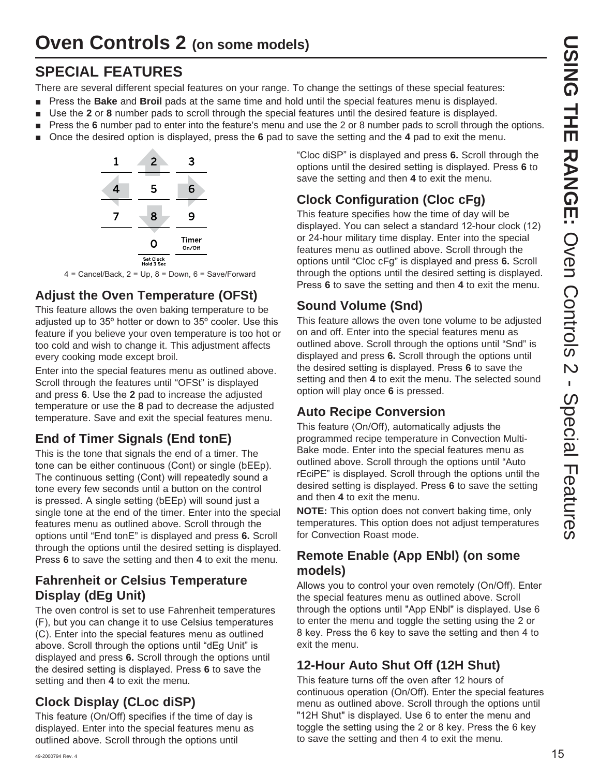### **SPECIAL FEATURES**

There are several different special features on your range. To change the settings of these special features:

- **Phone 3 3UHV Find Stake** and **Broil** pads at the same time and hold until the special features menu is displayed.
- **Use the 2 or 8** number pads to scroll through the special features until the desired feature is displayed.
- **Press the 6** number pad to enter into the feature's menu and use the 2 or 8 number pads to scroll through the options.
- **n** Once the desired option is displayed, press the 6 pad to save the setting and the 4 pad to exit the menu.



 $4$  = Cancel/Back, 2 = Up, 8 = Down, 6 = Save/Forward

### **Adjust the Oven Temperature (OFSt)**

This feature allows the oven baking temperature to be adjusted up to 35° hotter or down to 35° cooler. Use this feature if you believe your oven temperature is too hot or too cold and wish to change it. This adjustment affects every cooking mode except broil.

Enter into the special features menu as outlined above. Scroll through the features until "OFSt" is displayed and press 6. Use the 2 pad to increase the adjusted temperature or use the **8** pad to decrease the adjusted temperature. Save and exit the special features menu.

### **End of Timer Signals (End tonE)**

This is the tone that signals the end of a timer. The tone can be either continuous (Cont) or single (bEEp). The continuous setting (Cont) will repeatedly sound a tone every few seconds until a button on the control is pressed. A single setting (bEEp) will sound just a single tone at the end of the timer. Enter into the special features menu as outlined above. Scroll through the options until "End tonE" is displayed and press **6.** Scroll through the options until the desired setting is displayed. Press 6 to save the setting and then 4 to exit the menu.

### **Fahrenheit or Celsius Temperature Display (dEg Unit)**

The oven control is set to use Fahrenheit temperatures (F), but you can change it to use Celsius temperatures (C). Enter into the special features menu as outlined above. Scroll through the options until "dEq Unit" is displayed and press **6.** Scroll through the options until the desired setting is displayed. Press 6 to save the setting and then **4** to exit the menu.

### **Clock Display (CLoc diSP)**

This feature (On/Off) specifies if the time of day is displayed. Enter into the special features menu as outlined above. Scroll through the options until

"Cloc diSP" is displayed and press 6. Scroll through the options until the desired setting is displayed. Press 6 to save the setting and then **4** to exit the menu.

### **Clock Configuration (Cloc cFg)**

This feature specifies how the time of day will be displayed. You can select a standard 12-hour clock (12) or 24-hour military time display. Enter into the special features menu as outlined above. Scroll through the options until "Cloc cFg" is displayed and press **6.** Scroll through the options until the desired setting is displayed. Press 6 to save the setting and then 4 to exit the menu.

### **Sound Volume (Snd)**

This feature allows the oven tone volume to be adjusted on and off. Enter into the special features menu as outlined above. Scroll through the options until "Snd" is displayed and press **6.** Scroll through the options until the desired setting is displayed. Press 6 to save the setting and then **4** to exit the menu. The selected sound option will play once **6** is pressed.

### **Auto Recipe Conversion**

This feature (On/Off), automatically adjusts the programmed recipe temperature in Convection Multi-Bake mode. Enter into the special features menu as outlined above. Scroll through the options until "Auto rEciPE" is displayed. Scroll through the options until the desired setting is displayed. Press 6 to save the setting and then **4** to exit the menu.

**NOTE:** This option does not convert baking time, only temperatures. This option does not adjust temperatures for Convection Roast mode.

### **Remote Enable (App ENbl) (on some models)**

Allows you to control your oven remotely (On/Off). Enter the special features menu as outlined above. Scroll through the options until "App ENbl" is displayed. Use 6 to enter the menu and toggle the setting using the 2 or 8 key. Press the 6 key to save the setting and then 4 to exit the menu.

### **12-Hour Auto Shut Off (12H Shut)**

This feature turns off the oven after 12 hours of continuous operation (On/Off). Enter the special features menu as outlined above. Scroll through the options until "12H Shut" is displayed. Use 6 to enter the menu and toggle the setting using the 2 or 8 key. Press the 6 key to save the setting and then 4 to exit the menu.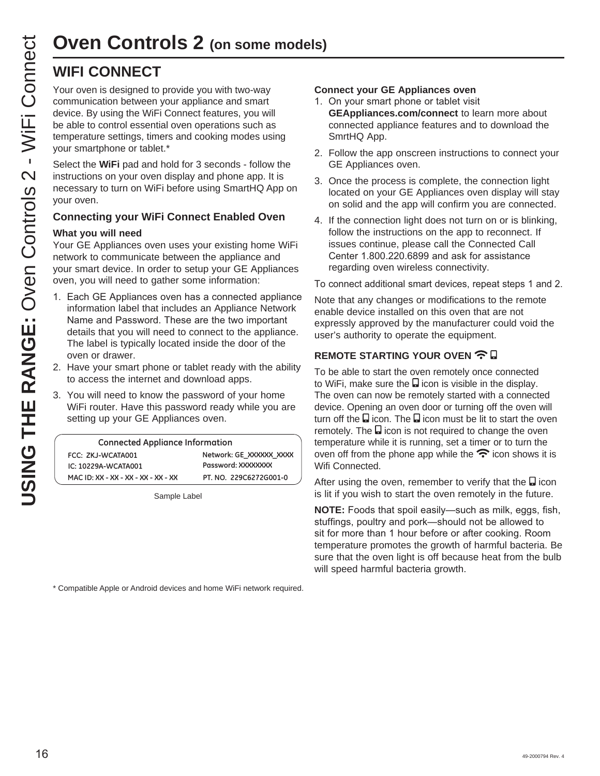### **WIFI CONNECT**

**USING THE RANGE SEED THE RANGE AND SEED THE RANGE CONTROLL CONDUCT SUSPER THE RANGE OF SUSPER THE USING THE USING THE USING THE SEED TO SUSPER THE SEED TO SUSPER THE SEED TO THE SEED THE SEED TO THE SEED THE THE RANGE THE** communication between your appliance and smart device. By using the WiFi Connect features, you will be able to control essential oven operations such as temperature settings, timers and cooking modes using your smartphone or tablet.\*

Select the **WiFi** pad and hold for 3 seconds - follow the instructions on your oven display and phone app. It is necessary to turn on WiFi before using SmartHQ App on your oven.

### **Connecting your WiFi Connect Enabled Oven**

### **What you will need**

Your GE Appliances oven uses your existing home WiFi network to communicate between the appliance and your smart device. In order to setup your GE Appliances oven, you will need to gather some information:

- 1. Each GE Appliances oven has a connected appliance information label that includes an Appliance Network Name and Password. These are the two important details that you will need to connect to the appliance. The label is typically located inside the door of the oven or drawer.
- 2. Have your smart phone or tablet ready with the ability to access the internet and download apps.
- 3. You will need to know the password of your home WiFi router. Have this password ready while you are setting up your GE Appliances oven.

| <b>Connected Appliance Information</b> |                         |  |
|----------------------------------------|-------------------------|--|
| FCC: ZKJ-WCATA001                      | Network: GE XXXXXX XXXX |  |
| IC: 10229A-WCATA001                    | Password: XXXXXXXX      |  |
| MAC ID: XX - XX - XX - XX - XX - XX    | PT. NO. 229C6272G001-0  |  |

Sample Label

\* Compatible Apple or Android devices and home WiFi network required.

### **Connect your GE Appliances oven**

- 1. On your smart phone or tablet visit **GEAppliances.com/connect** to learn more about connected appliance features and to download the SmrtHQ App.
- 2. Follow the app onscreen instructions to connect your GE Appliances oven.
- 3. Once the process is complete, the connection light located on your GE Appliances oven display will stay on solid and the app will confirm you are connected.
- 4. If the connection light does not turn on or is blinking, follow the instructions on the app to reconnect. If issues continue, please call the Connected Call Center 1.800.220.6899 and ask for assistance regarding oven wireless connectivity.

To connect additional smart devices, repeat steps 1 and 2.

Note that any changes or modifications to the remote enable device installed on this oven that are not expressly approved by the manufacturer could void the user's authority to operate the equipment.

### **REMOTE STARTING YOUR OVEN 今日**

To be able to start the oven remotely once connected to WiFi, make sure the  $\Box$  icon is visible in the display. The oven can now be remotely started with a connected device. Opening an oven door or turning off the oven will turn off the  $\Box$  icon. The  $\Box$  icon must be lit to start the oven remotely. The  $\Box$  icon is not required to change the oven temperature while it is running, set a timer or to turn the oven off from the phone app while the  $\widehat{\mathcal{F}}$  icon shows it is Wifi Connected.

After using the oven, remember to verify that the  $\Box$  icon is lit if you wish to start the oven remotely in the future.

**NOTE:** Foods that spoil easily-such as milk, eggs, fish, stuffings, poultry and pork-should not be allowed to sit for more than 1 hour before or after cooking. Room temperature promotes the growth of harmful bacteria. Be sure that the oven light is off because heat from the bulb will speed harmful bacteria growth.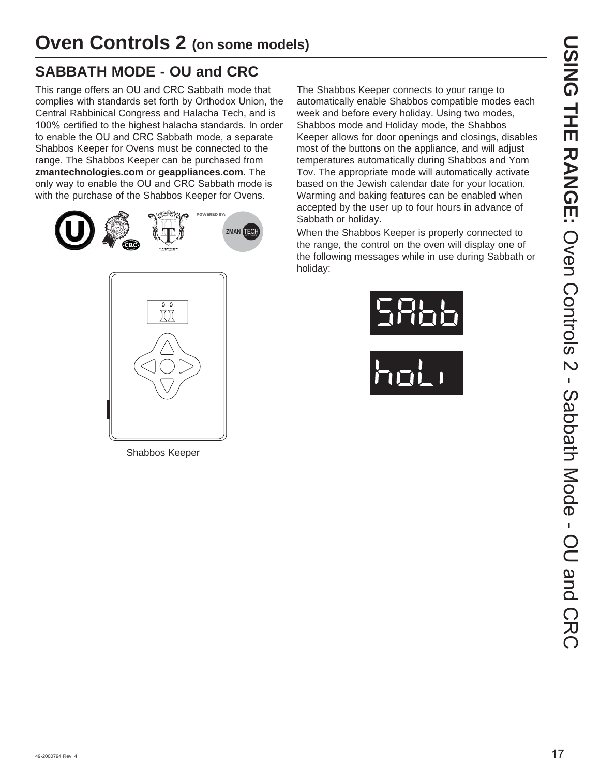### **SABBATH MODE - OU and CRC**

This range offers an OU and CRC Sabbath mode that complies with standards set forth by Orthodox Union, the Central Rabbinical Congress and Halacha Tech, and is 100% certified to the highest halacha standards. In order to enable the OU and CRC Sabbath mode, a separate Shabbos Keeper for Ovens must be connected to the range. The Shabbos Keeper can be purchased from **zmantechnologies.com** or **geappliances.com**. The only way to enable the OU and CRC Sabbath mode is with the purchase of the Shabbos Keeper for Ovens.





Shabbos Keeper

The Shabbos Keeper connects to your range to automatically enable Shabbos compatible modes each week and before every holiday. Using two modes, Shabbos mode and Holiday mode, the Shabbos Keeper allows for door openings and closings, disables most of the buttons on the appliance, and will adjust temperatures automatically during Shabbos and Yom Tov. The appropriate mode will automatically activate based on the Jewish calendar date for your location. Warming and baking features can be enabled when accepted by the user up to four hours in advance of Sabbath or holiday.

When the Shabbos Keeper is properly connected to the range, the control on the oven will display one of the following messages while in use during Sabbath or holiday:



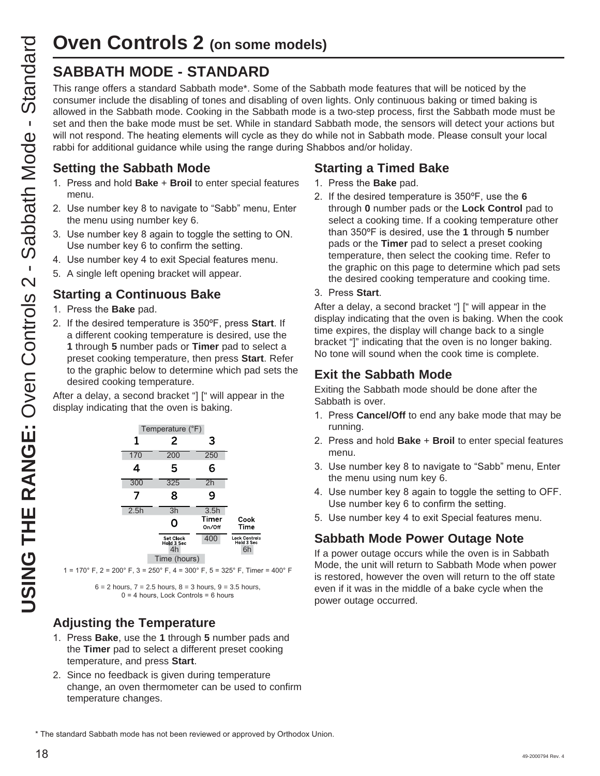### **SABBATH MODE - STANDARD**

This range offers a standard Sabbath mode\*. Some of the Sabbath mode features that will be noticed by the consumer include the disabling of tones and disabling of oven lights. Only continuous baking or timed baking is allowed in the Sabbath mode. Cooking in the Sabbath mode is a two-step process, first the Sabbath mode must be set and then the bake mode must be set. While in standard Sabbath mode, the sensors will detect your actions but will not respond. The heating elements will cycle as they do while not in Sabbath mode. Please consult your local rabbi for additional guidance while using the range during Shabbos and/or holiday.

### **Setting the Sabbath Mode**

- 1. Press and hold **Bake** + **Broil** to enter special features menu.
- 2. Use number key 8 to navigate to "Sabb" menu, Enter the menu using number key 6.
- 3. Use number key 8 again to toggle the setting to ON. Use number key 6 to confirm the setting.
- 4. Use number key 4 to exit Special features menu.
- 5. A single left opening bracket will appear.

### **Starting a Continuous Bake**

- 1. Press the **Bake** pad.
- 2. If the desired temperature is 350°F, press Start. If a different cooking temperature is desired, use the **1** through **5** number pads or **Timer** pad to select a preset cooking temperature, then press **Start**. Refer to the graphic below to determine which pad sets the desired cooking temperature.

After a delay, a second bracket "] [" will appear in the display indicating that the oven is baking.



 $1 = 170^{\circ}$  F,  $2 = 200^{\circ}$  F,  $3 = 250^{\circ}$  F,  $4 = 300^{\circ}$  F,  $5 = 325^{\circ}$  F, Timer = 400° F

 $6 = 2$  hours,  $7 = 2.5$  hours,  $8 = 3$  hours,  $9 = 3.5$  hours,  $0 = 4$  hours, Lock Controls = 6 hours

### **Adjusting the Temperature**

- 1. Press **Bake**, use the 1 through 5 number pads and the **Timer** pad to select a different preset cooking temperature, and press **Start**.
- 2. Since no feedback is given during temperature change, an oven thermometer can be used to confirm temperature changes.

### **Starting a Timed Bake**

- 1. Press the **Bake** pad.
- 2. If the desired temperature is 350°F, use the 6 through **0** number pads or the **Lock Control** pad to select a cooking time. If a cooking temperature other than 350°F is desired, use the 1 through 5 number pads or the **Timer** pad to select a preset cooking temperature, then select the cooking time. Refer to the graphic on this page to determine which pad sets the desired cooking temperature and cooking time.

### 3. Press Start.

After a delay, a second bracket "] [" will appear in the display indicating that the oven is baking. When the cook time expires, the display will change back to a single bracket "]" indicating that the oven is no longer baking. No tone will sound when the cook time is complete.

### **Exit the Sabbath Mode**

Exiting the Sabbath mode should be done after the Sabbath is over.

- 1. Press **Cancel/Off** to end any bake mode that may be running.
- 2. Press and hold Bake + Broil to enter special features menu.
- 3. Use number key 8 to navigate to "Sabb" menu, Enter the menu using num key 6.
- 4. Use number key 8 again to toggle the setting to OFF. Use number key 6 to confirm the setting.
- 5. Use number key 4 to exit Special features menu.

### **Sabbath Mode Power Outage Note**

If a power outage occurs while the oven is in Sabbath Mode, the unit will return to Sabbath Mode when power is restored, however the oven will return to the off state even if it was in the middle of a bake cycle when the power outage occurred.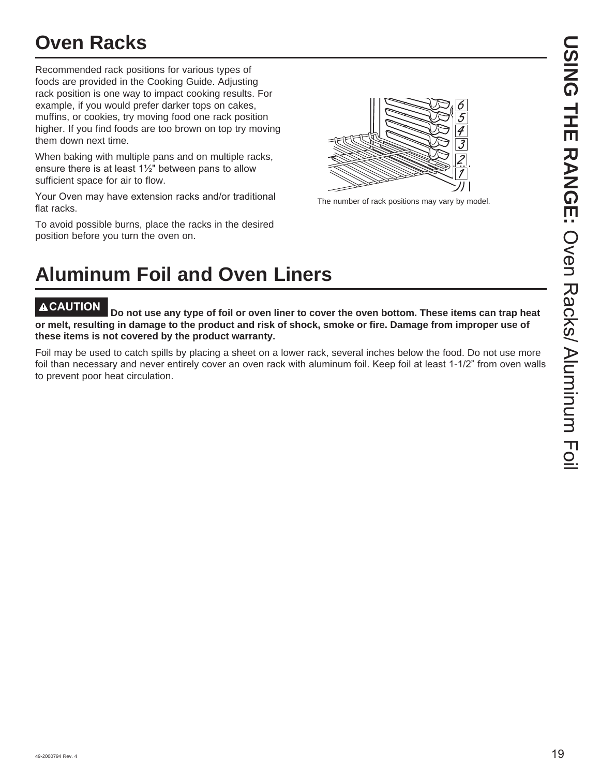# **Oven Racks**

Recommended rack positions for various types of foods are provided in the Cooking Guide. Adjusting rack position is one way to impact cooking results. For example, if you would prefer darker tops on cakes, muffins, or cookies, try moving food one rack position higher. If you find foods are too brown on top try moving them down next time.

When baking with multiple pans and on multiple racks, ensure there is at least  $1\frac{1}{2}$ " between pans to allow sufficient space for air to flow.

Your Oven may have extension racks and/or traditional flat racks.

To avoid possible burns, place the racks in the desired position before you turn the oven on.



The number of rack positions may vary by model.

# **Aluminum Foil and Oven Liners**

**CAUTION Do not use any type of foil or oven liner to cover the oven bottom. These items can trap heat or melt, resulting in damage to the product and risk of shock, smoke or fire. Damage from improper use of these items is not covered by the product warranty.** 

Foil may be used to catch spills by placing a sheet on a lower rack, several inches below the food. Do not use more foil than necessary and never entirely cover an oven rack with aluminum foil. Keep foil at least 1-1/2" from oven walls to prevent poor heat circulation.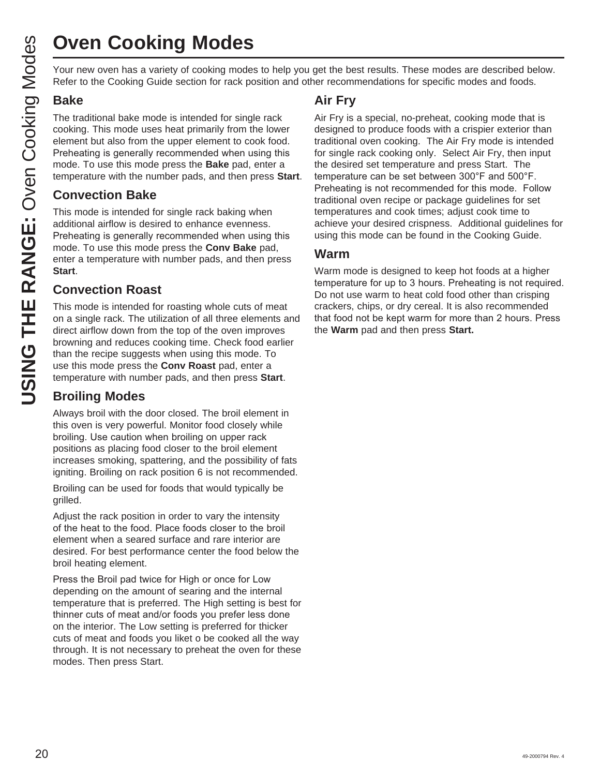# **Oven Cooking Modes**

Your new oven has a variety of cooking modes to help you get the best results. These modes are described below. Refer to the Cooking Guide section for rack position and other recommendations for specific modes and foods.

### **Bake**

The traditional bake mode is intended for single rack cooking. This mode uses heat primarily from the lower element but also from the upper element to cook food. Preheating is generally recommended when using this mode. To use this mode press the **Bake** pad, enter a temperature with the number pads, and then press **Start**.

### **Convection Bake**

This mode is intended for single rack baking when additional airflow is desired to enhance evenness. Preheating is generally recommended when using this mode. To use this mode press the **Conv Bake** pad, enter a temperature with number pads, and then press **Start**.

### **Convection Roast**

This mode is intended for roasting whole cuts of meat on a single rack. The utilization of all three elements and direct airflow down from the top of the oven improves browning and reduces cooking time. Check food earlier than the recipe suggests when using this mode. To use this mode press the **Conv Roast** pad, enter a temperature with number pads, and then press **Start**.

### **Broiling Modes**

Always broil with the door closed. The broil element in this oven is very powerful. Monitor food closely while broiling. Use caution when broiling on upper rack positions as placing food closer to the broil element increases smoking, spattering, and the possibility of fats igniting. Broiling on rack position 6 is not recommended.

Broiling can be used for foods that would typically be grilled.

Adjust the rack position in order to vary the intensity of the heat to the food. Place foods closer to the broil element when a seared surface and rare interior are desired. For best performance center the food below the broil heating element.

Press the Broil pad twice for High or once for Low depending on the amount of searing and the internal temperature that is preferred. The High setting is best for thinner cuts of meat and/or foods you prefer less done on the interior. The Low setting is preferred for thicker cuts of meat and foods you liket o be cooked all the way through. It is not necessary to preheat the oven for these modes. Then press Start.

### **Air Fry**

Air Fry is a special, no-preheat, cooking mode that is designed to produce foods with a crispier exterior than traditional oven cooking. The Air Fry mode is intended for single rack cooking only. Select Air Fry, then input the desired set temperature and press Start. The temperature can be set between 300°F and 500°F. Preheating is not recommended for this mode. Follow traditional oven recipe or package guidelines for set temperatures and cook times; adjust cook time to achieve your desired crispness. Additional guidelines for using this mode can be found in the Cooking Guide.

### **Warm**

Warm mode is designed to keep hot foods at a higher temperature for up to 3 hours. Preheating is not required. Do not use warm to heat cold food other than crisping crackers, chips, or dry cereal. It is also recommended that food not be kept warm for more than 2 hours. Press the **Warm** pad and then press **Start.**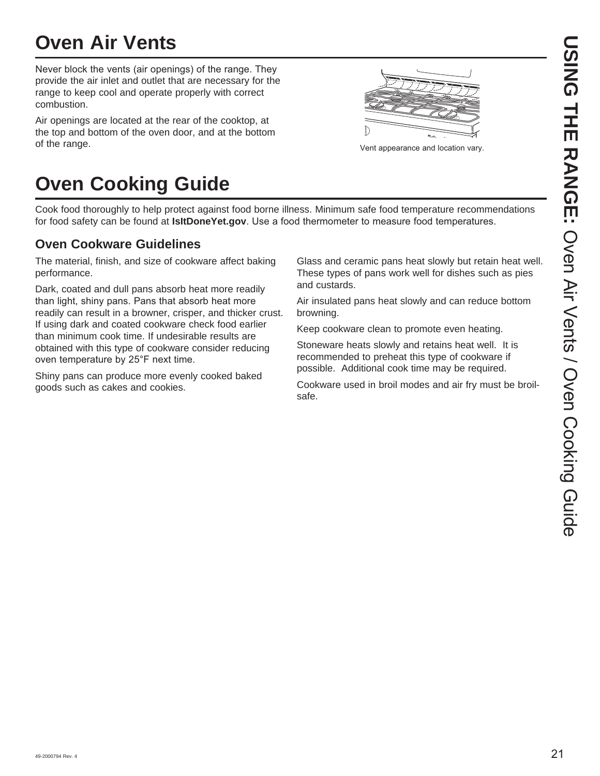# **Oven Air Vents**

Never block the vents (air openings) of the range. They provide the air inlet and outlet that are necessary for the range to keep cool and operate properly with correct combustion.

Air openings are located at the rear of the cooktop, at the top and bottom of the oven door, and at the bottom of the range. 9HQ SSHDUDGE of the range of the range of the range of the range of the range of the range of the range of the range of the range of the range of the range of the range of the range of the range of the range

# $\mathbb{D}$

# **Oven Cooking Guide**

Cook food thoroughly to help protect against food borne illness. Minimum safe food temperature recommendations for food safety can be found at **IsItDoneYet.gov**. Use a food thermometer to measure food temperatures.

### **Oven Cookware Guidelines**

The material, finish, and size of cookware affect baking performance.

Dark, coated and dull pans absorb heat more readily than light, shiny pans. Pans that absorb heat more readily can result in a browner, crisper, and thicker crust. If using dark and coated cookware check food earlier than minimum cook time. If undesirable results are obtained with this type of cookware consider reducing oven temperature by 25°F next time.

Shiny pans can produce more evenly cooked baked goods such as cakes and cookies.

Glass and ceramic pans heat slowly but retain heat well. These types of pans work well for dishes such as pies and custards.

Air insulated pans heat slowly and can reduce bottom browning.

Keep cookware clean to promote even heating.

Stoneware heats slowly and retains heat well. It is recommended to preheat this type of cookware if possible. Additional cook time may be required.

Cookware used in broil modes and air fry must be broilsafe.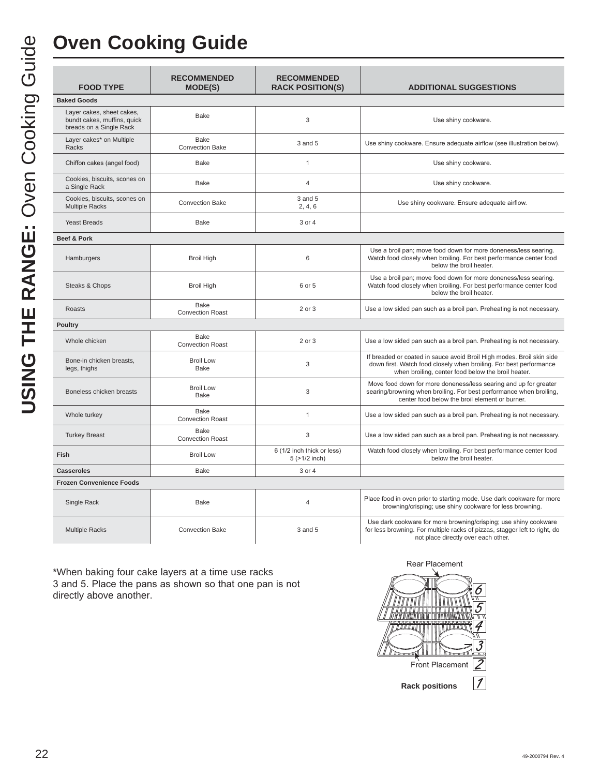# **Oven Cooking Guide**

| <b>FOOD TYPE</b>                                                                    | <b>RECOMMENDED</b><br><b>MODE(S)</b>   | <b>RECOMMENDED</b><br><b>RACK POSITION(S)</b>    | <b>ADDITIONAL SUGGESTIONS</b>                                                                                                                                                                     |
|-------------------------------------------------------------------------------------|----------------------------------------|--------------------------------------------------|---------------------------------------------------------------------------------------------------------------------------------------------------------------------------------------------------|
| <b>Baked Goods</b>                                                                  |                                        |                                                  |                                                                                                                                                                                                   |
| Layer cakes, sheet cakes,<br>bundt cakes, muffins, quick<br>breads on a Single Rack | Bake                                   | 3                                                | Use shiny cookware.                                                                                                                                                                               |
| Layer cakes* on Multiple<br>Racks                                                   | <b>Bake</b><br><b>Convection Bake</b>  | 3 and 5                                          | Use shiny cookware. Ensure adequate airflow (see illustration below).                                                                                                                             |
| Chiffon cakes (angel food)                                                          | <b>Bake</b>                            | $\mathbf{1}$                                     | Use shiny cookware.                                                                                                                                                                               |
| Cookies, biscuits, scones on<br>a Single Rack                                       | <b>Bake</b>                            | $\overline{4}$                                   | Use shiny cookware.                                                                                                                                                                               |
| Cookies, biscuits, scones on<br><b>Multiple Racks</b>                               | <b>Convection Bake</b>                 | 3 and 5<br>2, 4, 6                               | Use shiny cookware. Ensure adequate airflow.                                                                                                                                                      |
| <b>Yeast Breads</b>                                                                 | <b>Bake</b>                            | 3 or 4                                           |                                                                                                                                                                                                   |
| Beef & Pork                                                                         |                                        |                                                  |                                                                                                                                                                                                   |
| Hamburgers                                                                          | <b>Broil High</b>                      | 6                                                | Use a broil pan; move food down for more doneness/less searing.<br>Watch food closely when broiling. For best performance center food<br>below the broil heater.                                  |
| Steaks & Chops                                                                      | <b>Broil High</b>                      | 6 or 5                                           | Use a broil pan; move food down for more doneness/less searing.<br>Watch food closely when broiling. For best performance center food<br>below the broil heater.                                  |
| <b>Roasts</b>                                                                       | <b>Bake</b><br><b>Convection Roast</b> | 2 or 3                                           | Use a low sided pan such as a broil pan. Preheating is not necessary.                                                                                                                             |
| <b>Poultry</b>                                                                      |                                        |                                                  |                                                                                                                                                                                                   |
| Whole chicken                                                                       | <b>Bake</b><br><b>Convection Roast</b> | 2 or 3                                           | Use a low sided pan such as a broil pan. Preheating is not necessary.                                                                                                                             |
| Bone-in chicken breasts.<br>legs, thighs                                            | <b>Broil Low</b><br><b>Bake</b>        | 3                                                | If breaded or coated in sauce avoid Broil High modes. Broil skin side<br>down first. Watch food closely when broiling. For best performance<br>when broiling, center food below the broil heater. |
| Boneless chicken breasts                                                            | <b>Broil Low</b><br><b>Bake</b>        | 3                                                | Move food down for more doneness/less searing and up for greater<br>searing/browning when broiling. For best performance when broiling,<br>center food below the broil element or burner.         |
| Whole turkey                                                                        | <b>Bake</b><br><b>Convection Roast</b> | $\mathbf{1}$                                     | Use a low sided pan such as a broil pan. Preheating is not necessary.                                                                                                                             |
| <b>Turkey Breast</b>                                                                | Bake<br><b>Convection Roast</b>        | 3                                                | Use a low sided pan such as a broil pan. Preheating is not necessary.                                                                                                                             |
| Fish                                                                                | <b>Broil Low</b>                       | 6 (1/2 inch thick or less)<br>$5$ ( $>1/2$ inch) | Watch food closely when broiling. For best performance center food<br>below the broil heater.                                                                                                     |
| <b>Casseroles</b>                                                                   | <b>Bake</b>                            | 3 or 4                                           |                                                                                                                                                                                                   |
| <b>Frozen Convenience Foods</b>                                                     |                                        |                                                  |                                                                                                                                                                                                   |
| Single Rack                                                                         | <b>Bake</b>                            | 4                                                | Place food in oven prior to starting mode. Use dark cookware for more<br>browning/crisping; use shiny cookware for less browning.                                                                 |
| <b>Multiple Racks</b>                                                               | <b>Convection Bake</b>                 | 3 and 5                                          | Use dark cookware for more browning/crisping; use shiny cookware<br>for less browning. For multiple racks of pizzas, stagger left to right, do<br>not place directly over each other.             |

\*When baking four cake layers at a time use racks 3 and 5. Place the pans as shown so that one pan is not directly above another.

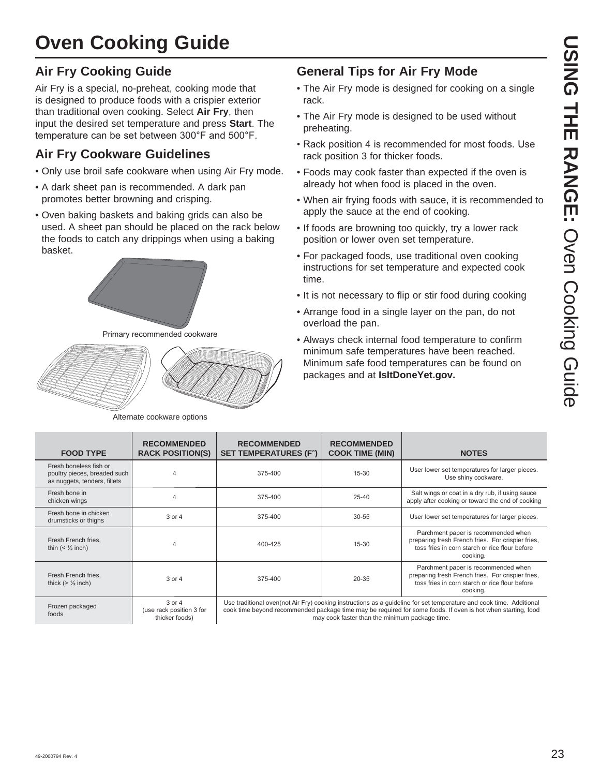# **Oven Cooking Guide**

### **Air Fry Cooking Guide**

Air Fry is a special, no-preheat, cooking mode that is designed to produce foods with a crispier exterior than traditional oven cooking. Select **Air Fry**, then input the desired set temperature and press **Start**. The temperature can be set between 300°F and 500°F.

### **Air Fry Cookware Guidelines**

- Only use broil safe cookware when using Air Fry mode.
- A dark sheet pan is recommended. A dark pan promotes better browning and crisping.
- Oven baking baskets and baking grids can also be used. A sheet pan should be placed on the rack below the foods to catch any drippings when using a baking basket.



Primary recommended cookware



Alternate cookware options

### **General Tips for Air Fry Mode**

- The Air Fry mode is designed for cooking on a single rack.
- The Air Fry mode is designed to be used without preheating.
- Rack position 4 is recommended for most foods. Use rack position 3 for thicker foods.
- Foods may cook faster than expected if the oven is already hot when food is placed in the oven.
- When air frying foods with sauce, it is recommended to apply the sauce at the end of cooking.
- If foods are browning too quickly, try a lower rack position or lower oven set temperature.
- For packaged foods, use traditional oven cooking instructions for set temperature and expected cook time.
- It is not necessary to flip or stir food during cooking
- Arrange food in a single layer on the pan, do not overload the pan.
- Always check internal food temperature to confirm minimum safe temperatures have been reached. Minimum safe food temperatures can be found on packages and at **IsItDoneYet.gov.**

| <b>FOOD TYPE</b>                                                                       | <b>RECOMMENDED</b><br><b>RACK POSITION(S)</b>            | <b>RECOMMENDED</b><br><b>SET TEMPERATURES (F°)</b>                                                                                                                                                                                                                                     | <b>RECOMMENDED</b><br><b>COOK TIME (MIN)</b> | <b>NOTES</b>                                                                                                                                           |
|----------------------------------------------------------------------------------------|----------------------------------------------------------|----------------------------------------------------------------------------------------------------------------------------------------------------------------------------------------------------------------------------------------------------------------------------------------|----------------------------------------------|--------------------------------------------------------------------------------------------------------------------------------------------------------|
| Fresh boneless fish or<br>poultry pieces, breaded such<br>as nuggets, tenders, fillets | 4                                                        | 375-400                                                                                                                                                                                                                                                                                | $15 - 30$                                    | User lower set temperatures for larger pieces.<br>Use shiny cookware.                                                                                  |
| Fresh bone in<br>chicken wings                                                         | 4                                                        | 375-400                                                                                                                                                                                                                                                                                | $25 - 40$                                    | Salt wings or coat in a dry rub, if using sauce<br>apply after cooking or toward the end of cooking                                                    |
| Fresh bone in chicken<br>drumsticks or thighs                                          | $3$ or $4$                                               | 375-400                                                                                                                                                                                                                                                                                | $30 - 55$                                    | User lower set temperatures for larger pieces.                                                                                                         |
| Fresh French fries,<br>thin $(\frac{1}{2} inch)$                                       | 4                                                        | 400-425                                                                                                                                                                                                                                                                                | $15 - 30$                                    | Parchment paper is recommended when<br>preparing fresh French fries. For crispier fries,<br>toss fries in corn starch or rice flour before<br>cooking. |
| Fresh French fries,<br>thick $(>\frac{1}{2}$ inch)                                     | 3 or 4                                                   | 375-400                                                                                                                                                                                                                                                                                | 20-35                                        | Parchment paper is recommended when<br>preparing fresh French fries. For crispier fries,<br>toss fries in corn starch or rice flour before<br>cooking. |
| Frozen packaged<br>foods                                                               | $3$ or $4$<br>(use rack position 3 for<br>thicker foods) | Use traditional oven (not Air Fry) cooking instructions as a guideline for set temperature and cook time. Additional<br>cook time beyond recommended package time may be required for some foods. If oven is hot when starting, food<br>may cook faster than the minimum package time. |                                              |                                                                                                                                                        |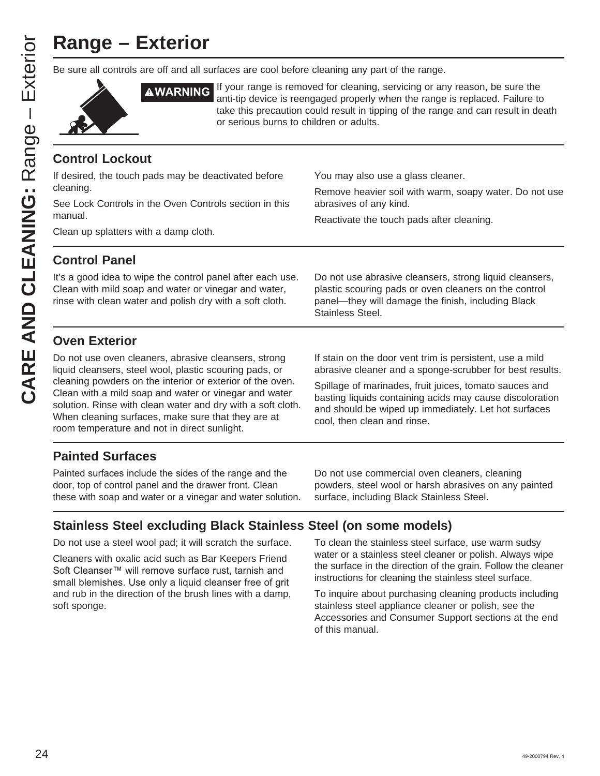# **Range – Exterior**

Be sure all controls are off and all surfaces are cool before cleaning any part of the range.



**AWARNING** If your range is removed for cleaning, servicing or any reason, be sure the anti-tip device is reengaged properly when the range is replaced. Failure to take this precaution could result in tipping of the range and can result in death or serious burns to children or adults.

### **Control Lockout**

If desired, the touch pads may be deactivated before cleaning. See Lock Controls in the Oven Controls section in this manual. Clean up splatters with a damp cloth. You may also use a glass cleaner. Remove heavier soil with warm, soapy water. Do not use abrasives of any kind. Reactivate the touch pads after cleaning. **Control Panel** It's a good idea to wipe the control panel after each use. Clean with mild soap and water or vinegar and water, rinse with clean water and polish dry with a soft cloth. Do not use abrasive cleansers, strong liquid cleansers, plastic scouring pads or oven cleaners on the control panel-they will damage the finish, including Black Stainless Steel.

### **Oven Exterior**

Do not use oven cleaners, abrasive cleansers, strong liquid cleansers, steel wool, plastic scouring pads, or cleaning powders on the interior or exterior of the oven. Clean with a mild soap and water or vinegar and water solution. Rinse with clean water and dry with a soft cloth. When cleaning surfaces, make sure that they are at room temperature and not in direct sunlight.

If stain on the door vent trim is persistent, use a mild abrasive cleaner and a sponge-scrubber for best results.

Spillage of marinades, fruit juices, tomato sauces and basting liquids containing acids may cause discoloration and should be wiped up immediately. Let hot surfaces cool, then clean and rinse.

### **Painted Surfaces**

Painted surfaces include the sides of the range and the door, top of control panel and the drawer front. Clean these with soap and water or a vinegar and water solution.

Do not use commercial oven cleaners, cleaning powders, steel wool or harsh abrasives on any painted surface, including Black Stainless Steel.

### **Stainless Steel excluding Black Stainless Steel (on some models)**

Do not use a steel wool pad; it will scratch the surface.

Cleaners with oxalic acid such as Bar Keepers Friend Soft Cleanser™ will remove surface rust, tarnish and small blemishes. Use only a liquid cleanser free of grit and rub in the direction of the brush lines with a damp, soft sponge.

To clean the stainless steel surface, use warm sudsy water or a stainless steel cleaner or polish. Always wipe the surface in the direction of the grain. Follow the cleaner instructions for cleaning the stainless steel surface.

To inquire about purchasing cleaning products including stainless steel appliance cleaner or polish, see the Accessories and Consumer Support sections at the end of this manual.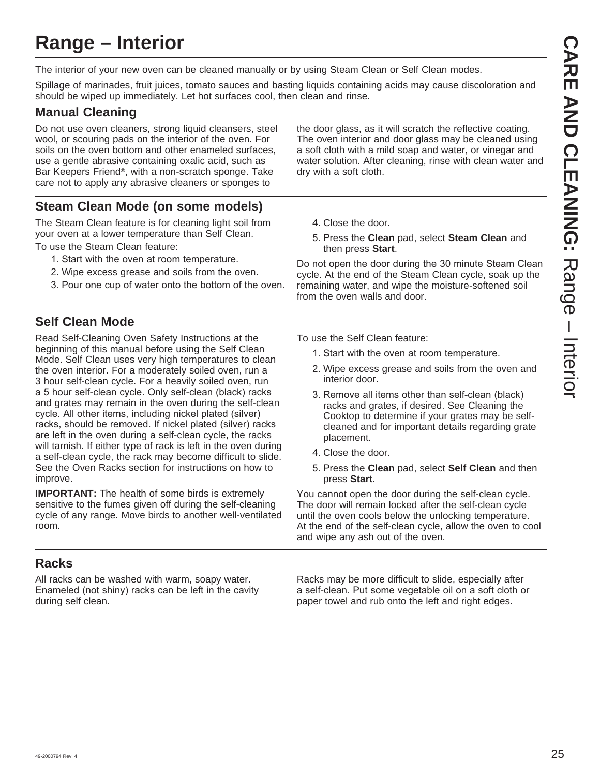# **Range – Interior**

The interior of your new oven can be cleaned manually or by using Steam Clean or Self Clean modes.

Spillage of marinades, fruit juices, tomato sauces and basting liquids containing acids may cause discoloration and should be wiped up immediately. Let hot surfaces cool, then clean and rinse.

### **Manual Cleaning**

Do not use oven cleaners, strong liquid cleansers, steel wool, or scouring pads on the interior of the oven. For soils on the oven bottom and other enameled surfaces, use a gentle abrasive containing oxalic acid, such as Bar Keepers Friend®, with a non-scratch sponge. Take care not to apply any abrasive cleaners or sponges to

the door glass, as it will scratch the reflective coating. The oven interior and door glass may be cleaned using a soft cloth with a mild soap and water, or vinegar and water solution. After cleaning, rinse with clean water and dry with a soft cloth.

### **Steam Clean Mode (on some models)**

The Steam Clean feature is for cleaning light soil from your oven at a lower temperature than Self Clean. To use the Steam Clean feature:

- 1. Start with the oven at room temperature.
- 2. Wipe excess grease and soils from the oven.
- 3. Pour one cup of water onto the bottom of the oven.

### **Self Clean Mode**

Read Self-Cleaning Oven Safety Instructions at the beginning of this manual before using the Self Clean Mode. Self Clean uses very high temperatures to clean the oven interior. For a moderately soiled oven, run a 3 hour self-clean cycle. For a heavily soiled oven, run a 5 hour self-clean cycle. Only self-clean (black) racks and grates may remain in the oven during the self-clean cycle. All other items, including nickel plated (silver) racks, should be removed. If nickel plated (silver) racks are left in the oven during a self-clean cycle, the racks will tarnish. If either type of rack is left in the oven during a self-clean cycle, the rack may become difficult to slide. See the Oven Racks section for instructions on how to improve.

**IMPORTANT:** The health of some birds is extremely sensitive to the fumes given off during the self-cleaning cycle of any range. Move birds to another well-ventilated room.

### **Racks**

All racks can be washed with warm, soapy water. Enameled (not shiny) racks can be left in the cavity during self clean.

- 4. Close the door.
- 5. Press the Clean pad, select Steam Clean and then press **Start**.

Do not open the door during the 30 minute Steam Clean cycle. At the end of the Steam Clean cycle, soak up the remaining water, and wipe the moisture-softened soil from the oven walls and door.

To use the Self Clean feature:

- 1. Start with the oven at room temperature.
- 2. Wipe excess grease and soils from the oven and interior door.
- 3. Remove all items other than self-clean (black) racks and grates, if desired. See Cleaning the Cooktop to determine if your grates may be selfcleaned and for important details regarding grate placement.
- 4. Close the door.
- 5. Press the **Clean** pad, select **Self Clean** and then press **Start**.

You cannot open the door during the self-clean cycle. The door will remain locked after the self-clean cycle until the oven cools below the unlocking temperature. At the end of the self-clean cycle, allow the oven to cool and wipe any ash out of the oven.

Racks may be more difficult to slide, especially after a self-clean. Put some vegetable oil on a soft cloth or paper towel and rub onto the left and right edges.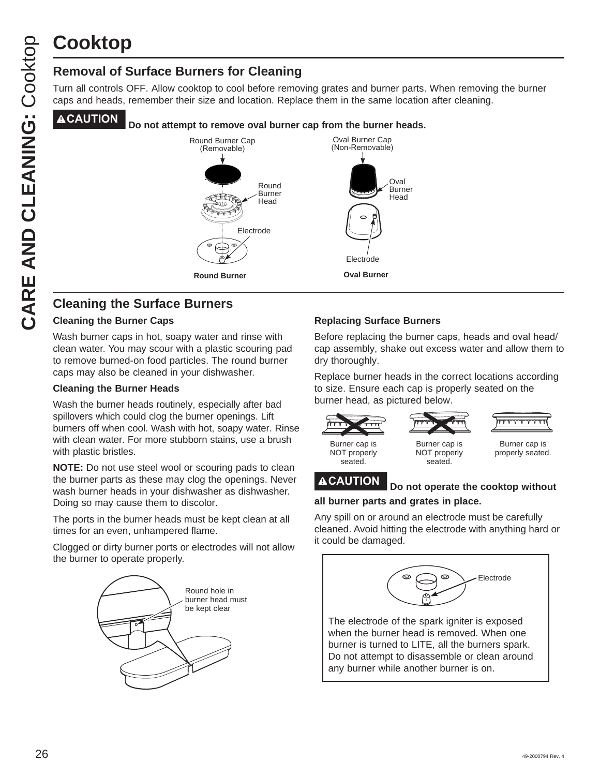# **Cooktop**

### **Removal of Surface Burners for Cleaning**

Turn all controls OFF. Allow cooktop to cool before removing grates and burner parts. When removing the burner caps and heads, remember their size and location. Replace them in the same location after cleaning.

### **CAUTION Do not attempt to remove oval burner cap from the burner heads.**



### **Cleaning the Surface Burners**

### **Cleaning the Burner Caps**

Wash burner caps in hot, soapy water and rinse with clean water. You may scour with a plastic scouring pad to remove burned-on food particles. The round burner caps may also be cleaned in your dishwasher.

### **Cleaning the Burner Heads**

Wash the burner heads routinely, especially after bad spillovers which could clog the burner openings. Lift burners off when cool. Wash with hot, soapy water. Rinse with clean water. For more stubborn stains, use a brush with plastic bristles.

**NOTE:** Do not use steel wool or scouring pads to clean the burner parts as these may clog the openings. Never wash burner heads in your dishwasher as dishwasher. Doing so may cause them to discolor.

The ports in the burner heads must be kept clean at all times for an even, unhampered flame.

Clogged or dirty burner ports or electrodes will not allow the burner to operate properly.



### **Replacing Surface Burners**

Before replacing the burner caps, heads and oval head/ cap assembly, shake out excess water and allow them to dry thoroughly.

Replace burner heads in the correct locations according to size. Ensure each cap is properly seated on the burner head, as pictured below.

| Burner cap is | Burner cap is |
|---------------|---------------|
| NOT properly  | NOT properly  |
| seated.       | seated.       |

Burner cap is properly seated.

### **CAUTION Do not operate the cooktop without**

### **all burner parts and grates in place.**

Any spill on or around an electrode must be carefully cleaned. Avoid hitting the electrode with anything hard or it could be damaged.



Do not attempt to disassemble or clean around any burner while another burner is on.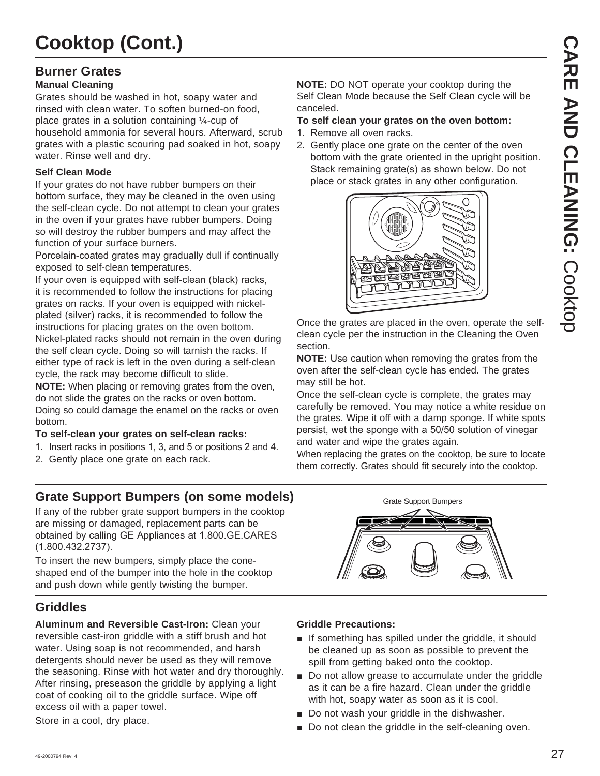### **Burner Grates**

### **Manual Cleaning**

Grates should be washed in hot, soapy water and rinsed with clean water. To soften burned-on food, place grates in a solution containing ¼-cup of household ammonia for several hours. Afterward, scrub grates with a plastic scouring pad soaked in hot, soapy water. Rinse well and dry.

### **Self Clean Mode**

If your grates do not have rubber bumpers on their bottom surface, they may be cleaned in the oven using the self-clean cycle. Do not attempt to clean your grates in the oven if your grates have rubber bumpers. Doing so will destroy the rubber bumpers and may affect the function of your surface burners.

Porcelain-coated grates may gradually dull if continually exposed to self-clean temperatures.

If your oven is equipped with self-clean (black) racks, it is recommended to follow the instructions for placing grates on racks. If your oven is equipped with nickelplated (silver) racks, it is recommended to follow the instructions for placing grates on the oven bottom. Nickel-plated racks should not remain in the oven during the self clean cycle. Doing so will tarnish the racks. If either type of rack is left in the oven during a self-clean cycle, the rack may become difficult to slide.

**NOTE:** When placing or removing grates from the oven, do not slide the grates on the racks or oven bottom. Doing so could damage the enamel on the racks or oven bottom.

### **To self-clean your grates on self-clean racks:**

- 1. Insert racks in positions 1, 3, and 5 or positions 2 and 4.
- 2. Gently place one grate on each rack.

### **Grate Support Bumpers (on some models)**

If any of the rubber grate support bumpers in the cooktop are missing or damaged, replacement parts can be obtained by calling GE Appliances at 1.800.GE.CARES  $(1.800.432.2737).$ 

To insert the new bumpers, simply place the coneshaped end of the bumper into the hole in the cooktop and push down while gently twisting the bumper.

### **Griddles**

**Aluminum and Reversible Cast-Iron:** Clean your reversible cast-iron griddle with a stiff brush and hot water. Using soap is not recommended, and harsh detergents should never be used as they will remove the seasoning. Rinse with hot water and dry thoroughly. After rinsing, preseason the griddle by applying a light coat of cooking oil to the griddle surface. Wipe off excess oil with a paper towel.

Store in a cool, dry place.

**NOTE:** DO NOT operate your cooktop during the Self Clean Mode because the Self Clean cycle will be canceled.

### **To self clean your grates on the oven bottom:**

- 1. Remove all oven racks.
- 2. Gently place one grate on the center of the oven bottom with the grate oriented in the upright position. Stack remaining grate(s) as shown below. Do not place or stack grates in any other configuration.



Once the grates are placed in the oven, operate the selfclean cycle per the instruction in the Cleaning the Oven section.

**NOTE:** Use caution when removing the grates from the oven after the self-clean cycle has ended. The grates may still be hot.

Once the self-clean cycle is complete, the grates may carefully be removed. You may notice a white residue on the grates. Wipe it off with a damp sponge. If white spots persist, wet the sponge with a 50/50 solution of vinegar and water and wipe the grates again.

When replacing the grates on the cooktop, be sure to locate them correctly. Grates should fit securely into the cooktop.



### **Griddle Precautions:**

- $\blacksquare$  If something has spilled under the griddle, it should be cleaned up as soon as possible to prevent the spill from getting baked onto the cooktop.
- Do not allow grease to accumulate under the griddle as it can be a fire hazard. Clean under the griddle with hot, soapy water as soon as it is cool.
- $\blacksquare$  Do not wash your griddle in the dishwasher.
- Do not clean the griddle in the self-cleaning oven.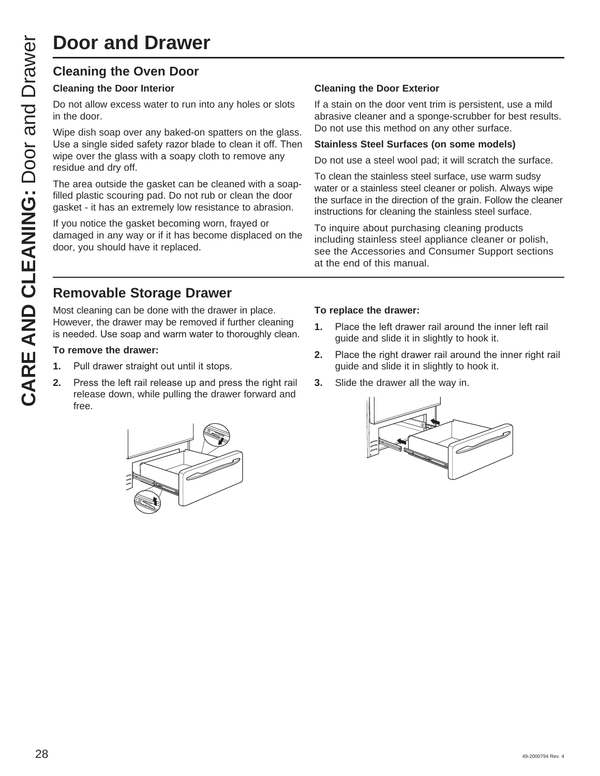### **Cleaning the Oven Door**

### **Cleaning the Door Interior**

Do not allow excess water to run into any holes or slots in the door.

Wipe dish soap over any baked-on spatters on the glass. Use a single sided safety razor blade to clean it off. Then wipe over the glass with a soapy cloth to remove any residue and dry off.

The area outside the gasket can be cleaned with a soapfilled plastic scouring pad. Do not rub or clean the door gasket - it has an extremely low resistance to abrasion.

If you notice the gasket becoming worn, frayed or damaged in any way or if it has become displaced on the door, you should have it replaced.

### **Cleaning the Door Exterior**

If a stain on the door vent trim is persistent, use a mild abrasive cleaner and a sponge-scrubber for best results. Do not use this method on any other surface.

### **Stainless Steel Surfaces (on some models)**

Do not use a steel wool pad; it will scratch the surface.

To clean the stainless steel surface, use warm sudsy water or a stainless steel cleaner or polish. Always wipe the surface in the direction of the grain. Follow the cleaner instructions for cleaning the stainless steel surface.

To inquire about purchasing cleaning products including stainless steel appliance cleaner or polish, see the Accessories and Consumer Support sections at the end of this manual.

### **Removable Storage Drawer**

Most cleaning can be done with the drawer in place. However, the drawer may be removed if further cleaning is needed. Use soap and warm water to thoroughly clean.

### **To remove the drawer:**

- **1.** Pull drawer straight out until it stops.
- **2.** Press the left rail release up and press the right rail release down, while pulling the drawer forward and free.



### **To replace the drawer:**

- **1.** Place the left drawer rail around the inner left rail guide and slide it in slightly to hook it.
- **2.** Place the right drawer rail around the inner right rail guide and slide it in slightly to hook it.
- **3.** Slide the drawer all the way in.

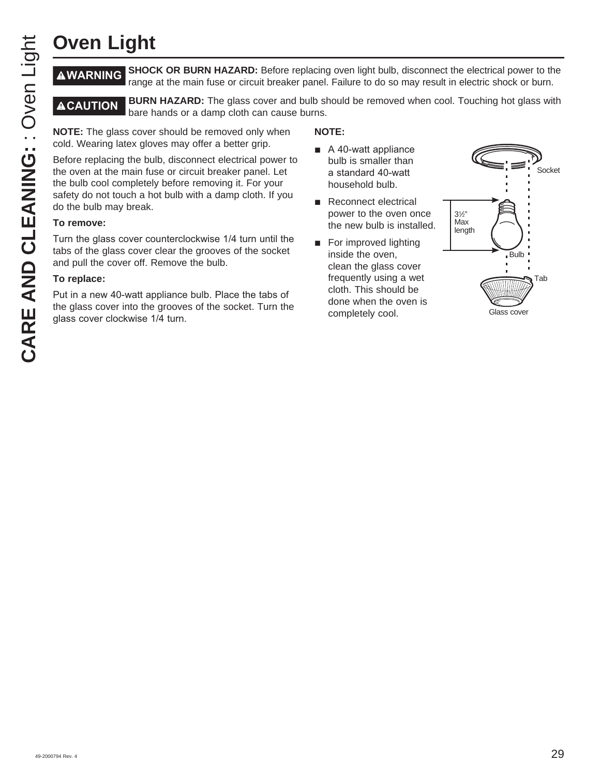# **Oven Light**

**WARNING SHOCK OR BURN HAZARD:** Before replacing oven light bulb, disconnect the electrical power to the range at the main fuse or circuit breaker panel. Failure to do so may result in electric shock or burn.

**ACAUTION** BURN HAZARD: The glass cover and bulb should be removed when cool. Touching hot glass with bare hands or a damp cloth can cause burns.

**NOTE:** The glass cover should be removed only when cold. Wearing latex gloves may offer a better grip.

Before replacing the bulb, disconnect electrical power to the oven at the main fuse or circuit breaker panel. Let the bulb cool completely before removing it. For your safety do not touch a hot bulb with a damp cloth. If you do the bulb may break.

### **To remove:**

Turn the glass cover counterclockwise 1/4 turn until the tabs of the glass cover clear the grooves of the socket and pull the cover off. Remove the bulb.

### **To replace:**

Put in a new 40-watt appliance bulb. Place the tabs of the glass cover into the grooves of the socket. Turn the glass cover clockwise 1/4 turn.

### **NOTE:**

- $\blacksquare$  A 40-watt appliance bulb is smaller than a standard 40-watt household bulb.
- $\blacksquare$  Reconnect electrical power to the oven once the new bulb is installed.
- $\blacksquare$  For improved lighting inside the oven, clean the glass cover frequently using a wet cloth. This should be done when the oven is completely cool.

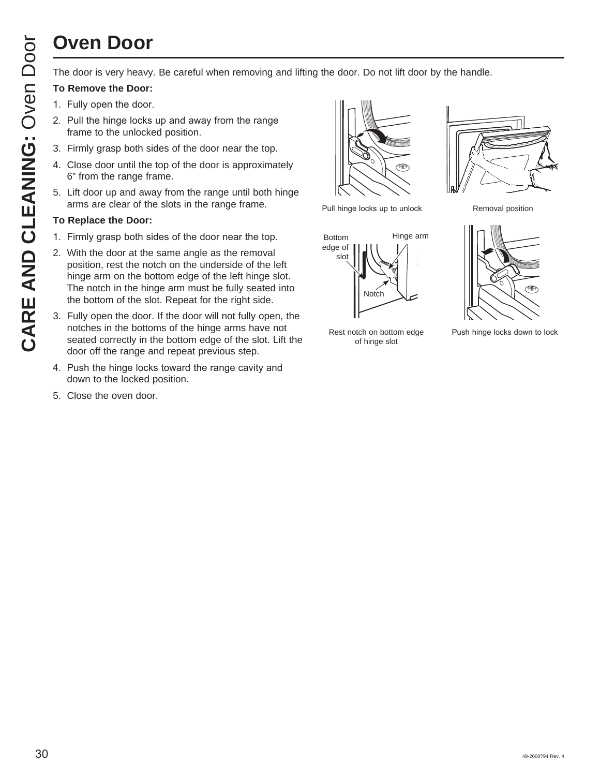# **Oven Door**

The door is very heavy. Be careful when removing and lifting the door. Do not lift door by the handle.

### **To Remove the Door:**

- 1. Fully open the door.
- 2. Pull the hinge locks up and away from the range frame to the unlocked position.
- 3. Firmly grasp both sides of the door near the top.
- 4. Close door until the top of the door is approximately 6" from the range frame.
- 5. Lift door up and away from the range until both hinge arms are clear of the slots in the range frame.

### **To Replace the Door:**

- 1. Firmly grasp both sides of the door near the top.
- 2. With the door at the same angle as the removal position, rest the notch on the underside of the left hinge arm on the bottom edge of the left hinge slot. The notch in the hinge arm must be fully seated into the bottom of the slot. Repeat for the right side.
- 3. Fully open the door. If the door will not fully open, the notches in the bottoms of the hinge arms have not seated correctly in the bottom edge of the slot. Lift the door off the range and repeat previous step.
- 4. Push the hinge locks toward the range cavity and down to the locked position.
- 5. Close the oven door.



Pull hinge locks up to unlock Removal position







of hinge slot

Rest notch on bottom edge 3XV Push hinge locks down to lock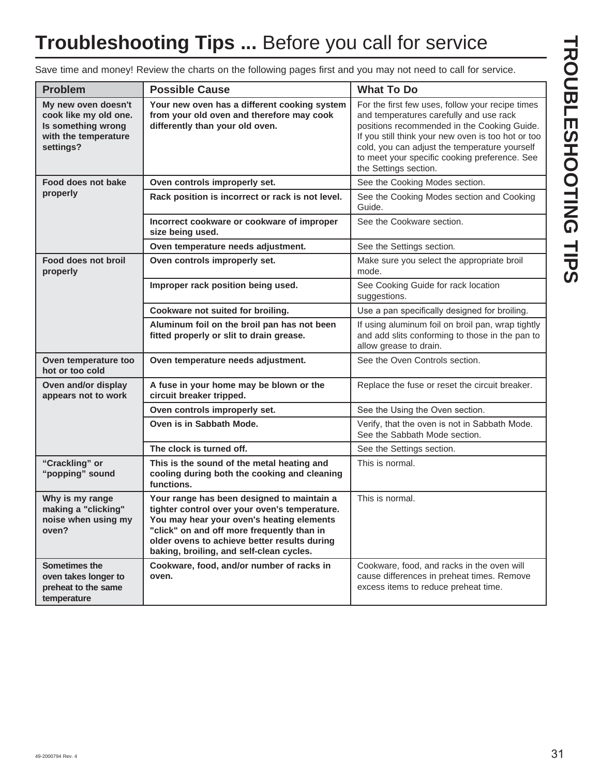# **Troubleshooting Tips ...** Before you call for service

Save time and money! Review the charts on the following pages first and you may not need to call for service.

| <b>Problem</b>                                                                                          | <b>Possible Cause</b>                                                                                                                                                                                                                                                              | <b>What To Do</b>                                                                                                                                                                                                                                                                                                           |
|---------------------------------------------------------------------------------------------------------|------------------------------------------------------------------------------------------------------------------------------------------------------------------------------------------------------------------------------------------------------------------------------------|-----------------------------------------------------------------------------------------------------------------------------------------------------------------------------------------------------------------------------------------------------------------------------------------------------------------------------|
| My new oven doesn't<br>cook like my old one.<br>Is something wrong<br>with the temperature<br>settings? | Your new oven has a different cooking system<br>from your old oven and therefore may cook<br>differently than your old oven.                                                                                                                                                       | For the first few uses, follow your recipe times<br>and temperatures carefully and use rack<br>positions recommended in the Cooking Guide.<br>If you still think your new oven is too hot or too<br>cold, you can adjust the temperature yourself<br>to meet your specific cooking preference. See<br>the Settings section. |
| Food does not bake                                                                                      | Oven controls improperly set.                                                                                                                                                                                                                                                      | See the Cooking Modes section.                                                                                                                                                                                                                                                                                              |
| properly                                                                                                | Rack position is incorrect or rack is not level.                                                                                                                                                                                                                                   | See the Cooking Modes section and Cooking<br>Guide.                                                                                                                                                                                                                                                                         |
|                                                                                                         | Incorrect cookware or cookware of improper<br>size being used.                                                                                                                                                                                                                     | See the Cookware section.                                                                                                                                                                                                                                                                                                   |
|                                                                                                         | Oven temperature needs adjustment.                                                                                                                                                                                                                                                 | See the Settings section.                                                                                                                                                                                                                                                                                                   |
| Food does not broil<br>properly                                                                         | Oven controls improperly set.                                                                                                                                                                                                                                                      | Make sure you select the appropriate broil<br>mode.                                                                                                                                                                                                                                                                         |
|                                                                                                         | Improper rack position being used.                                                                                                                                                                                                                                                 | See Cooking Guide for rack location<br>suggestions.                                                                                                                                                                                                                                                                         |
|                                                                                                         | Cookware not suited for broiling.                                                                                                                                                                                                                                                  | Use a pan specifically designed for broiling.                                                                                                                                                                                                                                                                               |
|                                                                                                         | Aluminum foil on the broil pan has not been<br>fitted properly or slit to drain grease.                                                                                                                                                                                            | If using aluminum foil on broil pan, wrap tightly<br>and add slits conforming to those in the pan to<br>allow grease to drain.                                                                                                                                                                                              |
| Oven temperature too<br>hot or too cold                                                                 | Oven temperature needs adjustment.                                                                                                                                                                                                                                                 | See the Oven Controls section.                                                                                                                                                                                                                                                                                              |
| Oven and/or display<br>appears not to work                                                              | A fuse in your home may be blown or the<br>circuit breaker tripped.                                                                                                                                                                                                                | Replace the fuse or reset the circuit breaker.                                                                                                                                                                                                                                                                              |
|                                                                                                         | Oven controls improperly set.                                                                                                                                                                                                                                                      | See the Using the Oven section.                                                                                                                                                                                                                                                                                             |
|                                                                                                         | Oven is in Sabbath Mode.                                                                                                                                                                                                                                                           | Verify, that the oven is not in Sabbath Mode.<br>See the Sabbath Mode section.                                                                                                                                                                                                                                              |
|                                                                                                         | The clock is turned off.                                                                                                                                                                                                                                                           | See the Settings section.                                                                                                                                                                                                                                                                                                   |
| "Crackling" or<br>"popping" sound                                                                       | This is the sound of the metal heating and<br>cooling during both the cooking and cleaning<br>functions.                                                                                                                                                                           | This is normal.                                                                                                                                                                                                                                                                                                             |
| Why is my range<br>making a "clicking"<br>noise when using my<br>oven?                                  | Your range has been designed to maintain a<br>tighter control over your oven's temperature.<br>You may hear your oven's heating elements<br>"click" on and off more frequently than in<br>older ovens to achieve better results during<br>baking, broiling, and self-clean cycles. | This is normal.                                                                                                                                                                                                                                                                                                             |
| <b>Sometimes the</b><br>oven takes longer to<br>preheat to the same<br>temperature                      | Cookware, food, and/or number of racks in<br>oven.                                                                                                                                                                                                                                 | Cookware, food, and racks in the oven will<br>cause differences in preheat times. Remove<br>excess items to reduce preheat time.                                                                                                                                                                                            |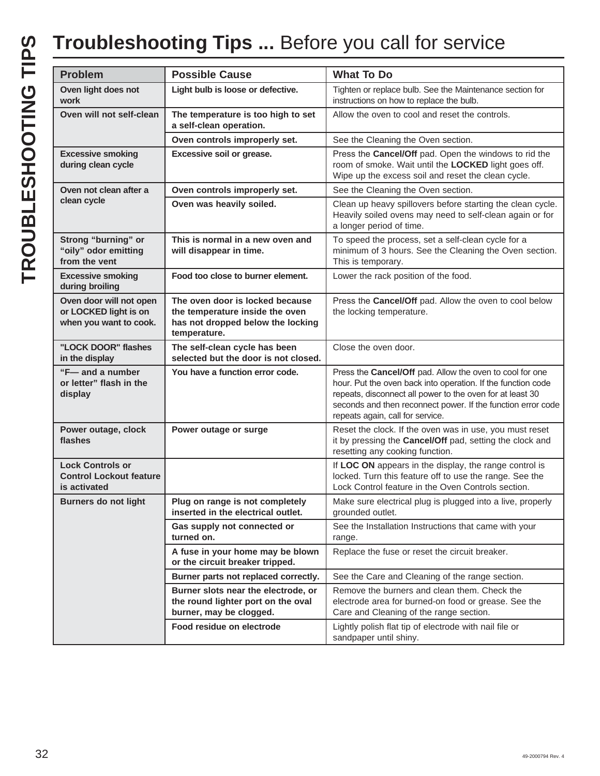# **Troubleshooting Tips ...** Before you call for service

| <b>Problem</b>                                                             | <b>Possible Cause</b>                                                                                                   | <b>What To Do</b>                                                                                                                                                                                                                                                                         |
|----------------------------------------------------------------------------|-------------------------------------------------------------------------------------------------------------------------|-------------------------------------------------------------------------------------------------------------------------------------------------------------------------------------------------------------------------------------------------------------------------------------------|
| Oven light does not<br>work                                                | Light bulb is loose or defective.                                                                                       | Tighten or replace bulb. See the Maintenance section for<br>instructions on how to replace the bulb.                                                                                                                                                                                      |
| Oven will not self-clean                                                   | The temperature is too high to set<br>a self-clean operation.                                                           | Allow the oven to cool and reset the controls.                                                                                                                                                                                                                                            |
|                                                                            | Oven controls improperly set.                                                                                           | See the Cleaning the Oven section.                                                                                                                                                                                                                                                        |
| <b>Excessive smoking</b><br>during clean cycle                             | Excessive soil or grease.                                                                                               | Press the Cancel/Off pad. Open the windows to rid the<br>room of smoke. Wait until the LOCKED light goes off.<br>Wipe up the excess soil and reset the clean cycle.                                                                                                                       |
| Oven not clean after a                                                     | Oven controls improperly set.                                                                                           | See the Cleaning the Oven section.                                                                                                                                                                                                                                                        |
| clean cycle                                                                | Oven was heavily soiled.                                                                                                | Clean up heavy spillovers before starting the clean cycle.<br>Heavily soiled ovens may need to self-clean again or for<br>a longer period of time.                                                                                                                                        |
| Strong "burning" or<br>"oily" odor emitting<br>from the vent               | This is normal in a new oven and<br>will disappear in time.                                                             | To speed the process, set a self-clean cycle for a<br>minimum of 3 hours. See the Cleaning the Oven section.<br>This is temporary.                                                                                                                                                        |
| <b>Excessive smoking</b><br>during broiling                                | Food too close to burner element.                                                                                       | Lower the rack position of the food.                                                                                                                                                                                                                                                      |
| Oven door will not open<br>or LOCKED light is on<br>when you want to cook. | The oven door is locked because<br>the temperature inside the oven<br>has not dropped below the locking<br>temperature. | Press the Cancel/Off pad. Allow the oven to cool below<br>the locking temperature.                                                                                                                                                                                                        |
| "LOCK DOOR" flashes<br>in the display                                      | The self-clean cycle has been<br>selected but the door is not closed.                                                   | Close the oven door.                                                                                                                                                                                                                                                                      |
| "F-and a number<br>or letter" flash in the<br>display                      | You have a function error code.                                                                                         | Press the Cancel/Off pad. Allow the oven to cool for one<br>hour. Put the oven back into operation. If the function code<br>repeats, disconnect all power to the oven for at least 30<br>seconds and then reconnect power. If the function error code<br>repeats again, call for service. |
| Power outage, clock<br>flashes                                             | Power outage or surge                                                                                                   | Reset the clock. If the oven was in use, you must reset<br>it by pressing the Cancel/Off pad, setting the clock and<br>resetting any cooking function.                                                                                                                                    |
| <b>Lock Controls or</b><br><b>Control Lockout feature</b><br>is activated  |                                                                                                                         | If LOC ON appears in the display, the range control is<br>locked. Turn this feature off to use the range. See the<br>Lock Control feature in the Oven Controls section.                                                                                                                   |
| <b>Burners do not light</b>                                                | Plug on range is not completely<br>inserted in the electrical outlet.                                                   | Make sure electrical plug is plugged into a live, properly<br>grounded outlet.                                                                                                                                                                                                            |
|                                                                            | Gas supply not connected or<br>turned on.                                                                               | See the Installation Instructions that came with your<br>range.                                                                                                                                                                                                                           |
|                                                                            | A fuse in your home may be blown<br>or the circuit breaker tripped.                                                     | Replace the fuse or reset the circuit breaker.                                                                                                                                                                                                                                            |
|                                                                            | Burner parts not replaced correctly.                                                                                    | See the Care and Cleaning of the range section.                                                                                                                                                                                                                                           |
|                                                                            | Burner slots near the electrode, or<br>the round lighter port on the oval<br>burner, may be clogged.                    | Remove the burners and clean them. Check the<br>electrode area for burned-on food or grease. See the<br>Care and Cleaning of the range section.                                                                                                                                           |
|                                                                            | Food residue on electrode                                                                                               | Lightly polish flat tip of electrode with nail file or<br>sandpaper until shiny.                                                                                                                                                                                                          |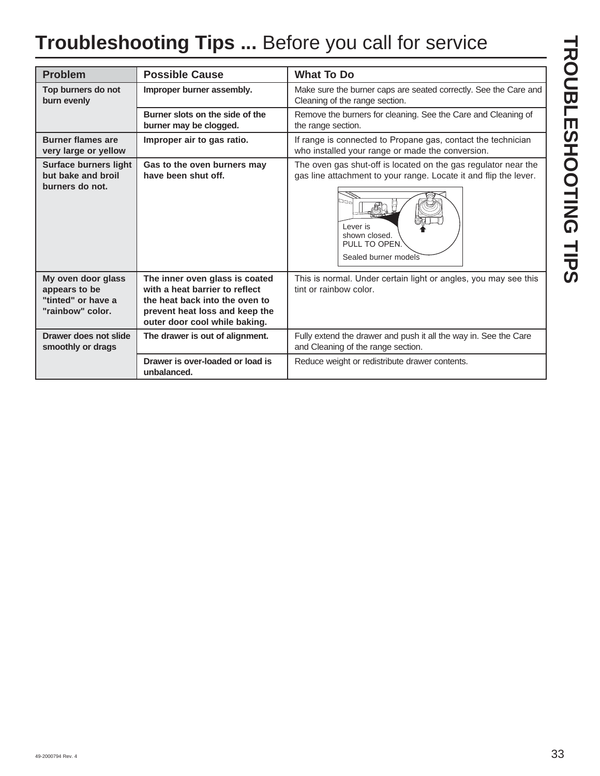# **Troubleshooting Tips ...** Before you call for service

| <b>Problem</b>                                                                | <b>Possible Cause</b>                                                                                                                                                 | <b>What To Do</b>                                                                                                                                                                                              |
|-------------------------------------------------------------------------------|-----------------------------------------------------------------------------------------------------------------------------------------------------------------------|----------------------------------------------------------------------------------------------------------------------------------------------------------------------------------------------------------------|
| Top burners do not<br>burn evenly                                             | Improper burner assembly.                                                                                                                                             | Make sure the burner caps are seated correctly. See the Care and<br>Cleaning of the range section.                                                                                                             |
|                                                                               | Burner slots on the side of the<br>burner may be clogged.                                                                                                             | Remove the burners for cleaning. See the Care and Cleaning of<br>the range section.                                                                                                                            |
| <b>Burner flames are</b><br>very large or yellow                              | Improper air to gas ratio.                                                                                                                                            | If range is connected to Propane gas, contact the technician<br>who installed your range or made the conversion.                                                                                               |
| <b>Surface burners light</b><br>but bake and broil<br>burners do not.         | Gas to the oven burners may<br>have been shut off.                                                                                                                    | The oven gas shut-off is located on the gas regulator near the<br>gas line attachment to your range. Locate it and flip the lever.<br>הם<br>Lever is<br>shown closed.<br>PULL TO OPEN.<br>Sealed burner models |
| My oven door glass<br>appears to be<br>"tinted" or have a<br>"rainbow" color. | The inner oven glass is coated<br>with a heat barrier to reflect<br>the heat back into the oven to<br>prevent heat loss and keep the<br>outer door cool while baking. | This is normal. Under certain light or angles, you may see this<br>tint or rainbow color.                                                                                                                      |
| Drawer does not slide<br>smoothly or drags                                    | The drawer is out of alignment.                                                                                                                                       | Fully extend the drawer and push it all the way in. See the Care<br>and Cleaning of the range section.                                                                                                         |
|                                                                               | Drawer is over-loaded or load is<br>unbalanced.                                                                                                                       | Reduce weight or redistribute drawer contents.                                                                                                                                                                 |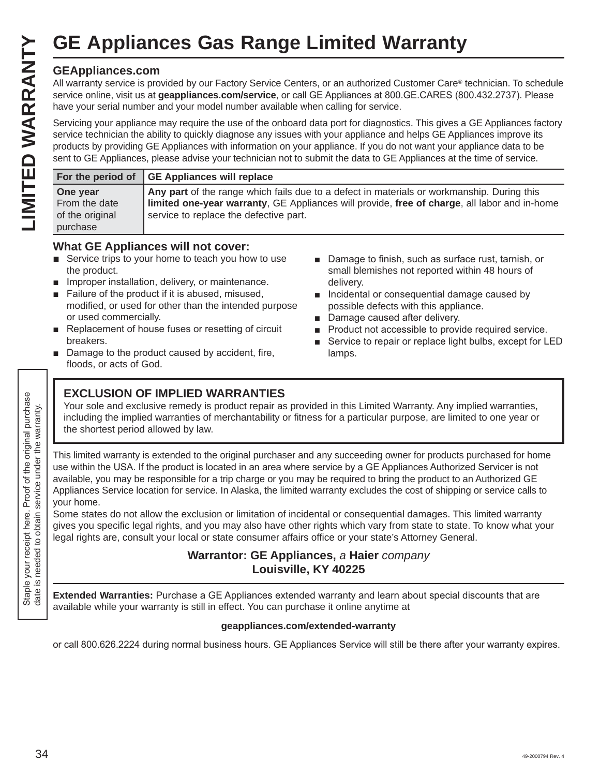### **GEAppliances.com**

|                                                                                                                |                                                                                                                                                                                                                                                                                                                                                                                                                                                                                                                                                                                                                                                                                                                                                                                                                                                                           | <b>GE Appliances Gas Range Limited Warranty</b>                                                                                                                                                                                                                                                                                                                           |                                                                                                                                                                                                                                                                                                                                                                                                                                                                                                                                                                                                                                                                                                                                                      |  |
|----------------------------------------------------------------------------------------------------------------|---------------------------------------------------------------------------------------------------------------------------------------------------------------------------------------------------------------------------------------------------------------------------------------------------------------------------------------------------------------------------------------------------------------------------------------------------------------------------------------------------------------------------------------------------------------------------------------------------------------------------------------------------------------------------------------------------------------------------------------------------------------------------------------------------------------------------------------------------------------------------|---------------------------------------------------------------------------------------------------------------------------------------------------------------------------------------------------------------------------------------------------------------------------------------------------------------------------------------------------------------------------|------------------------------------------------------------------------------------------------------------------------------------------------------------------------------------------------------------------------------------------------------------------------------------------------------------------------------------------------------------------------------------------------------------------------------------------------------------------------------------------------------------------------------------------------------------------------------------------------------------------------------------------------------------------------------------------------------------------------------------------------------|--|
| LIMITED WARRANTY                                                                                               | <b>GEAppliances.com</b>                                                                                                                                                                                                                                                                                                                                                                                                                                                                                                                                                                                                                                                                                                                                                                                                                                                   | have your serial number and your model number available when calling for service.                                                                                                                                                                                                                                                                                         | All warranty service is provided by our Factory Service Centers, or an authorized Customer Care® technician. To schedule<br>service online, visit us at geappliances.com/service, or call GE Appliances at 800.GE.CARES (800.432.2737). Please<br>Servicing your appliance may require the use of the onboard data port for diagnostics. This gives a GE Appliances factory<br>service technician the ability to quickly diagnose any issues with your appliance and helps GE Appliances improve its<br>products by providing GE Appliances with information on your appliance. If you do not want your appliance data to be<br>sent to GE Appliances, please advise your technician not to submit the data to GE Appliances at the time of service. |  |
|                                                                                                                | For the period of                                                                                                                                                                                                                                                                                                                                                                                                                                                                                                                                                                                                                                                                                                                                                                                                                                                         | <b>GE Appliances will replace</b>                                                                                                                                                                                                                                                                                                                                         |                                                                                                                                                                                                                                                                                                                                                                                                                                                                                                                                                                                                                                                                                                                                                      |  |
|                                                                                                                | One year<br>From the date<br>of the original<br>purchase                                                                                                                                                                                                                                                                                                                                                                                                                                                                                                                                                                                                                                                                                                                                                                                                                  | service to replace the defective part.                                                                                                                                                                                                                                                                                                                                    | Any part of the range which fails due to a defect in materials or workmanship. During this<br>limited one-year warranty, GE Appliances will provide, free of charge, all labor and in-home                                                                                                                                                                                                                                                                                                                                                                                                                                                                                                                                                           |  |
|                                                                                                                | the product.<br><b>COL</b><br>or used commercially.<br>breakers.<br>floods, or acts of God.                                                                                                                                                                                                                                                                                                                                                                                                                                                                                                                                                                                                                                                                                                                                                                               | <b>What GE Appliances will not cover:</b><br>Service trips to your home to teach you how to use<br>Improper installation, delivery, or maintenance.<br>Failure of the product if it is abused, misused,<br>modified, or used for other than the intended purpose<br>Replacement of house fuses or resetting of circuit<br>Damage to the product caused by accident, fire, | Damage to finish, such as surface rust, tarnish, or<br>small blemishes not reported within 48 hours of<br>delivery.<br>Incidental or consequential damage caused by<br>possible defects with this appliance.<br>Damage caused after delivery.<br>Product not accessible to provide required service.<br>Service to repair or replace light bulbs, except for LED<br>lamps.                                                                                                                                                                                                                                                                                                                                                                           |  |
| nder the warranty.                                                                                             | the shortest period allowed by law.                                                                                                                                                                                                                                                                                                                                                                                                                                                                                                                                                                                                                                                                                                                                                                                                                                       | <b>EXCLUSION OF IMPLIED WARRANTIES</b>                                                                                                                                                                                                                                                                                                                                    | Your sole and exclusive remedy is product repair as provided in this Limited Warranty. Any implied warranties,<br>including the implied warranties of merchantability or fitness for a particular purpose, are limited to one year or                                                                                                                                                                                                                                                                                                                                                                                                                                                                                                                |  |
| the original purchase<br>$\supset$<br>Staple your receipt here. Proof of<br>date is needed to obtain service u | This limited warranty is extended to the original purchaser and any succeeding owner for products purchased for home<br>use within the USA. If the product is located in an area where service by a GE Appliances Authorized Servicer is not<br>available, you may be responsible for a trip charge or you may be required to bring the product to an Authorized GE<br>Appliances Service location for service. In Alaska, the limited warranty excludes the cost of shipping or service calls to<br>your home.<br>Some states do not allow the exclusion or limitation of incidental or consequential damages. This limited warranty<br>gives you specific legal rights, and you may also have other rights which vary from state to state. To know what your<br>legal rights are, consult your local or state consumer affairs office or your state's Attorney General. |                                                                                                                                                                                                                                                                                                                                                                           |                                                                                                                                                                                                                                                                                                                                                                                                                                                                                                                                                                                                                                                                                                                                                      |  |
|                                                                                                                |                                                                                                                                                                                                                                                                                                                                                                                                                                                                                                                                                                                                                                                                                                                                                                                                                                                                           | Warrantor: GE Appliances, a Haier company<br>Louisville, KY 40225                                                                                                                                                                                                                                                                                                         |                                                                                                                                                                                                                                                                                                                                                                                                                                                                                                                                                                                                                                                                                                                                                      |  |
|                                                                                                                |                                                                                                                                                                                                                                                                                                                                                                                                                                                                                                                                                                                                                                                                                                                                                                                                                                                                           |                                                                                                                                                                                                                                                                                                                                                                           | Extended Warranties: Purchase a GE Appliances extended warranty and learn about special discounts that are                                                                                                                                                                                                                                                                                                                                                                                                                                                                                                                                                                                                                                           |  |

### **What GE Appliances will not cover:**

- $\blacksquare$  Service trips to your home to teach you how to use the product.
- $\blacksquare$  Improper installation, delivery, or maintenance.
- $\blacksquare$  Failure of the product if it is abused, misused, modified, or used for other than the intended purpose or used commercially.
- Replacement of house fuses or resetting of circuit breakers.
- $\blacksquare$  Damage to the product caused by accident, fire, floods, or acts of God.
- Damage to finish, such as surface rust, tarnish, or small blemishes not reported within 48 hours of delivery.
- Incidental or consequential damage caused by possible defects with this appliance.
- Damage caused after delivery.
- **Product not accessible to provide required service.**
- Service to repair or replace light bulbs, except for LED lamps.

### **EXCLUSION OF IMPLIED WARRANTIES**

### **Warrantor: GE Appliances,** *a* **Haier** *company*  **Louisville, KY 40225**

**Extended Warranties:** Purchase a GE Appliances extended warranty and learn about special discounts that are available while your warranty is still in effect. You can purchase it online anytime at

### **geappliances.com/extended-warranty**

or call 800.626.2224 during normal business hours. GE Appliances Service will still be there after your warranty expires.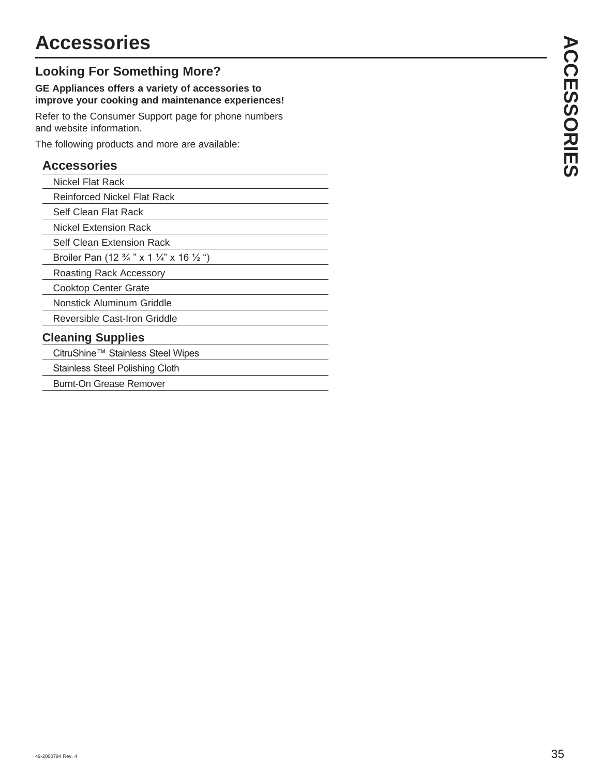# **Accessories**

### **Looking For Something More?**

### **GE Appliances offers a variety of accessories to improve your cooking and maintenance experiences!**

Refer to the Consumer Support page for phone numbers and website information.

The following products and more are available:

### **Accessories**

| Nickel Flat Rack                                                          |  |
|---------------------------------------------------------------------------|--|
| <b>Reinforced Nickel Flat Rack</b>                                        |  |
| Self Clean Flat Rack                                                      |  |
| Nickel Extension Rack                                                     |  |
| Self Clean Extension Rack                                                 |  |
| Broiler Pan (12 $\frac{3}{4}$ " x 1 $\frac{1}{4}$ " x 16 $\frac{1}{2}$ ") |  |
| Roasting Rack Accessory                                                   |  |
| Cooktop Center Grate                                                      |  |
| Nonstick Aluminum Griddle                                                 |  |
| Reversible Cast-Iron Griddle                                              |  |
| <b>Cleaning Supplies</b>                                                  |  |
| CitruShine™ Stainless Steel Wipes                                         |  |
| Stainless Steel Polishing Cloth                                           |  |
| Burnt-On Grease Remover                                                   |  |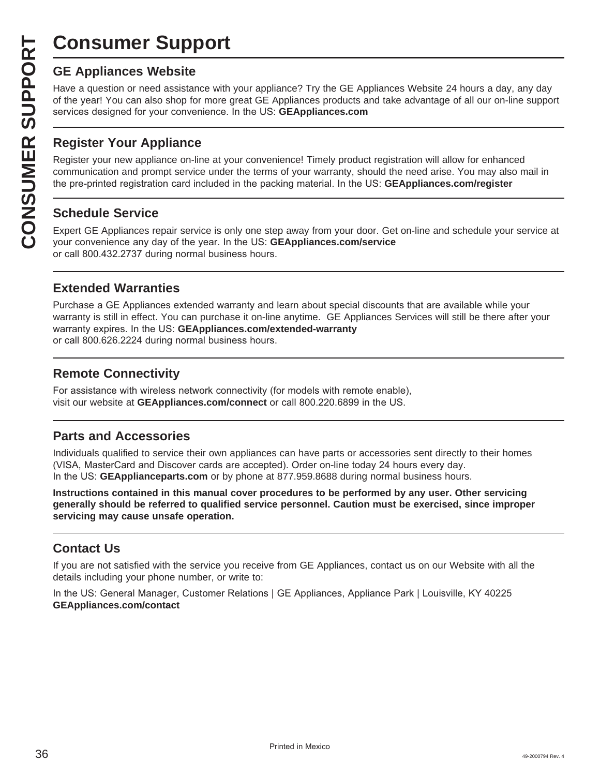# **Consumer Support**

Have a question or need assistance with your appliance? Try the GE Appliances Website 24 hours a day, any day of the year! You can also shop for more great GE Appliances products and take advantage of all our on-line support services designed for your convenience. In the US: GEAppliances.com

### **Register Your Appliance**

**CONSUMER SUP**<br> **GE Appliances Website**<br>
Have a question or need assistar<br>
of the year! You can also shop for<br>
services designed for your conver<br> **CONSUMER Appliance OF APPLIANCE Register Your Appliance on-1**<br> **CONSUMER Ap** Register your new appliance on-line at your convenience! Timely product registration will allow for enhanced communication and prompt service under the terms of your warranty, should the need arise. You may also mail in the pre-printed registration card included in the packing material. In the US: **GEAppliances.com/register** 

### **Schedule Service**

Expert GE Appliances repair service is only one step away from your door. Get on-line and schedule your service at your convenience any day of the year. In the US: GEAppliances.com/service or call 800.432.2737 during normal business hours.

### **Extended Warranties**

Purchase a GE Appliances extended warranty and learn about special discounts that are available while your warranty is still in effect. You can purchase it on-line anytime. GE Appliances Services will still be there after your warranty expires. In the US: GEAppliances.com/extended-warranty or call 800.626.2224 during normal business hours.

### **Remote Connectivity**

For assistance with wireless network connectivity (for models with remote enable), visit our website at **GEAppliances.com/connect** or call 800.220.6899 in the US.

### **Parts and Accessories**

Individuals qualified to service their own appliances can have parts or accessories sent directly to their homes (VISA, MasterCard and Discover cards are accepted). Order on-line today 24 hours every day. In the US: **GEApplianceparts.com** or by phone at 877.959.8688 during normal business hours.

**Instructions contained in this manual cover procedures to be performed by any user. Other servicing generally should be referred to qualified service personnel. Caution must be exercised, since improper servicing may cause unsafe operation.**

### **Contact Us**

If you are not satisfied with the service you receive from GE Appliances, contact us on our Website with all the details including your phone number, or write to:

In the US: General Manager, Customer Relations | GE Appliances, Appliance Park | Louisville, KY 40225 **GEAppliances.com/contact**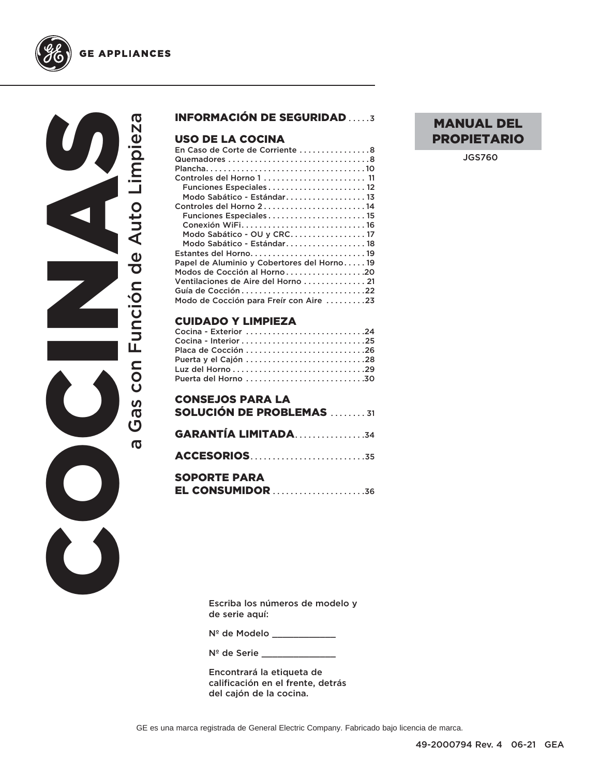

#### **GE APPLIANCES**

COCINAS Gas con Función de Auto Limpieza a Gas con Función de Auto Limpieza  $\sigma$ 

#### INFORMACIÓN DE SEGURIDAD .....3

#### USO DE LA COCINA

| En Caso de Corte de Corriente 8             |
|---------------------------------------------|
|                                             |
|                                             |
| Controles del Horno 1 11                    |
| Funciones Especiales12                      |
| Modo Sabático - Estándar 13                 |
| Controles del Horno 214                     |
| Funciones Especiales 15                     |
| Conexión WiFi16                             |
| Modo Sabático - OU y CRC 17                 |
| Modo Sabático - Estándar18                  |
| Estantes del Horno19                        |
| Papel de Aluminio y Cobertores del Horno 19 |
| Modos de Cocción al Horno20                 |
| Ventilaciones de Aire del Horno 21          |
| Guía de Cocción 22                          |
| Modo de Cocción para Freír con Aire 23      |
|                                             |

#### CUIDADO Y LIMPIEZA

| Placa de Cocción 26  |  |
|----------------------|--|
| Cocina - Exterior 24 |  |

# **GARANTÍA LIMITADA.................34** ACCESORIOS . . . . . . . . . . . . . . . . . . . . . . . . . .35

#### SOPORTE PARA EL CONSUMIDOR . . . . . . . . . . . . . . . . . . . . .36

Escriba los números de modelo y de serie aquí:

Nº de Modelo \_\_\_\_\_\_\_\_\_\_\_\_\_

N<sup>º</sup> de Serie \_\_\_\_\_\_\_

Encontrará la etiqueta de calificación en el frente, detrás del cajón de la cocina.

JGS760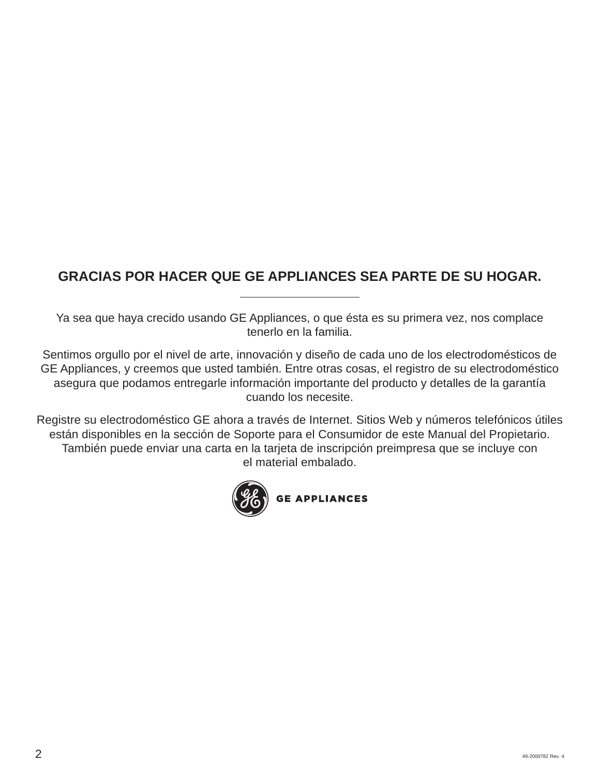## **GRACIAS POR HACER QUE GE APPLIANCES SEA PARTE DE SU HOGAR.**

Ya sea que haya crecido usando GE Appliances, o que ésta es su primera vez, nos complace tenerlo en la familia.

Sentimos orgullo por el nivel de arte, innovación y diseño de cada uno de los electrodomésticos de GE Appliances, y creemos que usted también. Entre otras cosas, el registro de su electrodoméstico asegura que podamos entregarle información importante del producto y detalles de la garantía cuando los necesite.

Registre su electrodoméstico GE ahora a través de Internet. Sitios Web y números telefónicos útiles están disponibles en la sección de Soporte para el Consumidor de este Manual del Propietario. También puede enviar una carta en la tarjeta de inscripción preimpresa que se incluye con el material embalado.

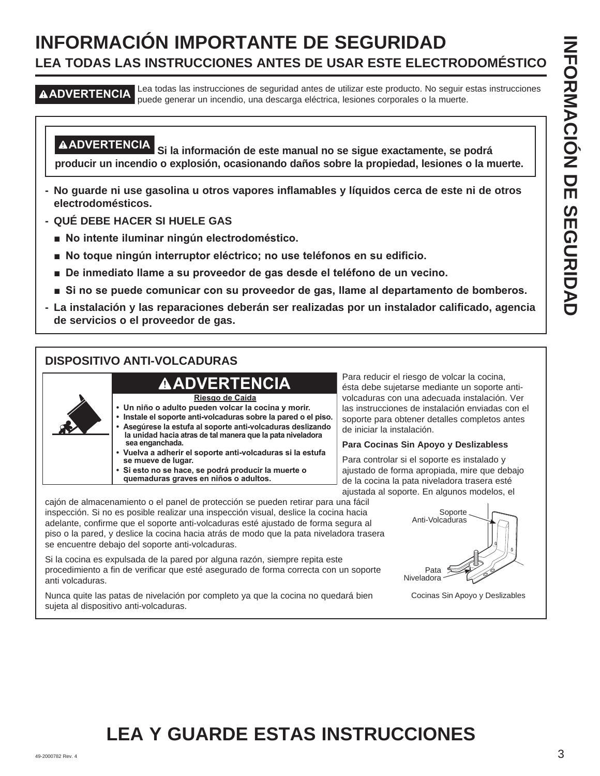# **INFORMACIÓN IMPORTANTE DE SEGURIDAD LEA TODAS LAS INSTRUCCIONES ANTES DE USAR ESTE ELECTRODOMÉSTICO**

**ADVERTENCIA** Lea todas las instrucciones de seguridad antes de utilizar este producto. No seguir estas instrucciones puede generar un incendio, una descarga eléctrica, lesiones corporales o la muerte.

**ADVERTENCIA Si la información de este manual no se sigue exactamente, se podrá producir un incendio o explosión, ocasionando daños sobre la propiedad, lesiones o la muerte.**

- **No guarde ni use gasolina u otros vapores inflamables y líquidos cerca de este ni de otros electrodomésticos.**
- **QUÉ DEBE HACER SI HUELE GAS**
	- $\blacksquare$  **No intente iluminar ningún electrodoméstico.**
	- **No toque ningún interruptor eléctrico; no use teléfonos en su edificio.**
	- $\blacksquare$  De inmediato llame a su proveedor de gas desde el teléfono de un vecino.
	- **Si no se puede comunicar con su proveedor de gas, llame al departamento de bomberos.**
- **La instalación y las reparaciones deberán ser realizadas por un instalador calificado, agencia de servicios o el proveedor de gas.**

#### **DISPOSITIVO ANTI-VOLCADURAS**



- **Un niño o adulto pueden volcar la cocina y morir.**
- **Instale el soporte anti-volcaduras sobre la pared o el piso. • Asegúrese la estufa al soporte anti-volcaduras deslizando la unidad hacia atras de tal manera que la pata niveladora sea enganchada.** 
	- **Vuelva a adherir el soporte anti-volcaduras si la estufa se mueve de lugar. • Si esto no se hace, se podrá producir la muerte o**
	- **quemaduras graves en niños o adultos.**

Para reducir el riesgo de volcar la cocina, ésta debe sujetarse mediante un soporte antivolcaduras con una adecuada instalación. Ver las instrucciones de instalación enviadas con el soporte para obtener detalles completos antes de iniciar la instalación.

#### **Para Cocinas Sin Apoyo y Deslizabless**

Para controlar si el soporte es instalado y ajustado de forma apropiada, mire que debajo de la cocina la pata niveladora trasera esté ajustada al soporte. En algunos modelos, el

cajón de almacenamiento o el panel de protección se pueden retirar para una fácil inspección. Si no es posible realizar una inspección visual, deslice la cocina hacia adelante, confirme que el soporte anti-volcaduras esté ajustado de forma segura al piso o la pared, y deslice la cocina hacia atrás de modo que la pata niveladora trasera se encuentre debajo del soporte anti-volcaduras.

Si la cocina es expulsada de la pared por alguna razón, siempre repita este procedimiento a fin de verificar que esté asegurado de forma correcta con un soporte anti volcaduras.

Nunca quite las patas de nivelación por completo ya que la cocina no quedará bien sujeta al dispositivo anti-volcaduras.

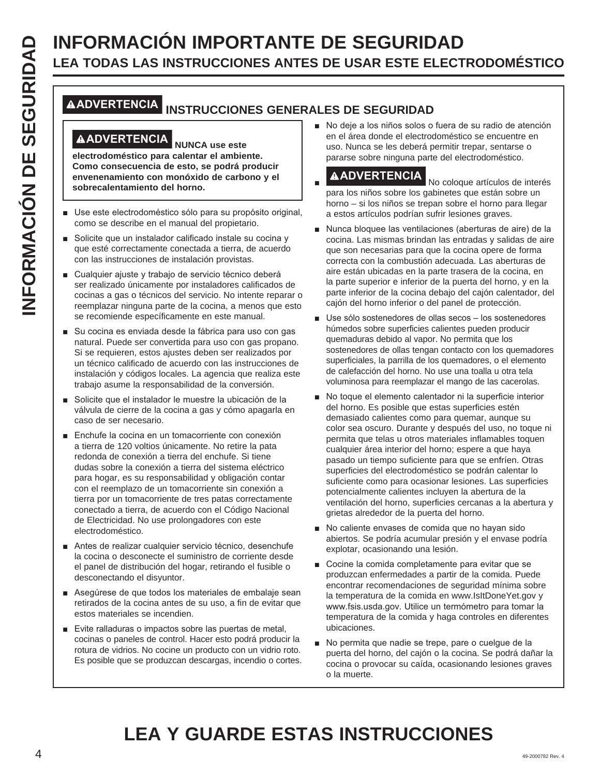# **INFORMACIÓN IMPORTANTE DE SEGURIDAD**<br> **INFORMACIÓN INSTRUCCIONES ANTES DE USAR ESTE ELECT<br>
MADVERTENCIA<br>
INSTRUCCIONES GENERALES DE SEGURIDAD<br>
<b>INFORMACIÓN INSTRUCCIONES GENERALES DE SEGURIDAD<br>
CONDENTENCIA<br>
CONDENTENCIA<br> LEA TODAS LAS INSTRUCCIONES ANTES DE USAR ESTE ELECTRODOMÉSTICO**

## **ADVERTENCIA INSTRUCCIONES GENERALES DE SEGURIDAD**

## **ADVERTENCIA NUNCA use este**

**electrodoméstico para calentar el ambiente. Como consecuencia de esto, se podrá producir envenenamiento con monóxido de carbono y el sobrecalentamiento del horno.**

- Use este electrodoméstico sólo para su propósito original, como se describe en el manual del propietario.
- Solicite que un instalador calificado instale su cocina y que esté correctamente conectada a tierra, de acuerdo con las instrucciones de instalación provistas.
- Cualquier ajuste y trabajo de servicio técnico deberá ser realizado únicamente por instaladores calificados de cocinas a gas o técnicos del servicio. No intente reparar o reemplazar ninguna parte de la cocina, a menos que esto se recomiende específicamente en este manual.
- Su cocina es enviada desde la fábrica para uso con gas natural. Puede ser convertida para uso con gas propano. Si se requieren, estos ajustes deben ser realizados por un técnico calificado de acuerdo con las instrucciones de instalación y códigos locales. La agencia que realiza este trabajo asume la responsabilidad de la conversión.
- Solicite que el instalador le muestre la ubicación de la válvula de cierre de la cocina a gas y cómo apagarla en caso de ser necesario.
- Enchufe la cocina en un tomacorriente con conexión a tierra de 120 voltios únicamente. No retire la pata redonda de conexión a tierra del enchufe. Si tiene dudas sobre la conexión a tierra del sistema eléctrico para hogar, es su responsabilidad y obligación contar con el reemplazo de un tomacorriente sin conexión a tierra por un tomacorriente de tres patas correctamente conectado a tierra, de acuerdo con el Código Nacional de Electricidad. No use prolongadores con este electrodoméstico.
- Antes de realizar cualquier servicio técnico, desenchufe la cocina o desconecte el suministro de corriente desde el panel de distribución del hogar, retirando el fusible o desconectando el disyuntor.
- Asegúrese de que todos los materiales de embalaje sean retirados de la cocina antes de su uso, a fin de evitar que estos materiales se incendien.
- Evite ralladuras o impactos sobre las puertas de metal, cocinas o paneles de control. Hacer esto podrá producir la rotura de vidrios. No cocine un producto con un vidrio roto. Es posible que se produzcan descargas, incendio o cortes.

No deje a los niños solos o fuera de su radio de atención en el área donde el electrodoméstico se encuentre en uso. Nunca se les deberá permitir trepar, sentarse o pararse sobre ninguna parte del electrodoméstico.

**AADVERTENCIA**<br>No coloque artículos de interés para los niños sobre los gabinetes que están sobre un horno – si los niños se trepan sobre el horno para llegar a estos artículos podrían sufrir lesiones graves.

- Nunca bloquee las ventilaciones (aberturas de aire) de la cocina. Las mismas brindan las entradas y salidas de aire que son necesarias para que la cocina opere de forma correcta con la combustión adecuada. Las aberturas de aire están ubicadas en la parte trasera de la cocina, en la parte superior e inferior de la puerta del horno, y en la parte inferior de la cocina debajo del cajón calentador, del cajón del horno inferior o del panel de protección.
- Use sólo sostenedores de ollas secos los sostenedores húmedos sobre superficies calientes pueden producir quemaduras debido al vapor. No permita que los sostenedores de ollas tengan contacto con los quemadores superficiales, la parrilla de los quemadores, o el elemento de calefacción del horno. No use una toalla u otra tela voluminosa para reemplazar el mango de las cacerolas.
- No toque el elemento calentador ni la superficie interior del horno. Es posible que estas superficies estén demasiado calientes como para quemar, aunque su color sea oscuro. Durante y después del uso, no toque ni permita que telas u otros materiales inflamables toquen cualquier área interior del horno; espere a que haya pasado un tiempo suficiente para que se enfríen. Otras superficies del electrodoméstico se podrán calentar lo suficiente como para ocasionar lesiones. Las superficies potencialmente calientes incluyen la abertura de la ventilación del horno, superficies cercanas a la abertura y grietas alrededor de la puerta del horno.
- No caliente envases de comida que no hayan sido abiertos. Se podría acumular presión y el envase podría explotar, ocasionando una lesión.
- Cocine la comida completamente para evitar que se produzcan enfermedades a partir de la comida. Puede encontrar recomendaciones de seguridad mínima sobre la temperatura de la comida en www.IsItDoneYet.gov y www.fsis.usda.gov. Utilice un termómetro para tomar la temperatura de la comida y haga controles en diferentes ubicaciones.
- No permita que nadie se trepe, pare o cuelgue de la puerta del horno, del cajón o la cocina. Se podrá dañar la cocina o provocar su caída, ocasionando lesiones graves o la muerte.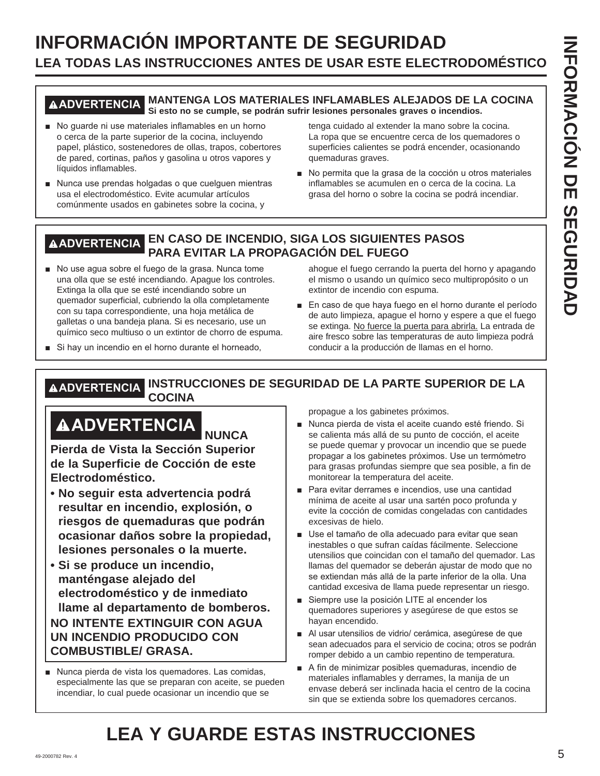# **INFORMACIÓN IMPORTANTE DE SEGURIDAD LEA TODAS LAS INSTRUCCIONES ANTES DE USAR ESTE ELECTRODOMÉSTICO**

#### **ADVERTENCIA MANTENGA LOS MATERIALES INFLAMABLES ALEJADOS DE LA COCINA Si esto no se cumple, se podrán sufrir lesiones personales graves o incendios.**

- No guarde ni use materiales inflamables en un horno o cerca de la parte superior de la cocina, incluyendo papel, plástico, sostenedores de ollas, trapos, cobertores de pared, cortinas, paños y gasolina u otros vapores y líquidos inflamables.
- Nunca use prendas holgadas o que cuelquen mientras usa el electrodoméstico. Evite acumular artículos comúnmente usados en gabinetes sobre la cocina, y

tenga cuidado al extender la mano sobre la cocina. La ropa que se encuentre cerca de los quemadores o superficies calientes se podrá encender, ocasionando quemaduras graves.

No permita que la grasa de la cocción u otros materiales inflamables se acumulen en o cerca de la cocina. La grasa del horno o sobre la cocina se podrá incendiar.

#### **ADVERTENCIA EN CASO DE INCENDIO, SIGA LOS SIGUIENTES PASOS PARA EVITAR LA PROPAGACIÓN DEL FUEGO**

- No use agua sobre el fuego de la grasa. Nunca tome una olla que se esté incendiando. Apague los controles. Extinga la olla que se esté incendiando sobre un quemador superficial, cubriendo la olla completamente con su tapa correspondiente, una hoja metálica de galletas o una bandeja plana. Si es necesario, use un químico seco multiuso o un extintor de chorro de espuma.
- ahogue el fuego cerrando la puerta del horno y apagando el mismo o usando un químico seco multipropósito o un extintor de incendio con espuma.
- $\blacksquare$  En caso de que haya fuego en el horno durante el período de auto limpieza, apague el horno y espere a que el fuego se extinga. No fuerce la puerta para abrirla. La entrada de aire fresco sobre las temperaturas de auto limpieza podrá conducir a la producción de llamas en el horno.
- Si hay un incendio en el horno durante el horneado,

**ADVERTENCIA INSTRUCCIONES DE SEGURIDAD DE LA PARTE SUPERIOR DE LA COCINA**

# **ADVERTENCIA NUNCA**

**Pierda de Vista la Sección Superior de la Superficie de Cocción de este Electrodoméstico.** 

- **No seguir esta advertencia podrá resultar en incendio, explosión, o riesgos de quemaduras que podrán ocasionar daños sobre la propiedad, lesiones personales o la muerte.**
- **Si se produce un incendio, manténgase alejado del electrodoméstico y de inmediato llame al departamento de bomberos. NO INTENTE EXTINGUIR CON AGUA UN INCENDIO PRODUCIDO CON COMBUSTIBLE/ GRASA.**
- Nunca pierda de vista los quemadores. Las comidas, especialmente las que se preparan con aceite, se pueden incendiar, lo cual puede ocasionar un incendio que se

propague a los gabinetes próximos.

- Nunca pierda de vista el aceite cuando esté friendo. Si se calienta más allá de su punto de cocción, el aceite se puede quemar y provocar un incendio que se puede propagar a los gabinetes próximos. Use un termómetro para grasas profundas siempre que sea posible, a fin de monitorear la temperatura del aceite.
- Para evitar derrames e incendios, use una cantidad mínima de aceite al usar una sartén poco profunda y evite la cocción de comidas congeladas con cantidades excesivas de hielo.
- Use el tamaño de olla adecuado para evitar que sean inestables o que sufran caídas fácilmente. Seleccione utensilios que coincidan con el tamaño del quemador. Las llamas del quemador se deberán ajustar de modo que no se extiendan más allá de la parte inferior de la olla. Una cantidad excesiva de llama puede representar un riesgo.
- Siempre use la posición LITE al encender los quemadores superiores y asegúrese de que estos se hayan encendido.
- Al usar utensilios de vidrio/ cerámica, asegúrese de que sean adecuados para el servicio de cocina; otros se podrán romper debido a un cambio repentino de temperatura.
- A fin de minimizar posibles quemaduras, incendio de materiales inflamables y derrames, la manija de un envase deberá ser inclinada hacia el centro de la cocina sin que se extienda sobre los quemadores cercanos.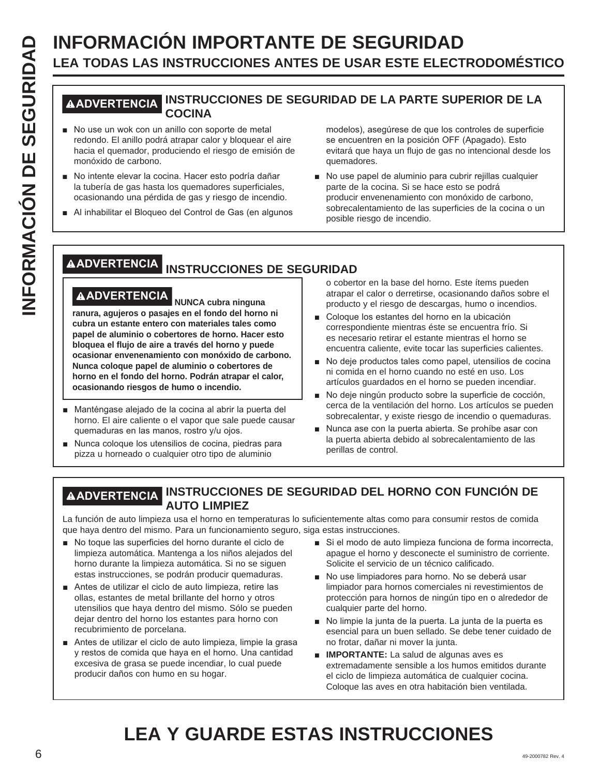# **INFORMACIÓN IMPORTANTE DE SEGURIDAD**<br> **INSTRUCCIONES ANTES DE USAR ESTE ELECT<br>
IN USE UN COCINA**<br> **INSTRUCCIONES DE SEGURIDAD DE LA PARTE SUP<br>
IN USE UN COCINA<br>
INSTRUCCIONES DE SEGURIDAD DE LA PARTE SUP<br>
INSTRUCCIONES DE LEA TODAS LAS INSTRUCCIONES ANTES DE USAR ESTE ELECTRODOMÉSTICO**

#### **ADVERTENCIA INSTRUCCIONES DE SEGURIDAD DE LA PARTE SUPERIOR DE LA COCINA**

- No use un wok con un anillo con soporte de metal redondo. El anillo podrá atrapar calor y bloquear el aire hacia el quemador, produciendo el riesgo de emisión de monóxido de carbono.
- No intente elevar la cocina. Hacer esto podría dañar la tubería de gas hasta los quemadores superficiales, ocasionando una pérdida de gas y riesgo de incendio.
- Al inhabilitar el Bloqueo del Control de Gas (en algunos

modelos), asegúrese de que los controles de superficie se encuentren en la posición OFF (Apagado). Esto evitará que haya un flujo de gas no intencional desde los quemadores.

No use papel de aluminio para cubrir rejillas cualquier parte de la cocina. Si se hace esto se podrá producir envenenamiento con monóxido de carbono, sobrecalentamiento de las superficies de la cocina o un posible riesgo de incendio.

## **ADVERTENCIA INSTRUCCIONES DE SEGURIDAD**

# **ADVERTENCIA NUNCA cubra ninguna**

**ranura, agujeros o pasajes en el fondo del horno ni cubra un estante entero con materiales tales como papel de aluminio o cobertores de horno. Hacer esto bloquea el flujo de aire a través del horno y puede ocasionar envenenamiento con monóxido de carbono. Nunca coloque papel de aluminio o cobertores de horno en el fondo del horno. Podrán atrapar el calor, ocasionando riesgos de humo o incendio.**

- Manténgase alejado de la cocina al abrir la puerta del horno. El aire caliente o el vapor que sale puede causar quemaduras en las manos, rostro y/u ojos.
- Nunca coloque los utensilios de cocina, piedras para pizza u horneado o cualquier otro tipo de aluminio

o cobertor en la base del horno. Este ítems pueden atrapar el calor o derretirse, ocasionando daños sobre el producto y el riesgo de descargas, humo o incendios.

- Coloque los estantes del horno en la ubicación correspondiente mientras éste se encuentra frío. Si es necesario retirar el estante mientras el horno se encuentra caliente, evite tocar las superficies calientes.
- No deje productos tales como papel, utensilios de cocina ni comida en el horno cuando no esté en uso. Los artículos guardados en el horno se pueden incendiar.
- No deje ningún producto sobre la superficie de cocción, cerca de la ventilación del horno. Los artículos se pueden sobrecalentar, y existe riesgo de incendio o quemaduras.
- Nunca ase con la puerta abierta. Se prohíbe asar con la puerta abierta debido al sobrecalentamiento de las perillas de control.

#### **ADVERTENCIA INSTRUCCIONES DE SEGURIDAD DEL HORNO CON FUNCIÓN DE AUTO LIMPIEZ**

La función de auto limpieza usa el horno en temperaturas lo suficientemente altas como para consumir restos de comida que haya dentro del mismo. Para un funcionamiento seguro, siga estas instrucciones.

- No toque las superficies del horno durante el ciclo de limpieza automática. Mantenga a los niños alejados del horno durante la limpieza automática. Si no se siguen estas instrucciones, se podrán producir quemaduras.
- Antes de utilizar el ciclo de auto limpieza, retire las ollas, estantes de metal brillante del horno y otros utensilios que haya dentro del mismo. Sólo se pueden dejar dentro del horno los estantes para horno con recubrimiento de porcelana.
- Antes de utilizar el ciclo de auto limpieza, limpie la grasa y restos de comida que haya en el horno. Una cantidad excesiva de grasa se puede incendiar, lo cual puede producir daños con humo en su hogar.
- Si el modo de auto limpieza funciona de forma incorrecta, apague el horno y desconecte el suministro de corriente. Solicite el servicio de un técnico calificado.
- No use limpiadores para horno. No se deberá usar limpiador para hornos comerciales ni revestimientos de protección para hornos de ningún tipo en o alrededor de cualquier parte del horno.
- No limpie la junta de la puerta. La junta de la puerta es esencial para un buen sellado. Se debe tener cuidado de no frotar, dañar ni mover la junta.
- **IMPORTANTE:** La salud de algunas aves es extremadamente sensible a los humos emitidos durante el ciclo de limpieza automática de cualquier cocina. Coloque las aves en otra habitación bien ventilada.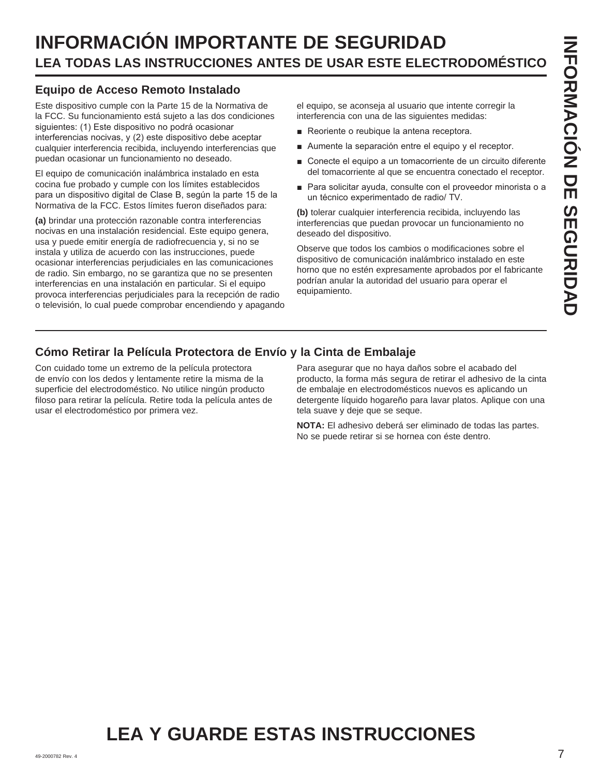# **INFORMACIÓN IMPORTANTE DE SEGURIDAD LEA TODAS LAS INSTRUCCIONES ANTES DE USAR ESTE ELECTRODOMÉSTICO**

#### **Equipo de Acceso Remoto Instalado**

Este dispositivo cumple con la Parte 15 de la Normativa de la FCC. Su funcionamiento está sujeto a las dos condiciones siguientes: (1) Este dispositivo no podrá ocasionar interferencias nocivas, y (2) este dispositivo debe aceptar cualquier interferencia recibida, incluyendo interferencias que puedan ocasionar un funcionamiento no deseado.

El equipo de comunicación inalámbrica instalado en esta cocina fue probado y cumple con los límites establecidos para un dispositivo digital de Clase B, según la parte 15 de la Normativa de la FCC. Estos límites fueron diseñados para:

**(a)** brindar una protección razonable contra interferencias nocivas en una instalación residencial. Este equipo genera, usa y puede emitir energía de radiofrecuencia y, si no se instala y utiliza de acuerdo con las instrucciones, puede ocasionar interferencias perjudiciales en las comunicaciones de radio. Sin embargo, no se garantiza que no se presenten interferencias en una instalación en particular. Si el equipo provoca interferencias perjudiciales para la recepción de radio o televisión, lo cual puede comprobar encendiendo y apagando

el equipo, se aconseja al usuario que intente corregir la interferencia con una de las siguientes medidas:

- Reoriente o reubique la antena receptora.
- $\blacksquare$  Aumente la separación entre el equipo y el receptor.
- Conecte el equipo a un tomacorriente de un circuito diferente del tomacorriente al que se encuentra conectado el receptor.
- Para solicitar ayuda, consulte con el proveedor minorista o a un técnico experimentado de radio/ TV.

**(b)** tolerar cualquier interferencia recibida, incluyendo las interferencias que puedan provocar un funcionamiento no deseado del dispositivo.

Observe que todos los cambios o modificaciones sobre el dispositivo de comunicación inalámbrico instalado en este horno que no estén expresamente aprobados por el fabricante podrían anular la autoridad del usuario para operar el equipamiento.

#### **Cómo Retirar la Película Protectora de Envío y la Cinta de Embalaje**

Con cuidado tome un extremo de la película protectora de envío con los dedos y lentamente retire la misma de la superficie del electrodoméstico. No utilice ningún producto filoso para retirar la película. Retire toda la película antes de usar el electrodoméstico por primera vez.

Para asegurar que no haya daños sobre el acabado del producto, la forma más segura de retirar el adhesivo de la cinta de embalaje en electrodomésticos nuevos es aplicando un detergente líquido hogareño para lavar platos. Aplique con una tela suave y deje que se seque.

**NOTA:** El adhesivo deberá ser eliminado de todas las partes. No se puede retirar si se hornea con éste dentro.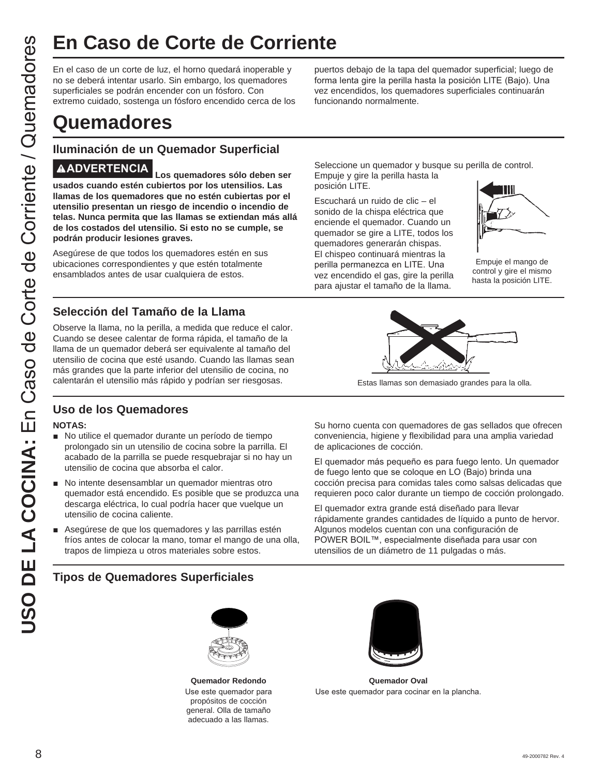En el caso de un corte de luz, el horno quedará inoperable y no se deberá intentar usarlo. Sin embargo, los quemadores superficiales se podrán encender con un fósforo. Con extremo cuidado, sostenga un fósforo encendido cerca de los

# **Quemadores**

#### **Iluminación de un Quemador Superficial**

**USO DE CONTE de COTTE SE CONTENTE CONTENTS**<br>
Ten el caso de un corte de luz, el homo quedará inoperable y puerte any distingues any contra musicion. Similarmore de la correspondible server any distingue on the store corre **ADVERTENCIA Los quemadores sólo deben ser usados cuando estén cubiertos por los utensilios. Las llamas de los quemadores que no estén cubiertas por el utensilio presentan un riesgo de incendio o incendio de telas. Nunca permita que las llamas se extiendan más allá de los costados del utensilio. Si esto no se cumple, se podrán producir lesiones graves.**

Asegúrese de que todos los quemadores estén en sus ubicaciones correspondientes y que estén totalmente ensamblados antes de usar cualquiera de estos.

#### **Selección del Tamaño de la Llama**

Observe la llama, no la perilla, a medida que reduce el calor. Cuando se desee calentar de forma rápida, el tamaño de la llama de un quemador deberá ser equivalente al tamaño del utensilio de cocina que esté usando. Cuando las llamas sean más grandes que la parte inferior del utensilio de cocina, no calentarán el utensilio más rápido y podrían ser riesgosas.

#### **Uso de los Quemadores**

#### **NOTAS:**

- No utilice el quemador durante un período de tiempo prolongado sin un utensilio de cocina sobre la parrilla. El acabado de la parrilla se puede resquebrajar si no hay un utensilio de cocina que absorba el calor.
- No intente desensamblar un quemador mientras otro quemador está encendido. Es posible que se produzca una descarga eléctrica, lo cual podría hacer que vuelque un utensilio de cocina caliente.
- Asegúrese de que los quemadores y las parrillas estén fríos antes de colocar la mano, tomar el mango de una olla, trapos de limpieza u otros materiales sobre estos.

#### **Tipos de Quemadores Superficiales**



**Quemador Redondo** Use este quemador para propósitos de cocción general. Olla de tamaño adecuado a las llamas.



**Quemador Oval** Use este quemador para cocinar en la plancha.

puertos debajo de la tapa del quemador superficial; luego de forma lenta gire la perilla hasta la posición LITE (Bajo). Una vez encendidos, los quemadores superficiales continuarán funcionando normalmente.

Seleccione un quemador y busque su perilla de control. Empuje y gire la perilla hasta la posición LITE.

Escuchará un ruido de clic – el sonido de la chispa eléctrica que enciende el quemador. Cuando un quemador se gire a LITE, todos los quemadores generarán chispas. El chispeo continuará mientras la perilla permanezca en LITE. Una vez encendido el gas, gire la perilla para ajustar el tamaño de la llama.



Empuje el mango de control y gire el mismo hasta la posición LITE.



Estas llamas son demasiado grandes para la olla.

Su horno cuenta con quemadores de gas sellados que ofrecen conveniencia, higiene y flexibilidad para una amplia variedad de aplicaciones de cocción.

El quemador más pequeño es para fuego lento. Un quemador de fuego lento que se coloque en LO (Bajo) brinda una cocción precisa para comidas tales como salsas delicadas que requieren poco calor durante un tiempo de cocción prolongado.

El quemador extra grande está diseñado para llevar rápidamente grandes cantidades de líquido a punto de hervor. Algunos modelos cuentan con una configuración de POWER BOIL™, especialmente diseñada para usar con utensilios de un diámetro de 11 pulgadas o más.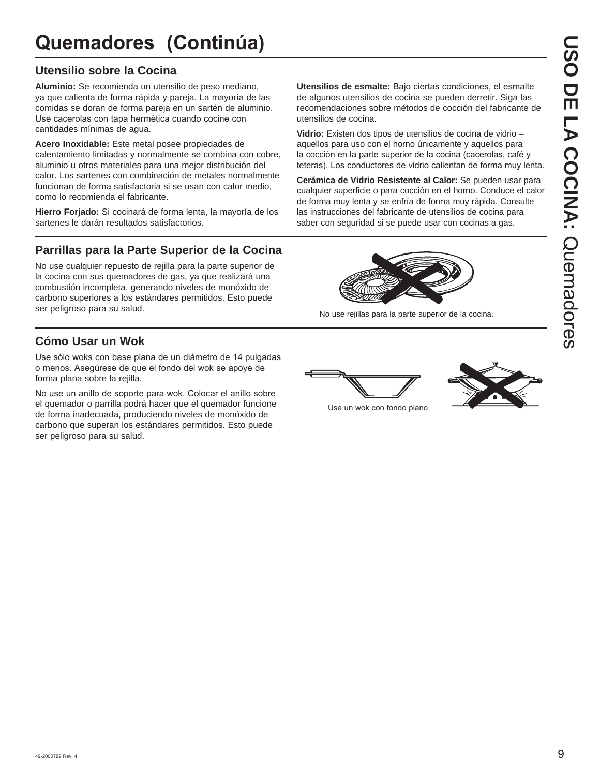# **Quemadores (Continúa)**

#### **Utensilio sobre la Cocina**

**Aluminio:** Se recomienda un utensilio de peso mediano, ya que calienta de forma rápida y pareja. La mayoría de las comidas se doran de forma pareja en un sartén de aluminio. Use cacerolas con tapa hermética cuando cocine con cantidades mínimas de agua.

**Acero Inoxidable:** Este metal posee propiedades de calentamiento limitadas y normalmente se combina con cobre, aluminio u otros materiales para una mejor distribución del calor. Los sartenes con combinación de metales normalmente funcionan de forma satisfactoria si se usan con calor medio, como lo recomienda el fabricante.

**Hierro Forjado:** Si cocinará de forma lenta, la mayoría de los sartenes le darán resultados satisfactorios.

#### **Parrillas para la Parte Superior de la Cocina**

No use cualquier repuesto de rejilla para la parte superior de la cocina con sus quemadores de gas, ya que realizará una combustión incompleta, generando niveles de monóxido de carbono superiores a los estándares permitidos. Esto puede ser peligroso para su salud.

### **Cómo Usar un Wok**

Use sólo woks con base plana de un diámetro de 14 pulgadas o menos. Asegúrese de que el fondo del wok se apove de forma plana sobre la rejilla.

No use un anillo de soporte para wok. Colocar el anillo sobre el quemador o parrilla podrá hacer que el quemador funcione de forma inadecuada, produciendo niveles de monóxido de carbono que superan los estándares permitidos. Esto puede ser peligroso para su salud.

Utensilios de esmalte: Bajo ciertas condiciones, el esmalte de algunos utensilios de cocina se pueden derretir. Siga las recomendaciones sobre métodos de cocción del fabricante de utensilios de cocina.

**Vidrio:** Existen dos tipos de utensilios de cocina de vidrio – aquellos para uso con el horno únicamente y aquellos para la cocción en la parte superior de la cocina (cacerolas, café y teteras). Los conductores de vidrio calientan de forma muy lenta.

**Cerámica de Vidrio Resistente al Calor:** Se pueden usar para cualquier superficie o para cocción en el horno. Conduce el calor de forma muy lenta y se enfría de forma muy rápida. Consulte las instrucciones del fabricante de utensilios de cocina para saber con seguridad si se puede usar con cocinas a gas.



No use rejillas para la parte superior de la cocina.



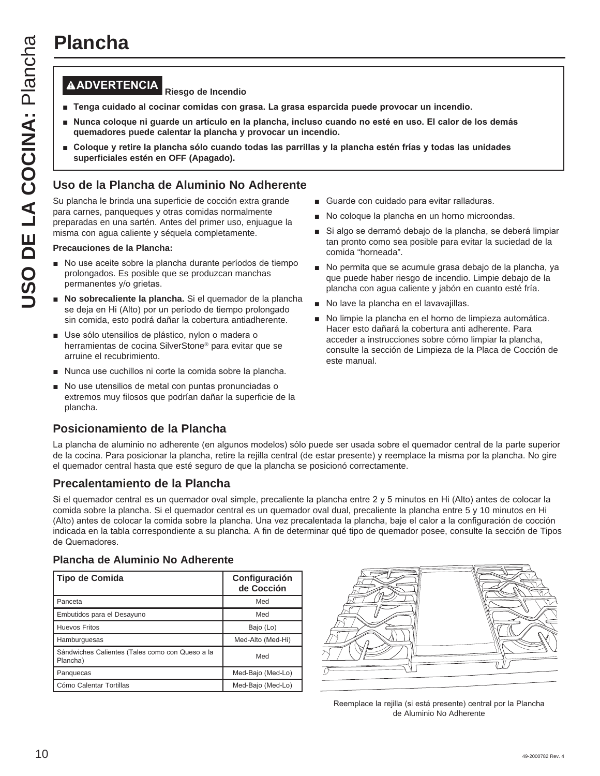## **ADVERTENCIA Riesgo de Incendio**

- **Tenga cuidado al cocinar comidas con grasa. La grasa esparcida puede provocar un incendio.**
- Nunca coloque ni guarde un artículo en la plancha, incluso cuando no esté en uso. El calor de los demás **quemadores puede calentar la plancha y provocar un incendio.**
- Coloque y retire la plancha sólo cuando todas las parrillas y la plancha estén frías y todas las unidades **superficiales estén en OFF (Apagado).**

#### **Uso de la Plancha de Aluminio No Adherente**

Su plancha le brinda una superficie de cocción extra grande para carnes, panqueques y otras comidas normalmente preparadas en una sartén. Antes del primer uso, enjuague la misma con agua caliente y séquela completamente.

#### **Precauciones de la Plancha:**

- No use aceite sobre la plancha durante períodos de tiempo prolongados. Es posible que se produzcan manchas permanentes y/o grietas.
- **No sobrecaliente la plancha.** Si el quemador de la plancha se deja en Hi (Alto) por un período de tiempo prolongado sin comida, esto podrá dañar la cobertura antiadherente.
- Use sólo utensilios de plástico, nylon o madera o herramientas de cocina SilverStone® para evitar que se arruine el recubrimiento.
- Nunca use cuchillos ni corte la comida sobre la plancha.
- No use utensilios de metal con puntas pronunciadas o extremos muy filosos que podrían dañar la superficie de la plancha.

#### **Posicionamiento de la Plancha**

- Guarde con cuidado para evitar ralladuras.
- No coloque la plancha en un horno microondas.
- Si algo se derramó debajo de la plancha, se deberá limpiar tan pronto como sea posible para evitar la suciedad de la comida "horneada".
- No permita que se acumule grasa debajo de la plancha, ya que puede haber riesgo de incendio. Limpie debajo de la plancha con agua caliente y jabón en cuanto esté fría.
- No lave la plancha en el lavavajillas.
- No limpie la plancha en el horno de limpieza automática. Hacer esto dañará la cobertura anti adherente. Para acceder a instrucciones sobre cómo limpiar la plancha, consulte la sección de Limpieza de la Placa de Cocción de este manual.

La plancha de aluminio no adherente (en algunos modelos) sólo puede ser usada sobre el quemador central de la parte superior de la cocina. Para posicionar la plancha, retire la rejilla central (de estar presente) y reemplace la misma por la plancha. No gire el quemador central hasta que esté seguro de que la plancha se posicionó correctamente.

#### **Precalentamiento de la Plancha**

Si el quemador central es un quemador oval simple, precaliente la plancha entre  $2 \vee 5$  minutos en Hi (Alto) antes de colocar la comida sobre la plancha. Si el quemador central es un quemador oval dual, precaliente la plancha entre 5 y 10 minutos en Hi (Alto) antes de colocar la comida sobre la plancha. Una vez precalentada la plancha, baje el calor a la configuración de cocción indicada en la tabla correspondiente a su plancha. A fin de determinar qué tipo de quemador posee, consulte la sección de Tipos de Quemadores.

#### **Plancha de Aluminio No Adherente**

| Tipo de Comida                                              | Configuración<br>de Cocción |
|-------------------------------------------------------------|-----------------------------|
| Panceta                                                     | Med                         |
| Embutidos para el Desayuno                                  | Med                         |
| <b>Huevos Fritos</b>                                        | Bajo (Lo)                   |
| Hamburguesas                                                | Med-Alto (Med-Hi)           |
| Sándwiches Calientes (Tales como con Queso a la<br>Plancha) | Med                         |
| Panguecas                                                   | Med-Bajo (Med-Lo)           |
| Cómo Calentar Tortillas                                     | Med-Bajo (Med-Lo)           |



Reemplace la rejilla (si está presente) central por la Plancha de Aluminio No Adherente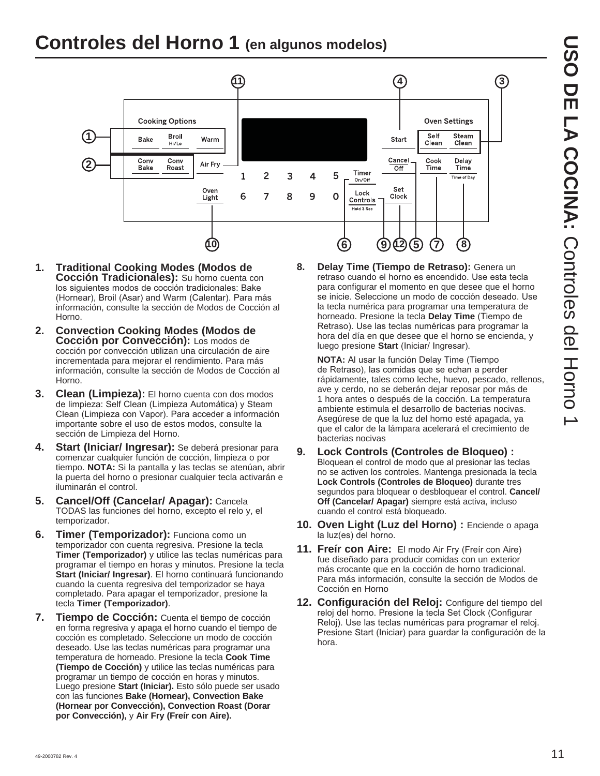# **Controles del Horno 1 (en algunos modelos)**



- **1. Traditional Cooking Modes (Modos de Cocción Tradicionales):** Su horno cuenta con los siguientes modos de cocción tradicionales: Bake (Hornear), Broil (Asar) and Warm (Calentar). Para más información, consulte la sección de Modos de Cocción al Horno.
- **2. Convection Cooking Modes (Modos de Cocción por Convección):** Los modos de cocción por convección utilizan una circulación de aire incrementada para mejorar el rendimiento. Para más información, consulte la sección de Modos de Cocción al Horno.
- **3. Clean (Limpieza):** El horno cuenta con dos modos de limpieza: Self Clean (Limpieza Automática) y Steam Clean (Limpieza con Vapor). Para acceder a información importante sobre el uso de estos modos, consulte la sección de Limpieza del Horno.
- **4. Start (Iniciar/ Ingresar):** Se deberá presionar para comenzar cualquier función de cocción, limpieza o por tiempo. **NOTA:** Si la pantalla y las teclas se atenúan, abrir la puerta del horno o presionar cualquier tecla activarán e iluminarán el control.
- **5. Cancel/Off (Cancelar/ Apagar):** Cancela TODAS las funciones del horno, excepto el relo y, el temporizador.
- **6. Timer (Temporizador):** Funciona como un temporizador con cuenta regresiva. Presione la tecla **Timer (Temporizador)** y utilice las teclas numéricas para programar el tiempo en horas y minutos. Presione la tecla **Start (Iniciar/ Ingresar)**. El horno continuará funcionando cuando la cuenta regresiva del temporizador se haya completado. Para apagar el temporizador, presione la tecla **Timer (Temporizador)**.
- **7. Tiempo de Cocción:** Cuenta el tiempo de cocción en forma regresiva y apaga el horno cuando el tiempo de cocción es completado. Seleccione un modo de cocción deseado. Use las teclas numéricas para programar una temperatura de horneado. Presione la tecla **Cook Time (Tiempo de Cocción)** y utilice las teclas numéricas para programar un tiempo de cocción en horas y minutos. Luego presione **Start (Iniciar).** Esto sólo puede ser usado con las funciones **Bake (Hornear), Convection Bake (Hornear por Convección), Convection Roast (Dorar por Convección),** y **Air Fry (Freír con Aire).**

**8. Delay Time (Tiempo de Retraso):** Genera un retraso cuando el horno es encendido. Use esta tecla para configurar el momento en que desee que el horno se inicie. Seleccione un modo de cocción deseado. Use la tecla numérica para programar una temperatura de horneado. Presione la tecla **Delay Time** (Tiempo de Retraso). Use las teclas numéricas para programar la hora del día en que desee que el horno se encienda, y luego presione **Start** (Iniciar/ Ingresar).

**NOTA:** Al usar la función Delay Time (Tiempo de Retraso), las comidas que se echan a perder rápidamente, tales como leche, huevo, pescado, rellenos, ave y cerdo, no se deberán dejar reposar por más de 1 hora antes o después de la cocción. La temperatura ambiente estimula el desarrollo de bacterias nocivas. Asegúrese de que la luz del horno esté apagada, ya que el calor de la lámpara acelerará el crecimiento de bacterias nocivas

- **9. Lock Controls (Controles de Bloqueo) :**  Bloquean el control de modo que al presionar las teclas no se activen los controles. Mantenga presionada la tecla **Lock Controls (Controles de Bloqueo)** durante tres segundos para bloquear o desbloquear el control. **Cancel/ Off (Cancelar/ Apagar)** siempre está activa, incluso cuando el control está bloqueado.
- **10. Oven Light (Luz del Horno) :** Enciende o apaga la luz(es) del horno.
- **11. Freír con Aire:** El modo Air Fry (Freír con Aire) fue diseñado para producir comidas con un exterior más crocante que en la cocción de horno tradicional. Para más información, consulte la sección de Modos de Cocción en Horno
- **12. Configuración del Reloj:** Configure del tiempo del reloj del horno. Presione la tecla Set Clock (Configurar Reloj). Use las teclas numéricas para programar el reloj. Presione Start (Iniciar) para guardar la configuración de la hora.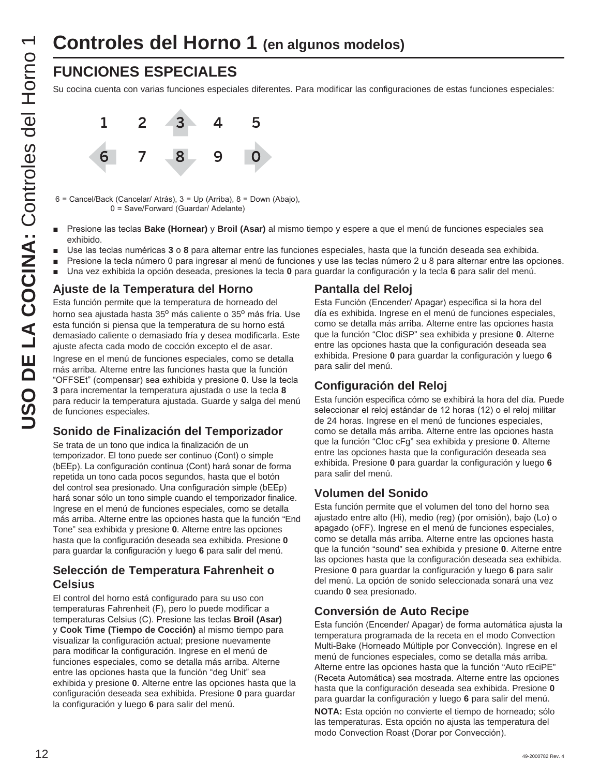## **FUNCIONES ESPECIALES**

Su cocina cuenta con varias funciones especiales diferentes. Para modificar las configuraciones de estas funciones especiales:



6 = Cancel/Back (Cancelar/ Atrás), 3 = Up (Arriba), 8 = Down (Abajo), 0 = Save/Forward (Guardar/ Adelante)

- Presione las teclas **Bake (Hornear)** y **Broil (Asar)** al mismo tiempo y espere a que el menú de funciones especiales sea exhibido.
- Use las teclas numéricas 3 o 8 para alternar entre las funciones especiales, hasta que la función deseada sea exhibida.
- Presione la tecla número 0 para ingresar al menú de funciones y use las teclas número 2 u 8 para alternar entre las opciones.
- **DED** Una vez exhibida la opción deseada, presiones la tecla 0 para guardar la configuración y la tecla 6 para salir del menú.

#### **Ajuste de la Temperatura del Horno**

Esta función permite que la temperatura de horneado del horno sea ajustada hasta 35º más caliente o 35º más fría. Use esta función si piensa que la temperatura de su horno está demasiado caliente o demasiado fría y desea modificarla. Este ajuste afecta cada modo de cocción excepto el de asar.

Ingrese en el menú de funciones especiales, como se detalla más arriba. Alterne entre las funciones hasta que la función "OFFSEt" (compensar) sea exhibida y presione **0**. Use la tecla **3** para incrementar la temperatura ajustada o use la tecla **8** para reducir la temperatura ajustada. Guarde y salga del menú de funciones especiales.

#### **Sonido de Finalización del Temporizador**

Se trata de un tono que indica la finalización de un temporizador. El tono puede ser continuo (Cont) o simple (bEEp). La configuración continua (Cont) hará sonar de forma repetida un tono cada pocos segundos, hasta que el botón del control sea presionado. Una configuración simple (bEEp) hará sonar sólo un tono simple cuando el temporizador finalice. Ingrese en el menú de funciones especiales, como se detalla más arriba. Alterne entre las opciones hasta que la función "End Tone" sea exhibida y presione **0**. Alterne entre las opciones hasta que la configuración deseada sea exhibida. Presione **0** para guardar la configuración y luego **6** para salir del menú.

#### **Selección de Temperatura Fahrenheit o Celsius**

El control del horno está configurado para su uso con temperaturas Fahrenheit (F), pero lo puede modificar a temperaturas Celsius (C). Presione las teclas **Broil (Asar)** y **Cook Time (Tiempo de Cocción)** al mismo tiempo para visualizar la configuración actual; presione nuevamente para modificar la configuración. Ingrese en el menú de funciones especiales, como se detalla más arriba. Alterne entre las opciones hasta que la función "deg Unit" sea exhibida y presione **0**. Alterne entre las opciones hasta que la configuración deseada sea exhibida. Presione **0** para guardar la configuración y luego **6** para salir del menú.

#### **Pantalla del Reloj**

Esta Función (Encender/ Apagar) especifica si la hora del día es exhibida. Ingrese en el menú de funciones especiales, como se detalla más arriba. Alterne entre las opciones hasta que la función "Cloc diSP" sea exhibida y presione **0**. Alterne entre las opciones hasta que la configuración deseada sea exhibida. Presione **0** para guardar la configuración y luego **6** para salir del menú.

#### **Configuración del Reloj**

Esta función especifica cómo se exhibirá la hora del día. Puede seleccionar el reloj estándar de 12 horas (12) o el reloj militar de 24 horas. Ingrese en el menú de funciones especiales, como se detalla más arriba. Alterne entre las opciones hasta que la función "Cloc cFg" sea exhibida y presione **0**. Alterne entre las opciones hasta que la configuración deseada sea exhibida. Presione **0** para guardar la configuración y luego **6** para salir del menú.

#### **Volumen del Sonido**

Esta función permite que el volumen del tono del horno sea ajustado entre alto (Hi), medio (reg) (por omisión), bajo (Lo) o apagado (oFF). Ingrese en el menú de funciones especiales, como se detalla más arriba. Alterne entre las opciones hasta que la función "sound" sea exhibida y presione **0**. Alterne entre las opciones hasta que la configuración deseada sea exhibida. Presione **0** para guardar la configuración y luego **6** para salir del menú. La opción de sonido seleccionada sonará una vez cuando **0** sea presionado.

#### **Conversión de Auto Recipe**

Esta función (Encender/ Apagar) de forma automática ajusta la temperatura programada de la receta en el modo Convection Multi-Bake (Horneado Múltiple por Convección). Ingrese en el menú de funciones especiales, como se detalla más arriba. Alterne entre las opciones hasta que la función "Auto rEciPE" (Receta Automática) sea mostrada. Alterne entre las opciones hasta que la configuración deseada sea exhibida. Presione **0** para guardar la configuración y luego **6** para salir del menú.

**NOTA:** Esta opción no convierte el tiempo de horneado; sólo las temperaturas. Esta opción no ajusta las temperatura del modo Convection Roast (Dorar por Convección).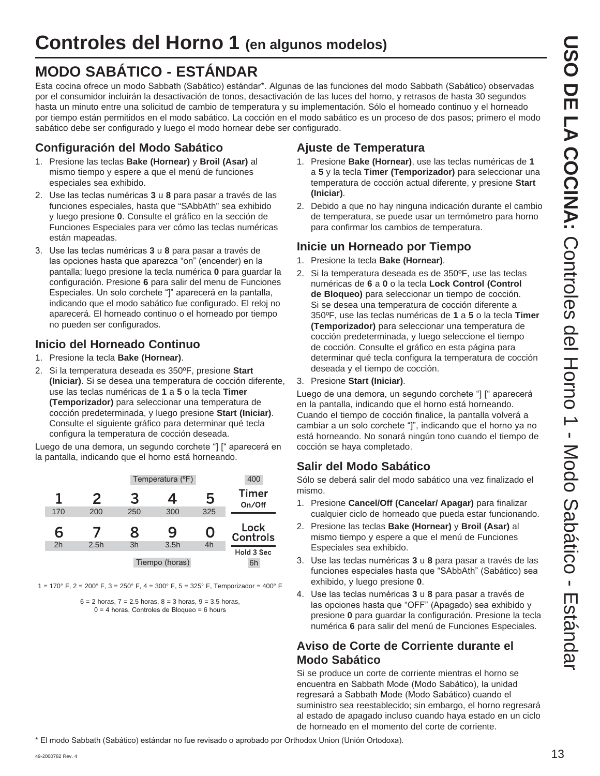# **MODO SABÁTICO - ESTÁNDAR**

Esta cocina ofrece un modo Sabbath (Sabático) estándar\*. Algunas de las funciones del modo Sabbath (Sabático) observadas por el consumidor incluirán la desactivación de tonos, desactivación de las luces del horno, y retrasos de hasta 30 segundos hasta un minuto entre una solicitud de cambio de temperatura y su implementación. Sólo el horneado continuo y el horneado por tiempo están permitidos en el modo sabático. La cocción en el modo sabático es un proceso de dos pasos; primero el modo sabático debe ser configurado y luego el modo hornear debe ser configurado.

#### **Configuración del Modo Sabático**

- 1. Presione las teclas **Bake (Hornear)** y **Broil (Asar)** al mismo tiempo y espere a que el menú de funciones especiales sea exhibido.
- 2. Use las teclas numéricas 3 u 8 para pasar a través de las funciones especiales, hasta que "SAbbAth" sea exhibido y luego presione **0**. Consulte el gráfico en la sección de Funciones Especiales para ver cómo las teclas numéricas están mapeadas.
- 3. Use las teclas numéricas 3 u 8 para pasar a través de las opciones hasta que aparezca "on" (encender) en la pantalla; luego presione la tecla numérica **0** para guardar la configuración. Presione **6** para salir del menu de Funciones Especiales. Un solo corchete "]" aparecerá en la pantalla, indicando que el modo sabático fue configurado. El reloj no aparecerá. El horneado continuo o el horneado por tiempo no pueden ser configurados.

#### **Inicio del Horneado Continuo**

- 1. Presione la tecla **Bake (Hornear)**.
- 2. Si la temperatura deseada es 350ºF, presione **Start (Iniciar)**. Si se desea una temperatura de cocción diferente, use las teclas numéricas de **1** a **5** o la tecla **Timer (Temporizador)** para seleccionar una temperatura de cocción predeterminada, y luego presione **Start (Iniciar)**. Consulte el siguiente gráfico para determinar qué tecla configura la temperatura de cocción deseada.

Luego de una demora, un segundo corchete "] [" aparecerá en la pantalla, indicando que el horno está horneando.

|                |               |     | Temperatura (°F) |     | 400                           |
|----------------|---------------|-----|------------------|-----|-------------------------------|
| 1              | $\mathcal{P}$ | 3   | 4                | 5   | <b>Timer</b><br>On/Off        |
| 170            | 200           | 250 | 300              | 325 |                               |
|                |               |     |                  |     |                               |
| 6              |               | 8   | 9                | 0   | Lock                          |
| 2 <sub>h</sub> | 2.5h          | 3h  | 3.5h             | 4h  | <b>Controls</b><br>Hold 3 Sec |

1 = 170° F, 2 = 200° F, 3 = 250° F, 4 = 300° F, 5 = 325° F, Temporizador = 400° F

 $6 = 2$  horas,  $7 = 2.5$  horas,  $8 = 3$  horas,  $9 = 3.5$  horas,  $0 = 4$  horas, Controles de Bloqueo = 6 hours

## **Ajuste de Temperatura**

- 1. Presione **Bake (Hornear)**, use las teclas numéricas de **1** a **5** y la tecla **Timer (Temporizador)** para seleccionar una temperatura de cocción actual diferente, y presione **Start (Iniciar)**.
- 2. Debido a que no hay ninguna indicación durante el cambio de temperatura, se puede usar un termómetro para horno para confirmar los cambios de temperatura.

## **Inicie un Horneado por Tiempo**

- 1. Presione la tecla **Bake (Hornear)**.
- 2. Si la temperatura deseada es de 350ºF, use las teclas numéricas de **6** a **0** o la tecla **Lock Control (Control de Bloqueo)** para seleccionar un tiempo de cocción. Si se desea una temperatura de cocción diferente a 350ºF, use las teclas numéricas de **1** a **5** o la tecla **Timer (Temporizador)** para seleccionar una temperatura de cocción predeterminada, y luego seleccione el tiempo de cocción. Consulte el gráfico en esta página para determinar qué tecla configura la temperatura de cocción deseada y el tiempo de cocción.
- 3. Presione **Start (Iniciar)**.

Luego de una demora, un segundo corchete "] [" aparecerá en la pantalla, indicando que el horno está horneando. Cuando el tiempo de cocción finalice, la pantalla volverá a cambiar a un solo corchete "]", indicando que el horno ya no está horneando. No sonará ningún tono cuando el tiempo de cocción se haya completado.

## **Salir del Modo Sabático**

Sólo se deberá salir del modo sabático una vez finalizado el mismo.

- 1. Presione **Cancel/Off (Cancelar/ Apagar)** para finalizar cualquier ciclo de horneado que pueda estar funcionando.
- 2. Presione las teclas **Bake (Hornear)** y **Broil (Asar)** al mismo tiempo y espere a que el menú de Funciones Especiales sea exhibido.
- 3. Use las teclas numéricas 3 u 8 para pasar a través de las funciones especiales hasta que "SAbbAth" (Sabático) sea exhibido, y luego presione **0**.
- 4. Use las teclas numéricas 3 u 8 para pasar a través de las opciones hasta que "OFF" (Apagado) sea exhibido y presione **0** para guardar la configuración. Presione la tecla numérica **6** para salir del menú de Funciones Especiales.

### **Aviso de Corte de Corriente durante el Modo Sabático**

Si se produce un corte de corriente mientras el horno se encuentra en Sabbath Mode (Modo Sabático), la unidad regresará a Sabbath Mode (Modo Sabático) cuando el suministro sea reestablecido; sin embargo, el horno regresará al estado de apagado incluso cuando haya estado en un ciclo de horneado en el momento del corte de corriente.

\* El modo Sabbath (Sabático) estándar no fue revisado o aprobado por Orthodox Union (Unión Ortodoxa).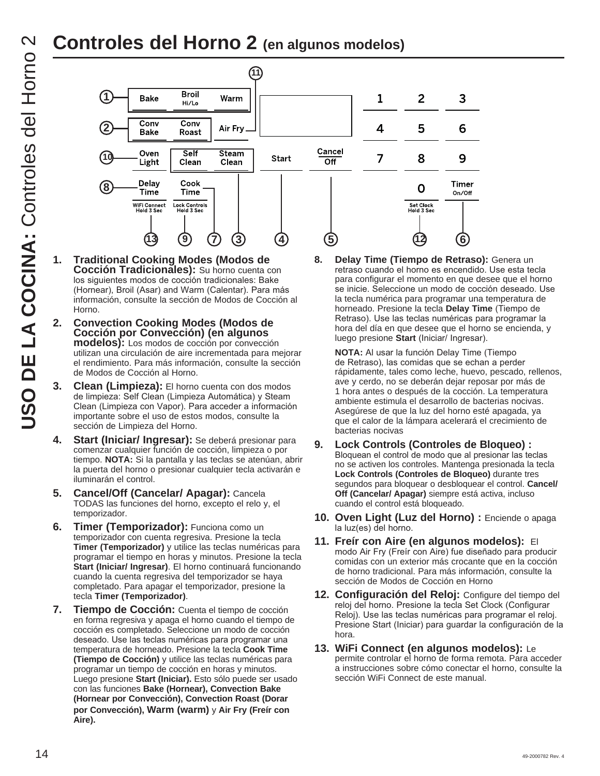# **Controles del Horno 2 (en algunos modelos)**



- **1. Traditional Cooking Modes (Modos de Cocción Tradicionales):** Su horno cuenta con los siguientes modos de cocción tradicionales: Bake (Hornear), Broil (Asar) and Warm (Calentar). Para más información, consulte la sección de Modos de Cocción al Horno.
- **2. Convection Cooking Modes (Modos de Cocción por Convección) (en algunos modelos):** Los modos de cocción por convección utilizan una circulación de aire incrementada para mejorar el rendimiento. Para más información, consulte la sección de Modos de Cocción al Horno.
- **3. Clean (Limpieza):** El horno cuenta con dos modos de limpieza: Self Clean (Limpieza Automática) y Steam Clean (Limpieza con Vapor). Para acceder a información importante sobre el uso de estos modos, consulte la sección de Limpieza del Horno.
- **4. Start (Iniciar/ Ingresar):** Se deberá presionar para comenzar cualquier función de cocción, limpieza o por tiempo. **NOTA:** Si la pantalla y las teclas se atenúan, abrir la puerta del horno o presionar cualquier tecla activarán e iluminarán el control.
- **5. Cancel/Off (Cancelar/ Apagar):** Cancela TODAS las funciones del horno, excepto el relo y, el temporizador.
- **6. Timer (Temporizador):** Funciona como un temporizador con cuenta regresiva. Presione la tecla **Timer (Temporizador)** y utilice las teclas numéricas para programar el tiempo en horas y minutos. Presione la tecla **Start (Iniciar/ Ingresar)**. El horno continuará funcionando cuando la cuenta regresiva del temporizador se haya completado. Para apagar el temporizador, presione la tecla **Timer (Temporizador)**.
- **7. Tiempo de Cocción:** Cuenta el tiempo de cocción en forma regresiva y apaga el horno cuando el tiempo de cocción es completado. Seleccione un modo de cocción deseado. Use las teclas numéricas para programar una temperatura de horneado. Presione la tecla **Cook Time (Tiempo de Cocción)** y utilice las teclas numéricas para programar un tiempo de cocción en horas y minutos. Luego presione **Start (Iniciar).** Esto sólo puede ser usado con las funciones **Bake (Hornear), Convection Bake (Hornear por Convección), Convection Roast (Dorar por Convección), Warm (warm)** y **Air Fry (Freír con Aire).**

**8. Delay Time (Tiempo de Retraso):** Genera un retraso cuando el horno es encendido. Use esta tecla para configurar el momento en que desee que el horno se inicie. Seleccione un modo de cocción deseado. Use la tecla numérica para programar una temperatura de horneado. Presione la tecla **Delay Time** (Tiempo de Retraso). Use las teclas numéricas para programar la hora del día en que desee que el horno se encienda, y luego presione Start (Iniciar/ Ingresar).

**NOTA:** Al usar la función Delay Time (Tiempo de Retraso), las comidas que se echan a perder rápidamente, tales como leche, huevo, pescado, rellenos, ave y cerdo, no se deberán dejar reposar por más de 1 hora antes o después de la cocción. La temperatura ambiente estimula el desarrollo de bacterias nocivas. Asegúrese de que la luz del horno esté apagada, ya que el calor de la lámpara acelerará el crecimiento de bacterias nocivas

- **9. Lock Controls (Controles de Bloqueo) :**  Bloquean el control de modo que al presionar las teclas no se activen los controles. Mantenga presionada la tecla **Lock Controls (Controles de Bloqueo)** durante tres segundos para bloquear o desbloquear el control. **Cancel/ Off (Cancelar/ Apagar)** siempre está activa, incluso cuando el control está bloqueado.
- **10. Oven Light (Luz del Horno) :** Enciende o apaga la luz(es) del horno.
- **11. Freír con Aire (en algunos modelos):** El modo Air Fry (Freir con Aire) fue diseñado para producir comidas con un exterior más crocante que en la cocción de horno tradicional. Para más información, consulte la sección de Modos de Cocción en Horno
- **12. Configuración del Reloj:** Configure del tiempo del reloj del horno. Presione la tecla Set Clock (Configurar Reloj). Use las teclas numéricas para programar el reloj. Presione Start (Iniciar) para guardar la configuración de la hora.
- **13. WiFi Connect (en algunos modelos):** Le permite controlar el horno de forma remota. Para acceder a instrucciones sobre cómo conectar el horno, consulte la sección WiFi Connect de este manual.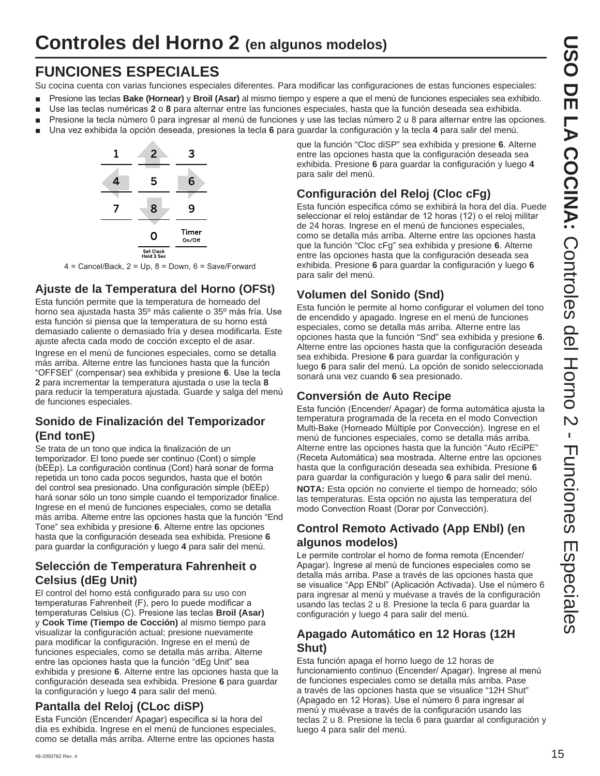## **FUNCIONES ESPECIALES**

Su cocina cuenta con varias funciones especiales diferentes. Para modificar las configuraciones de estas funciones especiales:

- **Presione las teclas Bake (Hornear)** y **Broil (Asar)** al mismo tiempo y espere a que el menú de funciones especiales sea exhibido.
- **B** Use las teclas numéricas 2 o 8 para alternar entre las funciones especiales, hasta que la función deseada sea exhibida.
- Presione la tecla número 0 para ingresar al menú de funciones y use las teclas número 2 u 8 para alternar entre las opciones.
- **DED** Una vez exhibida la opción deseada, presiones la tecla 6 para guardar la configuración y la tecla 4 para salir del menú.



 $4$  = Cancel/Back, 2 = Up, 8 = Down, 6 = Save/Forward

#### **Ajuste de la Temperatura del Horno (OFSt)**

Esta función permite que la temperatura de horneado del horno sea ajustada hasta 35º más caliente o 35º más fría. Use esta función si piensa que la temperatura de su horno está demasiado caliente o demasiado fría y desea modificarla. Este ajuste afecta cada modo de cocción excepto el de asar.

Ingrese en el menú de funciones especiales, como se detalla más arriba. Alterne entre las funciones hasta que la función "OFFSEt" (compensar) sea exhibida y presione 6. Use la tecla **2** para incrementar la temperatura ajustada o use la tecla **8** para reducir la temperatura ajustada. Guarde y salga del menú de funciones especiales.

#### **Sonido de Finalización del Temporizador (End tonE)**

Se trata de un tono que indica la finalización de un temporizador. El tono puede ser continuo (Cont) o simple (bEEp). La configuración continua (Cont) hará sonar de forma repetida un tono cada pocos segundos, hasta que el botón del control sea presionado. Una configuración simple (bEEp) hará sonar sólo un tono simple cuando el temporizador finalice. Ingrese en el menú de funciones especiales, como se detalla más arriba. Alterne entre las opciones hasta que la función "End Tone" sea exhibida y presione **6**. Alterne entre las opciones hasta que la configuración deseada sea exhibida. Presione **6** para guardar la configuración y luego **4** para salir del menú.

#### **Selección de Temperatura Fahrenheit o Celsius (dEg Unit)**

El control del horno está configurado para su uso con temperaturas Fahrenheit (F), pero lo puede modificar a temperaturas Celsius (C). Presione las teclas **Broil (Asar)** y **Cook Time (Tiempo de Cocción)** al mismo tiempo para visualizar la configuración actual; presione nuevamente para modificar la configuración. Ingrese en el menú de funciones especiales, como se detalla más arriba. Alterne entre las opciones hasta que la función "dEg Unit" sea exhibida y presione **6**. Alterne entre las opciones hasta que la configuración deseada sea exhibida. Presione **6** para guardar la configuración y luego **4** para salir del menú.

#### **Pantalla del Reloj (CLoc diSP)**

Esta Función (Encender/ Apagar) especifica si la hora del día es exhibida. Ingrese en el menú de funciones especiales, como se detalla más arriba. Alterne entre las opciones hasta

que la función "Cloc diSP" sea exhibida y presione **6**. Alterne entre las opciones hasta que la configuración deseada sea exhibida. Presione **6** para guardar la configuración y luego **4** para salir del menú.

## **Configuración del Reloj (Cloc cFg)**

Esta función especifica cómo se exhibirá la hora del día. Puede seleccionar el reloj estándar de 12 horas (12) o el reloj militar de 24 horas. Ingrese en el menú de funciones especiales, como se detalla más arriba. Alterne entre las opciones hasta que la función "Cloc cFg" sea exhibida y presione **6**. Alterne entre las opciones hasta que la configuración deseada sea exhibida. Presione **6** para guardar la configuración y luego **6** para salir del menú.

#### **Volumen del Sonido (Snd)**

Esta función le permite al horno configurar el volumen del tono de encendido y apagado. Ingrese en el menú de funciones especiales, como se detalla más arriba. Alterne entre las opciones hasta que la función "Snd" sea exhibida y presione **6**. Alterne entre las opciones hasta que la configuración deseada sea exhibida. Presione **6** para guardar la configuración y luego **6** para salir del menú. La opción de sonido seleccionada sonará una vez cuando **6** sea presionado.

#### **Conversión de Auto Recipe**

Esta función (Encender/ Apagar) de forma automática ajusta la temperatura programada de la receta en el modo Convection Multi-Bake (Horneado Múltiple por Convección). Ingrese en el menú de funciones especiales, como se detalla más arriba. Alterne entre las opciones hasta que la función "Auto rEciPE" (Receta Automática) sea mostrada. Alterne entre las opciones hasta que la configuración deseada sea exhibida. Presione **6** para guardar la configuración y luego **6** para salir del menú. **NOTA:** Esta opción no convierte el tiempo de horneado; sólo las temperaturas. Esta opción no ajusta las temperatura del modo Convection Roast (Dorar por Convección).

#### **Control Remoto Activado (App ENbl) (en algunos modelos)**

Le permite controlar el horno de forma remota (Encender/ Apagar). Ingrese al menú de funciones especiales como se detalla más arriba. Pase a través de las opciones hasta que se visualice "App ENbl" (Aplicación Activada). Use el número 6 para ingresar al menú y muévase a través de la configuración usando las teclas 2 u 8. Presione la tecla 6 para guardar la configuración y luego 4 para salir del menú.

#### **Apagado Automático en 12 Horas (12H Shut)**

Esta función apaga el horno luego de 12 horas de funcionamiento continuo (Encender/ Apagar). Ingrese al menú de funciones especiales como se detalla más arriba. Pase a través de las opciones hasta que se visualice "12H Shut" (Apagado en 12 Horas). Use el número 6 para ingresar al menú y muévase a través de la configuración usando las teclas 2 u 8. Presione la tecla 6 para guardar al configuración y luego 4 para salir del menú.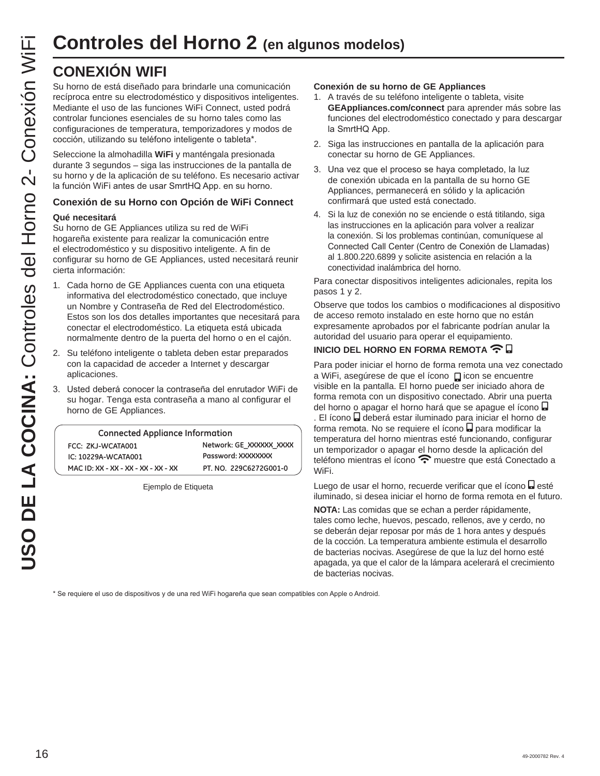Su horno de está diseñado para brindarle una comunicación recíproca entre su electrodoméstico y dispositivos inteligentes. Mediante el uso de las funciones WiFi Connect, usted podrá controlar funciones esenciales de su horno tales como las configuraciones de temperatura, temporizadores y modos de cocción, utilizando su teléfono inteligente o tableta\*.

Seleccione la almohadilla **WiFi** y manténgala presionada durante 3 segundos – siga las instrucciones de la pantalla de su horno y de la aplicación de su teléfono. Es necesario activar la función WiFi antes de usar SmrtHQ App. en su horno.

#### **Conexión de su Horno con Opción de WiFi Connect**

#### **Qué necesitará**

Su horno de GE Appliances utiliza su red de WiFi hogareña existente para realizar la comunicación entre el electrodoméstico y su dispositivo inteligente. A fin de configurar su horno de GE Appliances, usted necesitará reunir cierta información:

- 1. Cada horno de GE Appliances cuenta con una etiqueta informativa del electrodoméstico conectado, que incluye un Nombre y Contraseña de Red del Electrodoméstico. Estos son los dos detalles importantes que necesitará para conectar el electrodoméstico. La etiqueta está ubicada normalmente dentro de la puerta del horno o en el cajón.
- 2. Su teléfono inteligente o tableta deben estar preparados con la capacidad de acceder a Internet y descargar aplicaciones.
- Usted deberá conocer la contraseña del enrutador WiFi de su hogar. Tenga esta contraseña a mano al configurar el horno de GE Appliances.

| <b>Connected Appliance Information</b> |                         |  |
|----------------------------------------|-------------------------|--|
| FCC: ZKJ-WCATA001                      | Network: GE XXXXXX XXXX |  |
| IC: 10229A-WCATA001                    | Password: XXXXXXXX      |  |
| MAC ID: XX - XX - XX - XX - XX - XX    | PT. NO. 229C6272G001-0  |  |

Ejemplo de Etiqueta

#### **Conexión de su horno de GE Appliances**

- 1. A través de su teléfono inteligente o tableta, visite **GEAppliances.com/connect** para aprender más sobre las funciones del electrodoméstico conectado y para descargar la SmrtHQ App.
- 2. Siga las instrucciones en pantalla de la aplicación para conectar su horno de GE Appliances.
- 3. Una vez que el proceso se haya completado, la luz de conexión ubicada en la pantalla de su horno GE Appliances, permanecerá en sólido y la aplicación confirmará que usted está conectado.
- 4. Si la luz de conexión no se enciende o está titilando, siga las instrucciones en la aplicación para volver a realizar la conexión. Si los problemas continúan, comuníquese al Connected Call Center (Centro de Conexión de Llamadas) al 1.800.220.6899 y solicite asistencia en relación a la conectividad inalámbrica del horno.

Para conectar dispositivos inteligentes adicionales, repita los pasos 1 y 2.

Observe que todos los cambios o modificaciones al dispositivo de acceso remoto instalado en este horno que no están expresamente aprobados por el fabricante podrían anular la autoridad del usuario para operar el equipamiento.

#### **INICIO DEL HORNO EN FORMA REMOTA <sup></sup> 日**

Para poder iniciar el horno de forma remota una vez conectado a WiFi, asegúrese de que el ícono **D**icon se encuentre visible en la pantalla. El horno puede ser iniciado ahora de forma remota con un dispositivo conectado. Abrir una puerta del horno o apagar el horno hará que se apague el ícono . El ícono de deberá estar iluminado para iniciar el horno de

forma remota. No se requiere el ícono **D** para modificar la temperatura del horno mientras esté funcionando, configurar un temporizador o apagar el horno desde la aplicación del teléfono mientras el ícono  $\widehat{\mathbf{P}}$  muestre que está Conectado a WiFi.

Luego de usar el horno, recuerde verificar que el ícono e esté iluminado, si desea iniciar el horno de forma remota en el futuro.

**NOTA:** Las comidas que se echan a perder rápidamente, tales como leche, huevos, pescado, rellenos, ave y cerdo, no se deberán dejar reposar por más de 1 hora antes y después de la cocción. La temperatura ambiente estimula el desarrollo de bacterias nocivas. Asegúrese de que la luz del horno esté apagada, ya que el calor de la lámpara acelerará el crecimiento de bacterias nocivas.

\* Se requiere el uso de dispositivos y de una red WiFi hogareña que sean compatibles con Apple o Android.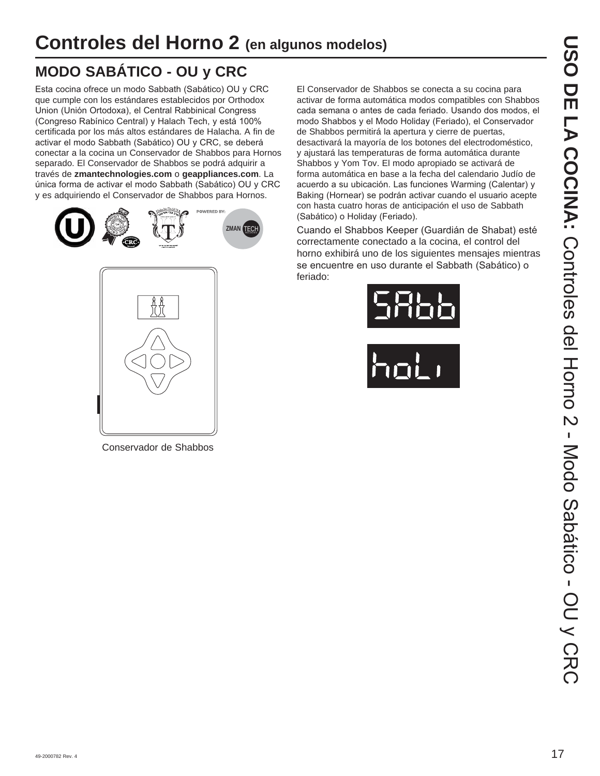# **MODO SABÁTICO - OU y CRC**

Esta cocina ofrece un modo Sabbath (Sabático) OU y CRC que cumple con los estándares establecidos por Orthodox Union (Unión Ortodoxa), el Central Rabbinical Congress (Congreso Rabínico Central) y Halach Tech, y está 100% certificada por los más altos estándares de Halacha. A fin de activar el modo Sabbath (Sabático) OU y CRC, se deberá conectar a la cocina un Conservador de Shabbos para Hornos separado. El Conservador de Shabbos se podrá adquirir a través de **zmantechnologies.com** o **geappliances.com**. La única forma de activar el modo Sabbath (Sabático) OU y CRC y es adquiriendo el Conservador de Shabbos para Hornos.





Conservador de Shabbos

El Conservador de Shabbos se conecta a su cocina para activar de forma automática modos compatibles con Shabbos cada semana o antes de cada feriado. Usando dos modos, el modo Shabbos y el Modo Holiday (Feriado), el Conservador de Shabbos permitirá la apertura y cierre de puertas, desactivará la mayoría de los botones del electrodoméstico, y ajustará las temperaturas de forma automática durante Shabbos y Yom Tov. El modo apropiado se activará de forma automática en base a la fecha del calendario Judío de acuerdo a su ubicación. Las funciones Warming (Calentar) y Baking (Hornear) se podrán activar cuando el usuario acepte con hasta cuatro horas de anticipación el uso de Sabbath (Sabático) o Holiday (Feriado).

Cuando el Shabbos Keeper (Guardián de Shabat) esté correctamente conectado a la cocina, el control del horno exhibirá uno de los siguientes mensajes mientras se encuentre en uso durante el Sabbath (Sabático) o feriado:



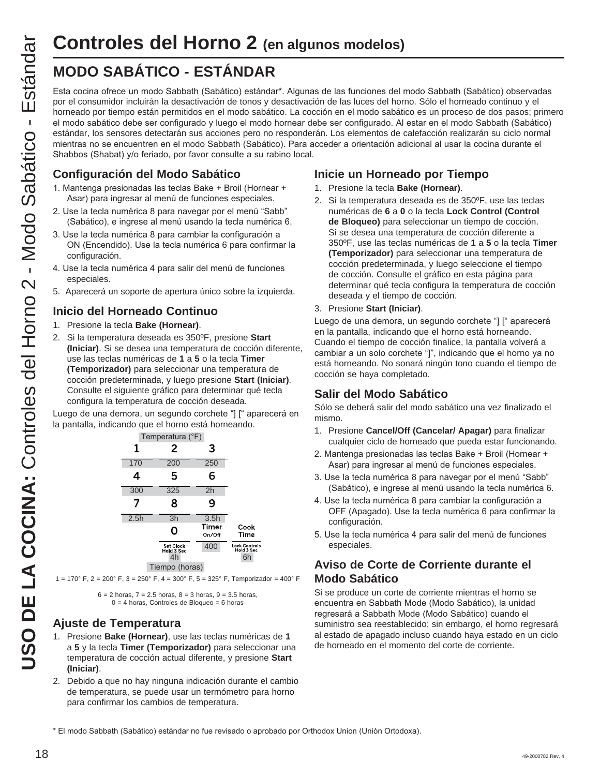# **MODO SABÁTICO - ESTÁNDAR**

Esta cocina ofrece un modo Sabbath (Sabático) estándar\*. Algunas de las funciones del modo Sabbath (Sabático) observadas por el consumidor incluirán la desactivación de tonos y desactivación de las luces del horno. Sólo el horneado continuo y el horneado por tiempo están permitidos en el modo sabático. La cocción en el modo sabático es un proceso de dos pasos; primero el modo sabático debe ser configurado y luego el modo hornear debe ser configurado. Al estar en el modo Sabbath (Sabático) estándar, los sensores detectarán sus acciones pero no responderán. Los elementos de calefacción realizarán su ciclo normal mientras no se encuentren en el modo Sabbath (Sabático). Para acceder a orientación adicional al usar la cocina durante el Shabbos (Shabat) y/o feriado, por favor consulte a su rabino local.

#### **Configuración del Modo Sabático**

- 1. Mantenga presionadas las teclas Bake + Broil (Hornear + Asar) para ingresar al menú de funciones especiales.
- 2. Use la tecla numérica 8 para navegar por el menú "Sabb" (Sabático), e ingrese al menú usando la tecla numérica 6.
- 3. Use la tecla numérica 8 para cambiar la configuración a ON (Encendido). Use la tecla numérica 6 para confirmar la configuración.
- 4. Use la tecla numérica 4 para salir del menú de funciones especiales.
- 5. Aparecerá un soporte de apertura único sobre la izquierda.

#### **Inicio del Horneado Continuo**

- 1. Presione la tecla **Bake (Hornear)**.
- 2. Si la temperatura deseada es 350ºF, presione **Start (Iniciar)**. Si se desea una temperatura de cocción diferente, use las teclas numéricas de **1** a **5** o la tecla **Timer (Temporizador)** para seleccionar una temperatura de cocción predeterminada, y luego presione **Start (Iniciar)**. Consulte el siguiente gráfico para determinar qué tecla configura la temperatura de cocción deseada.

Luego de una demora, un segundo corchete "] [" aparecerá en la pantalla, indicando que el horno está horneando.



1 = 170° F, 2 = 200° F, 3 = 250° F, 4 = 300° F, 5 = 325° F, Temporizador = 400° F

 $6 = 2$  horas,  $7 = 2.5$  horas,  $8 = 3$  horas,  $9 = 3.5$  horas,  $0 = 4$  horas, Controles de Bloqueo = 6 horas

#### **Ajuste de Temperatura**

- 1. Presione **Bake (Hornear)**, use las teclas numéricas de **1** a **5** y la tecla **Timer (Temporizador)** para seleccionar una temperatura de cocción actual diferente, y presione **Start (Iniciar)**.
- 2. Debido a que no hay ninguna indicación durante el cambio de temperatura, se puede usar un termómetro para horno para confirmar los cambios de temperatura.

#### **Inicie un Horneado por Tiempo**

- 1. Presione la tecla **Bake (Hornear)**.
- 2. Si la temperatura deseada es de 350ºF, use las teclas numéricas de **6** a **0** o la tecla **Lock Control (Control de Bloqueo)** para seleccionar un tiempo de cocción. Si se desea una temperatura de cocción diferente a 350ºF, use las teclas numéricas de **1** a **5** o la tecla **Timer (Temporizador)** para seleccionar una temperatura de cocción predeterminada, y luego seleccione el tiempo de cocción. Consulte el gráfico en esta página para determinar qué tecla configura la temperatura de cocción deseada y el tiempo de cocción.
- 3. Presione **Start (Iniciar)**.

Luego de una demora, un segundo corchete "] [" aparecerá en la pantalla, indicando que el horno está horneando. Cuando el tiempo de cocción finalice, la pantalla volverá a cambiar a un solo corchete "]", indicando que el horno ya no está horneando. No sonará ningún tono cuando el tiempo de cocción se haya completado.

#### **Salir del Modo Sabático**

Sólo se deberá salir del modo sabático una vez finalizado el mismo.

- 1. Presione **Cancel/Off (Cancelar/ Apagar)** para finalizar cualquier ciclo de horneado que pueda estar funcionando.
- 2. Mantenga presionadas las teclas Bake + Broil (Hornear + Asar) para ingresar al menú de funciones especiales.
- 3. Use la tecla numérica 8 para navegar por el menú "Sabb" (Sabático), e ingrese al menú usando la tecla numérica 6.
- 4. Use la tecla numérica 8 para cambiar la configuración a OFF (Apagado). Use la tecla numérica 6 para confirmar la configuración.
- 5. Use la tecla numérica 4 para salir del menú de funciones especiales.

#### **Aviso de Corte de Corriente durante el Modo Sabático**

Si se produce un corte de corriente mientras el horno se encuentra en Sabbath Mode (Modo Sabático), la unidad regresará a Sabbath Mode (Modo Sabático) cuando el suministro sea reestablecido; sin embargo, el horno regresará al estado de apagado incluso cuando haya estado en un ciclo de horneado en el momento del corte de corriente.

\* El modo Sabbath (Sabático) estándar no fue revisado o aprobado por Orthodox Union (Unión Ortodoxa).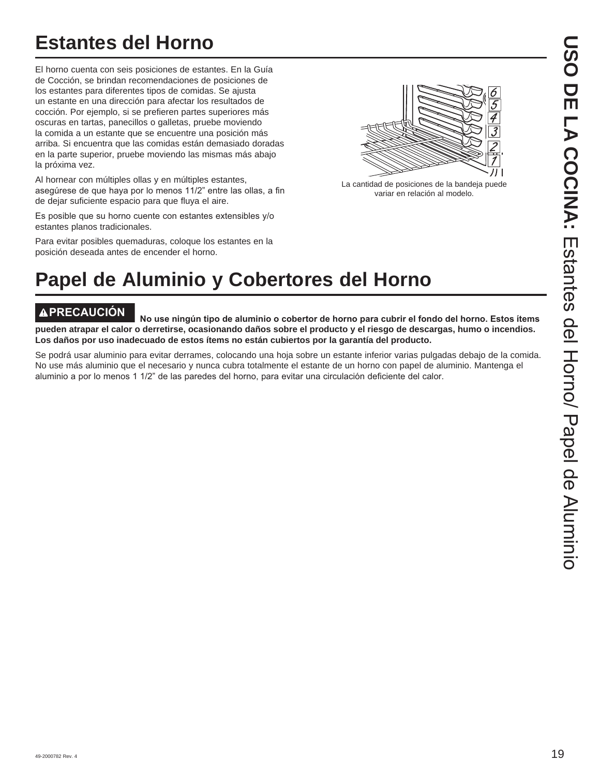# **Estantes del Horno**

El horno cuenta con seis posiciones de estantes. En la Guía de Cocción, se brindan recomendaciones de posiciones de los estantes para diferentes tipos de comidas. Se ajusta un estante en una dirección para afectar los resultados de cocción. Por ejemplo, si se prefieren partes superiores más oscuras en tartas, panecillos o galletas, pruebe moviendo la comida a un estante que se encuentre una posición más arriba. Si encuentra que las comidas están demasiado doradas en la parte superior, pruebe moviendo las mismas más abajo la próxima vez.

Al hornear con múltiples ollas y en múltiples estantes, asegúrese de que haya por lo menos 11/2" entre las ollas, a fin de dejar suficiente espacio para que fluya el aire.

Es posible que su horno cuente con estantes extensibles y/o estantes planos tradicionales.

Para evitar posibles quemaduras, coloque los estantes en la posición deseada antes de encender el horno.



La cantidad de posiciones de la bandeja puede variar en relación al modelo.

# **Papel de Aluminio y Cobertores del Horno**

**APRECAUCIÓN**<br>No use ningún tipo de aluminio o cobertor de horno para cubrir el fondo del horno. Estos ítems **pueden atrapar el calor o derretirse, ocasionando daños sobre el producto y el riesgo de descargas, humo o incendios. Los daños por uso inadecuado de estos ítems no están cubiertos por la garantía del producto.**

Se podrá usar aluminio para evitar derrames, colocando una hoja sobre un estante inferior varias pulgadas debajo de la comida. No use más aluminio que el necesario y nunca cubra totalmente el estante de un horno con papel de aluminio. Mantenga el aluminio a por lo menos 1 1/2" de las paredes del horno, para evitar una circulación deficiente del calor.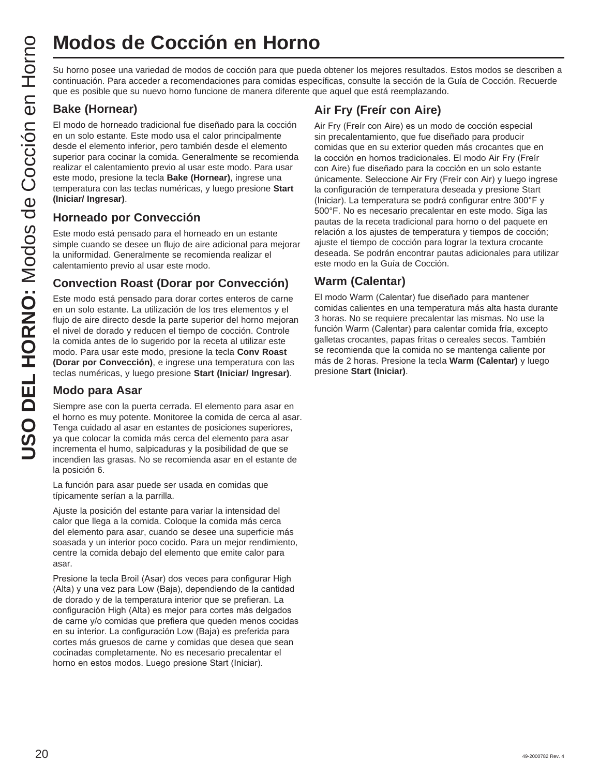# **Modos de Cocción en Horno**

Su horno posee una variedad de modos de cocción para que pueda obtener los mejores resultados. Estos modos se describen a continuación. Para acceder a recomendaciones para comidas específicas, consulte la sección de la Guía de Cocción. Recuerde que es posible que su nuevo horno funcione de manera diferente que aquel que está reemplazando.

#### **Bake (Hornear)**

El modo de horneado tradicional fue diseñado para la cocción en un solo estante. Este modo usa el calor principalmente desde el elemento inferior, pero también desde el elemento superior para cocinar la comida. Generalmente se recomienda realizar el calentamiento previo al usar este modo. Para usar este modo, presione la tecla **Bake (Hornear)**, ingrese una temperatura con las teclas numéricas, y luego presione **Start (Iniciar/ Ingresar)**.

#### **Horneado por Convección**

Este modo está pensado para el horneado en un estante simple cuando se desee un flujo de aire adicional para mejorar la uniformidad. Generalmente se recomienda realizar el calentamiento previo al usar este modo.

#### **Convection Roast (Dorar por Convección)**

Este modo está pensado para dorar cortes enteros de carne en un solo estante. La utilización de los tres elementos y el flujo de aire directo desde la parte superior del horno mejoran el nivel de dorado y reducen el tiempo de cocción. Controle la comida antes de lo sugerido por la receta al utilizar este modo. Para usar este modo, presione la tecla **Conv Roast (Dorar por Convección)**, e ingrese una temperatura con las teclas numéricas, y luego presione **Start (Iniciar/ Ingresar)**.

#### **Modo para Asar**

Siempre ase con la puerta cerrada. El elemento para asar en el horno es muy potente. Monitoree la comida de cerca al asar. Tenga cuidado al asar en estantes de posiciones superiores, ya que colocar la comida más cerca del elemento para asar incrementa el humo, salpicaduras y la posibilidad de que se incendien las grasas. No se recomienda asar en el estante de la posición 6.

La función para asar puede ser usada en comidas que típicamente serían a la parrilla.

Ajuste la posición del estante para variar la intensidad del calor que llega a la comida. Coloque la comida más cerca del elemento para asar, cuando se desee una superficie más soasada y un interior poco cocido. Para un mejor rendimiento, centre la comida debajo del elemento que emite calor para asar.

Presione la tecla Broil (Asar) dos veces para configurar High (Alta) y una vez para Low (Baja), dependiendo de la cantidad de dorado y de la temperatura interior que se prefieran. La configuración High (Alta) es mejor para cortes más delgados de carne y/o comidas que prefiera que queden menos cocidas en su interior. La configuración Low (Baja) es preferida para cortes más gruesos de carne y comidas que desea que sean cocinadas completamente. No es necesario precalentar el horno en estos modos. Luego presione Start (Iniciar).

### **Air Fry (Freír con Aire)**

Air Fry (Freír con Aire) es un modo de cocción especial sin precalentamiento, que fue diseñado para producir comidas que en su exterior queden más crocantes que en la cocción en hornos tradicionales. El modo Air Fry (Freír con Aire) fue diseñado para la cocción en un solo estante únicamente. Seleccione Air Fry (Freír con Air) y luego ingrese la configuración de temperatura deseada y presione Start (Iniciar). La temperatura se podrá configurar entre 300°F y 500°F. No es necesario precalentar en este modo. Siga las pautas de la receta tradicional para horno o del paquete en relación a los ajustes de temperatura y tiempos de cocción; ajuste el tiempo de cocción para lograr la textura crocante deseada. Se podrán encontrar pautas adicionales para utilizar este modo en la Guía de Cocción.

#### **Warm (Calentar)**

El modo Warm (Calentar) fue diseñado para mantener comidas calientes en una temperatura más alta hasta durante 3 horas. No se requiere precalentar las mismas. No use la función Warm (Calentar) para calentar comida fría, excepto galletas crocantes, papas fritas o cereales secos. También se recomienda que la comida no se mantenga caliente por más de 2 horas. Presione la tecla **Warm (Calentar)** y luego presione **Start (Iniciar)**.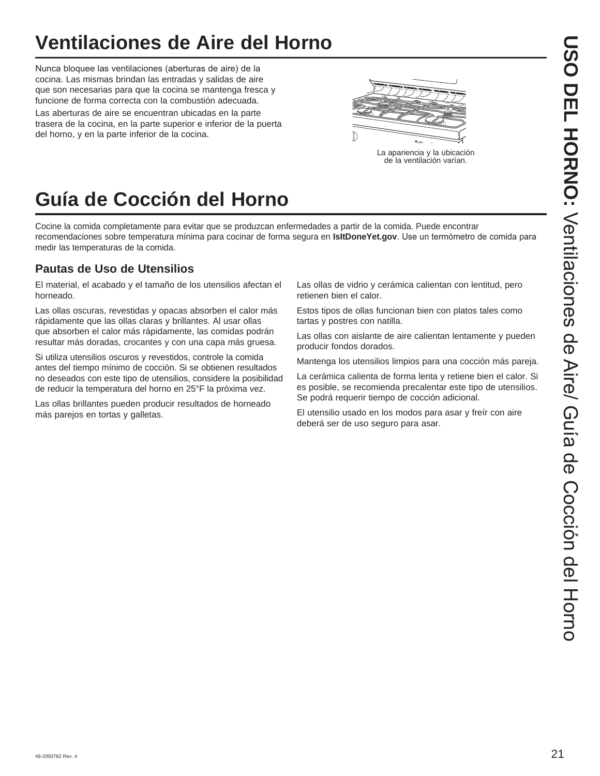# **Ventilaciones de Aire del Horno**

Nunca bloquee las ventilaciones (aberturas de aire) de la cocina. Las mismas brindan las entradas y salidas de aire que son necesarias para que la cocina se mantenga fresca y funcione de forma correcta con la combustión adecuada. Las aberturas de aire se encuentran ubicadas en la parte trasera de la cocina, en la parte superior e inferior de la puerta del horno, y en la parte inferior de la cocina.



# **Guía de Cocción del Horno**

Cocine la comida completamente para evitar que se produzcan enfermedades a partir de la comida. Puede encontrar recomendaciones sobre temperatura mínima para cocinar de forma segura en **IsItDoneYet.gov**. Use un termómetro de comida para medir las temperaturas de la comida.

#### **Pautas de Uso de Utensilios**

El material, el acabado y el tamaño de los utensilios afectan el horneado.

Las ollas oscuras, revestidas y opacas absorben el calor más rápidamente que las ollas claras y brillantes. Al usar ollas que absorben el calor más rápidamente, las comidas podrán resultar más doradas, crocantes y con una capa más gruesa.

Si utiliza utensilios oscuros y revestidos, controle la comida antes del tiempo mínimo de cocción. Si se obtienen resultados no deseados con este tipo de utensilios, considere la posibilidad de reducir la temperatura del horno en 25°F la próxima vez.

Las ollas brillantes pueden producir resultados de horneado más parejos en tortas y galletas.

Las ollas de vidrio y cerámica calientan con lentitud, pero retienen bien el calor.

Estos tipos de ollas funcionan bien con platos tales como tartas y postres con natilla.

Las ollas con aislante de aire calientan lentamente y pueden producir fondos dorados.

Mantenga los utensilios limpios para una cocción más pareja.

La cerámica calienta de forma lenta y retiene bien el calor. Si es posible, se recomienda precalentar este tipo de utensilios. Se podrá requerir tiempo de cocción adicional.

El utensilio usado en los modos para asar y freír con aire deberá ser de uso seguro para asar.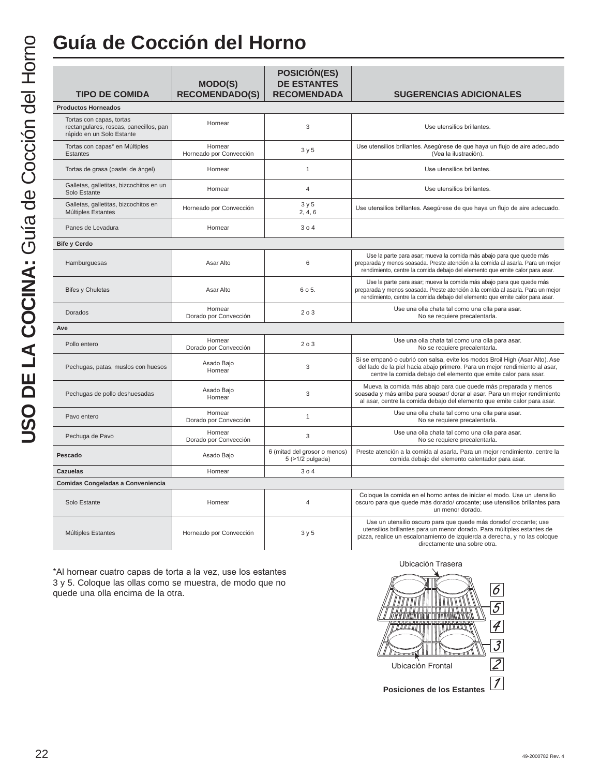# **Guía de Cocción del Horno**

| <b>TIPO DE COMIDA</b>                                                                           | <b>MODO(S)</b><br><b>RECOMENDADO(S)</b> | <b>POSICIÓN(ES)</b><br><b>DE ESTANTES</b><br><b>RECOMENDADA</b> | <b>SUGERENCIAS ADICIONALES</b>                                                                                                                                                                                                                          |
|-------------------------------------------------------------------------------------------------|-----------------------------------------|-----------------------------------------------------------------|---------------------------------------------------------------------------------------------------------------------------------------------------------------------------------------------------------------------------------------------------------|
| <b>Productos Horneados</b>                                                                      |                                         |                                                                 |                                                                                                                                                                                                                                                         |
| Tortas con capas, tortas<br>rectangulares, roscas, panecillos, pan<br>rápido en un Solo Estante | Hornear                                 | 3                                                               | Use utensilios brillantes.                                                                                                                                                                                                                              |
| Tortas con capas* en Múltiples<br><b>Estantes</b>                                               | Hornear<br>Horneado por Convección      | 3y5                                                             | Use utensilios brillantes. Asegúrese de que haya un flujo de aire adecuado<br>(Vea la ilustración).                                                                                                                                                     |
| Tortas de grasa (pastel de ángel)                                                               | Hornear                                 | $\mathbf{1}$                                                    | Use utensilios brillantes.                                                                                                                                                                                                                              |
| Galletas, galletitas, bizcochitos en un<br>Solo Estante                                         | Hornear                                 | $\overline{4}$                                                  | Use utensilios brillantes.                                                                                                                                                                                                                              |
| Galletas, galletitas, bizcochitos en<br>Múltiples Estantes                                      | Horneado por Convección                 | 3y5<br>2, 4, 6                                                  | Use utensilios brillantes. Asegúrese de que haya un flujo de aire adecuado.                                                                                                                                                                             |
| Panes de Levadura                                                                               | Hornear                                 | 304                                                             |                                                                                                                                                                                                                                                         |
| <b>Bife y Cerdo</b>                                                                             |                                         |                                                                 |                                                                                                                                                                                                                                                         |
| Hamburguesas                                                                                    | Asar Alto                               | 6                                                               | Use la parte para asar; mueva la comida más abajo para que quede más<br>preparada y menos soasada. Preste atención a la comida al asarla. Para un mejor<br>rendimiento, centre la comida debajo del elemento que emite calor para asar.                 |
| <b>Bifes y Chuletas</b>                                                                         | Asar Alto                               | 6 o 5.                                                          | Use la parte para asar; mueva la comida más abajo para que quede más<br>preparada y menos soasada. Preste atención a la comida al asarla. Para un mejor<br>rendimiento, centre la comida debajo del elemento que emite calor para asar.                 |
| Dorados                                                                                         | Hornear<br>Dorado por Convección        | 203                                                             | Use una olla chata tal como una olla para asar.<br>No se requiere precalentarla.                                                                                                                                                                        |
| Ave                                                                                             |                                         |                                                                 |                                                                                                                                                                                                                                                         |
| Pollo entero                                                                                    | Hornear<br>Dorado por Convección        | 2 o 3                                                           | Use una olla chata tal como una olla para asar.<br>No se requiere precalentarla.                                                                                                                                                                        |
| Pechugas, patas, muslos con huesos                                                              | Asado Bajo<br>Hornear                   | 3                                                               | Si se empanó o cubrió con salsa, evite los modos Broil High (Asar Alto). Ase<br>del lado de la piel hacia abajo primero. Para un mejor rendimiento al asar,<br>centre la comida debajo del elemento que emite calor para asar.                          |
| Pechugas de pollo deshuesadas                                                                   | Asado Bajo<br>Hornear                   | 3                                                               | Mueva la comida más abajo para que quede más preparada y menos<br>soasada y más arriba para soasar/ dorar al asar. Para un mejor rendimiento<br>al asar, centre la comida debajo del elemento que emite calor para asar.                                |
| Pavo entero                                                                                     | Hornear<br>Dorado por Convección        | $\mathbf{1}$                                                    | Use una olla chata tal como una olla para asar.<br>No se requiere precalentarla.                                                                                                                                                                        |
| Pechuga de Pavo                                                                                 | Hornear<br>Dorado por Convección        | 3                                                               | Use una olla chata tal como una olla para asar.<br>No se requiere precalentarla.                                                                                                                                                                        |
| Pescado                                                                                         | Asado Bajo                              | 6 (mitad del grosor o menos)<br>5 (>1/2 pulgada)                | Preste atención a la comida al asarla. Para un mejor rendimiento, centre la<br>comida debajo del elemento calentador para asar.                                                                                                                         |
| <b>Cazuelas</b>                                                                                 | Hornear                                 | 304                                                             |                                                                                                                                                                                                                                                         |
| Comidas Congeladas a Conveniencia                                                               |                                         |                                                                 |                                                                                                                                                                                                                                                         |
| Solo Estante                                                                                    | Hornear                                 | $\overline{4}$                                                  | Coloque la comida en el horno antes de iniciar el modo. Use un utensilio<br>oscuro para que quede más dorado/ crocante; use utensilios brillantes para<br>un menor dorado.                                                                              |
| Múltiples Estantes                                                                              | Horneado por Convección                 | 3y5                                                             | Use un utensilio oscuro para que quede más dorado/ crocante; use<br>utensilios brillantes para un menor dorado. Para múltiples estantes de<br>pizza, realice un escalonamiento de izquierda a derecha, y no las coloque<br>directamente una sobre otra. |

\*Al hornear cuatro capas de torta a la vez, use los estantes 3 y 5. Coloque las ollas como se muestra, de modo que no quede una olla encima de la otra.

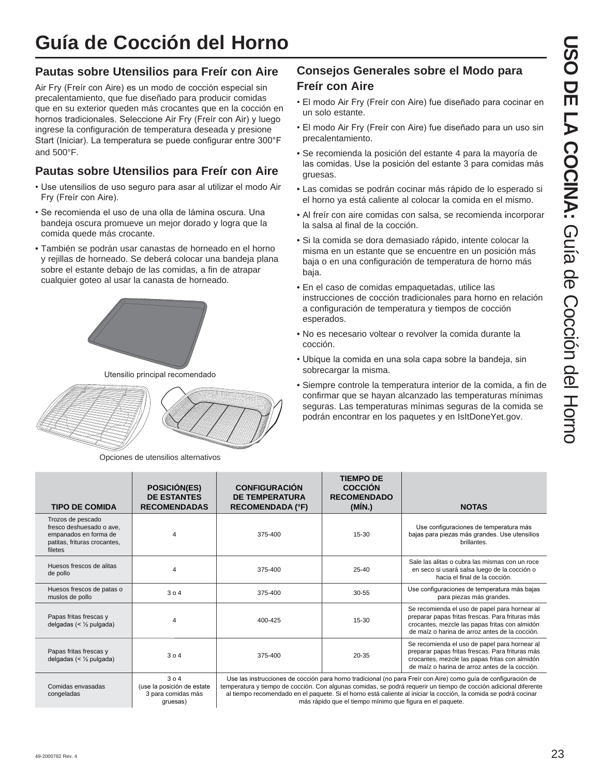# **Guía de Cocción del Horno**

#### **Pautas sobre Utensilios para Freír con Aire**

Air Fry (Freir con Aire) es un modo de cocción especial sin precalentamiento, que fue diseñado para producir comidas que en su exterior queden más crocantes que en la cocción en hornos tradicionales. Seleccione Air Fry (Freir con Air) y luego ingrese la configuración de temperatura deseada y presione Start (Iniciar). La temperatura se puede configurar entre 300°F and 500°F.

## **Pautas sobre Utensilios para Freír con Aire**

- Use utensilios de uso seguro para asar al utilizar el modo Air Fry (Freir con Aire).
- Se recomienda el uso de una olla de lámina oscura. Una bandeja oscura promueve un mejor dorado y logra que la comida quede más crocante.
- También se podrán usar canastas de horneado en el horno y rejillas de horneado. Se deberá colocar una bandeja plana sobre el estante debajo de las comidas, a fin de atrapar cualquier goteo al usar la canasta de horneado.



Utensilio principal recomendado



Opciones de utensilios alternativos

gruesas)

### **Consejos Generales sobre el Modo para Freír con Aire**

- El modo Air Fry (Freír con Aire) fue diseñado para cocinar en un solo estante.
- El modo Air Fry (Freír con Aire) fue diseñado para un uso sin precalentamiento.
- Se recomienda la posición del estante 4 para la mayoría de las comidas. Use la posición del estante 3 para comidas más gruesas.
- Las comidas se podrán cocinar más rápido de lo esperado si el horno ya está caliente al colocar la comida en el mismo.
- Al freír con aire comidas con salsa, se recomienda incorporar la salsa al final de la cocción.
- Si la comida se dora demasiado rápido, intente colocar la misma en un estante que se encuentre en un posición más baja o en una configuración de temperatura de horno más baja.
- En el caso de comidas empaquetadas, utilice las instrucciones de cocción tradicionales para horno en relación a configuración de temperatura y tiempos de cocción esperados.
- No es necesario voltear o revolver la comida durante la cocción.
- Ubique la comida en una sola capa sobre la bandeja, sin sobrecargar la misma.

más rápido que el tiempo mínimo que figura en el paquete.

• Siempre controle la temperatura interior de la comida, a fin de confirmar que se hayan alcanzado las temperaturas mínimas seguras. Las temperaturas mínimas seguras de la comida se podrán encontrar en los paquetes y en IsItDoneYet.gov.

| <b>TIPO DE COMIDA</b>                                                                                             | <b>POSICIÓN(ES)</b><br><b>DE ESTANTES</b><br><b>RECOMENDADAS</b> | <b>CONFIGURACIÓN</b><br><b>DE TEMPERATURA</b><br><b>RECOMENDADA (°F)</b> | <b>TIEMPO DE</b><br><b>COCCIÓN</b><br><b>RECOMENDADO</b><br>(MIN.) | <b>NOTAS</b>                                                                                                                                                                                                                                                                                                                                           |
|-------------------------------------------------------------------------------------------------------------------|------------------------------------------------------------------|--------------------------------------------------------------------------|--------------------------------------------------------------------|--------------------------------------------------------------------------------------------------------------------------------------------------------------------------------------------------------------------------------------------------------------------------------------------------------------------------------------------------------|
| Trozos de pescado<br>fresco deshuesado o ave.<br>empanados en forma de<br>patitas, frituras crocantes,<br>filetes | 4                                                                | 375-400                                                                  | 15-30                                                              | Use configuraciones de temperatura más<br>bajas para piezas más grandes. Use utensilios<br>brillantes.                                                                                                                                                                                                                                                 |
| Huesos frescos de alitas<br>de pollo                                                                              | 4                                                                | 375-400                                                                  | $25 - 40$                                                          | Sale las alitas o cubra las mismas con un roce<br>en seco si usará salsa luego de la cocción o<br>hacia el final de la cocción.                                                                                                                                                                                                                        |
| Huesos frescos de patas o<br>muslos de pollo                                                                      | 304                                                              | 375-400                                                                  | 30-55                                                              | Use configuraciones de temperatura más bajas<br>para piezas más grandes.                                                                                                                                                                                                                                                                               |
| Papas fritas frescas y<br>delgadas (< $\frac{1}{2}$ pulgada)                                                      | 4                                                                | 400-425                                                                  | $15 - 30$                                                          | Se recomienda el uso de papel para hornear al<br>preparar papas fritas frescas. Para frituras más<br>crocantes, mezcle las papas fritas con almidón<br>de maíz o harina de arroz antes de la cocción.                                                                                                                                                  |
| Papas fritas frescas y<br>delgadas (< $\frac{1}{2}$ pulgada)                                                      | 304                                                              | 375-400                                                                  | 20-35                                                              | Se recomienda el uso de papel para hornear al<br>preparar papas fritas frescas. Para frituras más<br>crocantes, mezcle las papas fritas con almidón<br>de maíz o harina de arroz antes de la cocción.                                                                                                                                                  |
| Comidas envasadas<br>congeladas                                                                                   | 304<br>(use la posición de estate<br>3 para comidas más          |                                                                          |                                                                    | Use las instrucciones de cocción para horno tradicional (no para Freír con Aire) como guía de configuración de<br>temperatura y tiempo de cocción. Con algunas comidas, se podrá requerir un tiempo de cocción adicional diferente<br>al tiempo recomendado en el paquete. Si el horno está caliente al iniciar la cocción, la comida se podrá cocinar |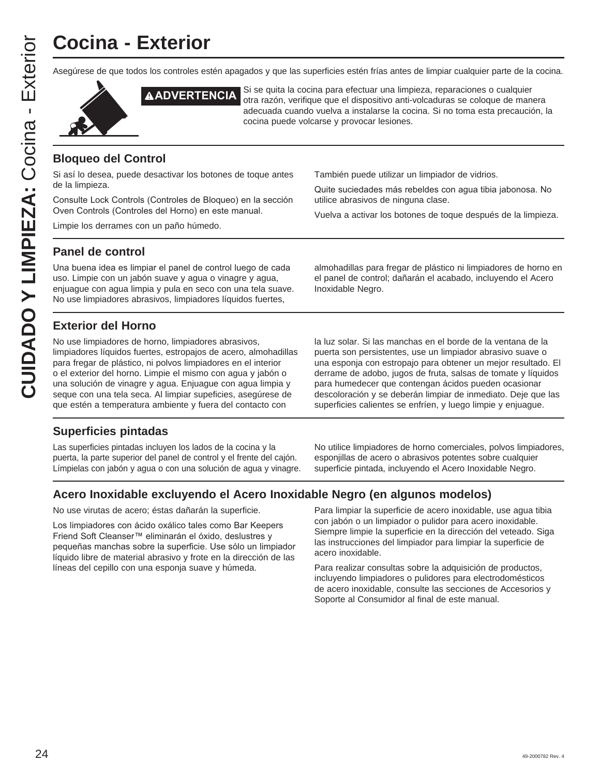# **Cocina - Exterior**

Asegúrese de que todos los controles estén apagados y que las superficies estén frías antes de limpiar cualquier parte de la cocina.



**AADVERTENCIA** Si se quita la cocina para efectuar una limpieza, reparaciones o cualquier<br>AADVERTENCIA otra razón, verifique que el dispositivo anti-volcaduras se cologue de man otra razón, verifique que el dispositivo anti-volcaduras se coloque de manera adecuada cuando vuelva a instalarse la cocina. Si no toma esta precaución, la cocina puede volcarse y provocar lesiones.

#### **Bloqueo del Control**

Si así lo desea, puede desactivar los botones de toque antes de la limpieza.

Consulte Lock Controls (Controles de Bloqueo) en la sección Oven Controls (Controles del Horno) en este manual.

Limpie los derrames con un paño húmedo.

También puede utilizar un limpiador de vidrios.

Quite suciedades más rebeldes con agua tibia jabonosa. No utilice abrasivos de ninguna clase.

Vuelva a activar los botones de toque después de la limpieza.

#### **Panel de control**

Una buena idea es limpiar el panel de control luego de cada uso. Limpie con un jabón suave y agua o vinagre y agua, enjuague con agua limpia y pula en seco con una tela suave. No use limpiadores abrasivos, limpiadores líquidos fuertes,

almohadillas para fregar de plástico ni limpiadores de horno en el panel de control; dañarán el acabado, incluyendo el Acero Inoxidable Negro.

#### **Exterior del Horno**

No use limpiadores de horno, limpiadores abrasivos, limpiadores líquidos fuertes, estropajos de acero, almohadillas para fregar de plástico, ni polvos limpiadores en el interior o el exterior del horno. Limpie el mismo con agua y jabón o una solución de vinagre y agua. Enjuague con agua limpia y seque con una tela seca. Al limpiar supeficies, asegúrese de que estén a temperatura ambiente y fuera del contacto con

#### la luz solar. Si las manchas en el borde de la ventana de la puerta son persistentes, use un limpiador abrasivo suave o una esponja con estropajo para obtener un mejor resultado. El derrame de adobo, jugos de fruta, salsas de tomate y líquidos para humedecer que contengan ácidos pueden ocasionar descoloración y se deberán limpiar de inmediato. Deje que las superficies calientes se enfríen, y luego limpie y enjuague.

#### **Superficies pintadas**

Las superficies pintadas incluyen los lados de la cocina y la puerta, la parte superior del panel de control y el frente del cajón. Límpielas con jabón y agua o con una solución de agua y vinagre. No utilice limpiadores de horno comerciales, polvos limpiadores, esponjillas de acero o abrasivos potentes sobre cualquier superficie pintada, incluyendo el Acero Inoxidable Negro.

#### **Acero Inoxidable excluyendo el Acero Inoxidable Negro (en algunos modelos)**

No use virutas de acero; éstas dañarán la superficie.

Los limpiadores con ácido oxálico tales como Bar Keepers Friend Soft Cleanser™ eliminarán el óxido, deslustres y pequeñas manchas sobre la superficie. Use sólo un limpiador líquido libre de material abrasivo y frote en la dirección de las líneas del cepillo con una esponja suave y húmeda.

Para limpiar la superficie de acero inoxidable, use agua tibia con jabón o un limpiador o pulidor para acero inoxidable. Siempre limpie la superficie en la dirección del veteado. Siga las instrucciones del limpiador para limpiar la superficie de acero inoxidable.

Para realizar consultas sobre la adquisición de productos, incluyendo limpiadores o pulidores para electrodomésticos de acero inoxidable, consulte las secciones de Accesorios y Soporte al Consumidor al final de este manual.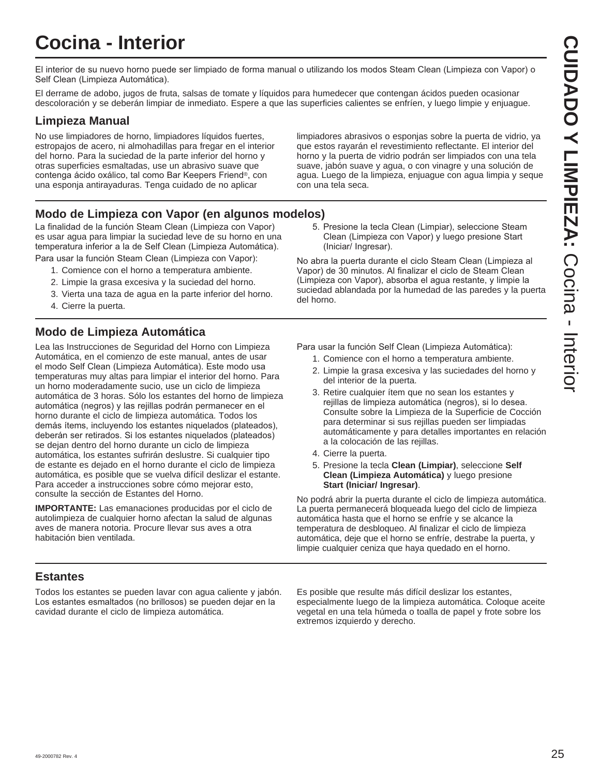# **Cocina - Interior**

El interior de su nuevo horno puede ser limpiado de forma manual o utilizando los modos Steam Clean (Limpieza con Vapor) o Self Clean (Limpieza Automática).

El derrame de adobo, jugos de fruta, salsas de tomate y líquidos para humedecer que contengan ácidos pueden ocasionar descoloración y se deberán limpiar de inmediato. Espere a que las superficies calientes se enfríen, y luego limpie y enjuague.

#### **Limpieza Manual**

No use limpiadores de horno, limpiadores líquidos fuertes, estropajos de acero, ni almohadillas para fregar en el interior del horno. Para la suciedad de la parte inferior del horno y otras superficies esmaltadas, use un abrasivo suave que contenga ácido oxálico, tal como Bar Keepers Friend®, con una esponja antirayaduras. Tenga cuidado de no aplicar

limpiadores abrasivos o esponjas sobre la puerta de vidrio, ya que estos rayarán el revestimiento reflectante. El interior del horno y la puerta de vidrio podrán ser limpiados con una tela suave, jabón suave y agua, o con vinagre y una solución de agua. Luego de la limpieza, enjuague con agua limpia y seque con una tela seca.

#### **Modo de Limpieza con Vapor (en algunos modelos)**

La finalidad de la función Steam Clean (Limpieza con Vapor) es usar agua para limpiar la suciedad leve de su horno en una temperatura inferior a la de Self Clean (Limpieza Automática). Para usar la función Steam Clean (Limpieza con Vapor):

- 1. Comience con el horno a temperatura ambiente.
- 2. Limpie la grasa excesiva y la suciedad del horno.
- 3. Vierta una taza de agua en la parte inferior del horno.
- 4. Cierre la puerta.

#### **Modo de Limpieza Automática**

Lea las Instrucciones de Seguridad del Horno con Limpieza Automática, en el comienzo de este manual, antes de usar el modo Self Clean (Limpieza Automática). Este modo usa temperaturas muy altas para limpiar el interior del horno. Para un horno moderadamente sucio, use un ciclo de limpieza automática de 3 horas. Sólo los estantes del horno de limpieza automática (negros) y las rejillas podrán permanecer en el horno durante el ciclo de limpieza automática. Todos los demás ítems, incluyendo los estantes niquelados (plateados), deberán ser retirados. Si los estantes niquelados (plateados) se dejan dentro del horno durante un ciclo de limpieza automática, los estantes sufrirán deslustre. Si cualquier tipo de estante es dejado en el horno durante el ciclo de limpieza automática, es posible que se vuelva difícil deslizar el estante. Para acceder a instrucciones sobre cómo mejorar esto, consulte la sección de Estantes del Horno.

**IMPORTANTE:** Las emanaciones producidas por el ciclo de autolimpieza de cualquier horno afectan la salud de algunas aves de manera notoria. Procure llevar sus aves a otra habitación bien ventilada.

5. Presione la tecla Clean (Limpiar), seleccione Steam Clean (Limpieza con Vapor) y luego presione Start (Iniciar/ Ingresar).

No abra la puerta durante el ciclo Steam Clean (Limpieza al Vapor) de 30 minutos. Al finalizar el ciclo de Steam Clean (Limpieza con Vapor), absorba el agua restante, y limpie la suciedad ablandada por la humedad de las paredes y la puerta del horno.

Para usar la función Self Clean (Limpieza Automática):

- 1. Comience con el horno a temperatura ambiente.
- 2. Limpie la grasa excesiva y las suciedades del horno y del interior de la puerta.
- 3. Retire cualquier ítem que no sean los estantes y rejillas de limpieza automática (negros), si lo desea. Consulte sobre la Limpieza de la Superficie de Cocción para determinar si sus rejillas pueden ser limpiadas automáticamente y para detalles importantes en relación a la colocación de las rejillas.
- 4. Cierre la puerta.
- 5. Presione la tecla **Clean (Limpiar)**, seleccione **Self Clean (Limpieza Automática)** y luego presione **Start (Iniciar/ Ingresar)**.

No podrá abrir la puerta durante el ciclo de limpieza automática. La puerta permanecerá bloqueada luego del ciclo de limpieza automática hasta que el horno se enfríe y se alcance la temperatura de desbloqueo. Al finalizar el ciclo de limpieza automática, deje que el horno se enfríe, destrabe la puerta, y limpie cualquier ceniza que haya quedado en el horno.

#### **Estantes**

Todos los estantes se pueden lavar con agua caliente y jabón. Los estantes esmaltados (no brillosos) se pueden dejar en la cavidad durante el ciclo de limpieza automática.

Es posible que resulte más difícil deslizar los estantes, especialmente luego de la limpieza automática. Coloque aceite vegetal en una tela húmeda o toalla de papel y frote sobre los extremos izquierdo y derecho.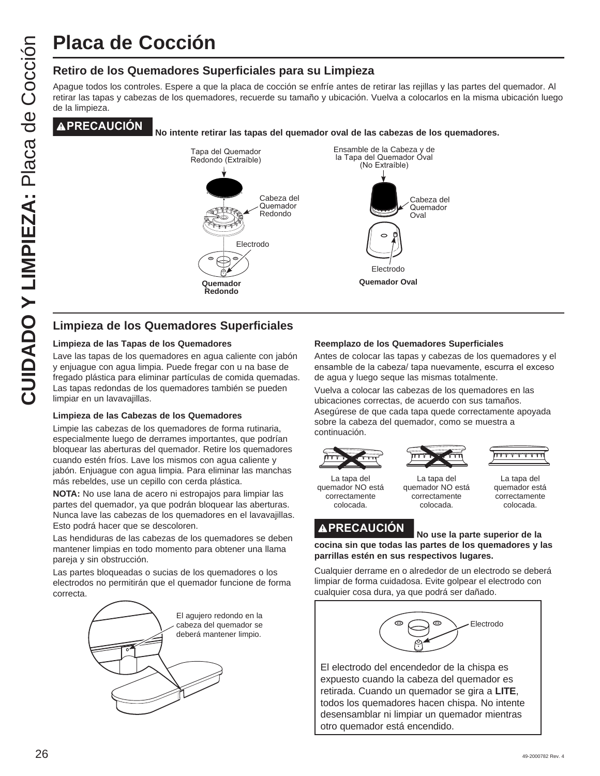# **Placa de Cocción**

#### **Retiro de los Quemadores Superficiales para su Limpieza**

Apague todos los controles. Espere a que la placa de cocción se enfríe antes de retirar las rejillas y las partes del quemador. Al retirar las tapas y cabezas de los quemadores, recuerde su tamaño y ubicación. Vuelva a colocarlos en la misma ubicación luego de la limpieza.

**PRECAUCIÓN No intente retirar las tapas del quemador oval de las cabezas de los quemadores.**



#### **Limpieza de los Quemadores Superficiales**

#### **Limpieza de las Tapas de los Quemadores**

Lave las tapas de los quemadores en agua caliente con jabón y enjuague con agua limpia. Puede fregar con u na base de fregado plástica para eliminar partículas de comida quemadas. Las tapas redondas de los quemadores también se pueden limpiar en un lavavajillas.

#### **Limpieza de las Cabezas de los Quemadores**

Limpie las cabezas de los quemadores de forma rutinaria, especialmente luego de derrames importantes, que podrían bloquear las aberturas del quemador. Retire los quemadores cuando estén fríos. Lave los mismos con agua caliente y jabón. Enjuague con agua limpia. Para eliminar las manchas más rebeldes, use un cepillo con cerda plástica.

**NOTA:** No use lana de acero ni estropajos para limpiar las partes del quemador, ya que podrán bloquear las aberturas. Nunca lave las cabezas de los quemadores en el lavavajillas. Esto podrá hacer que se descoloren.

Las hendiduras de las cabezas de los quemadores se deben mantener limpias en todo momento para obtener una llama pareja y sin obstrucción.

Las partes bloqueadas o sucias de los quemadores o los electrodos no permitirán que el quemador funcione de forma correcta.



#### **Reemplazo de los Quemadores Superficiales**

Antes de colocar las tapas y cabezas de los quemadores y el ensamble de la cabeza/ tapa nuevamente, escurra el exceso de agua y luego seque las mismas totalmente.

Vuelva a colocar las cabezas de los quemadores en las ubicaciones correctas, de acuerdo con sus tamaños. Asegúrese de que cada tapa quede correctamente apoyada sobre la cabeza del quemador, como se muestra a continuación.



La tapa del quemador NO está correctamente colocada.



quemador NO está correctamente colocada.



La tapa del quemador está correctamente colocada.

**PRECAUCIÓN No use la parte superior de la cocina sin que todas las partes de los quemadores y las parrillas estén en sus respectivos lugares.**

Cualquier derrame en o alrededor de un electrodo se deberá limpiar de forma cuidadosa. Evite golpear el electrodo con cualquier cosa dura, ya que podrá ser dañado.



El electrodo del encendedor de la chispa es expuesto cuando la cabeza del quemador es retirada. Cuando un quemador se gira a **LITE**, todos los quemadores hacen chispa. No intente desensamblar ni limpiar un quemador mientras otro quemador está encendido.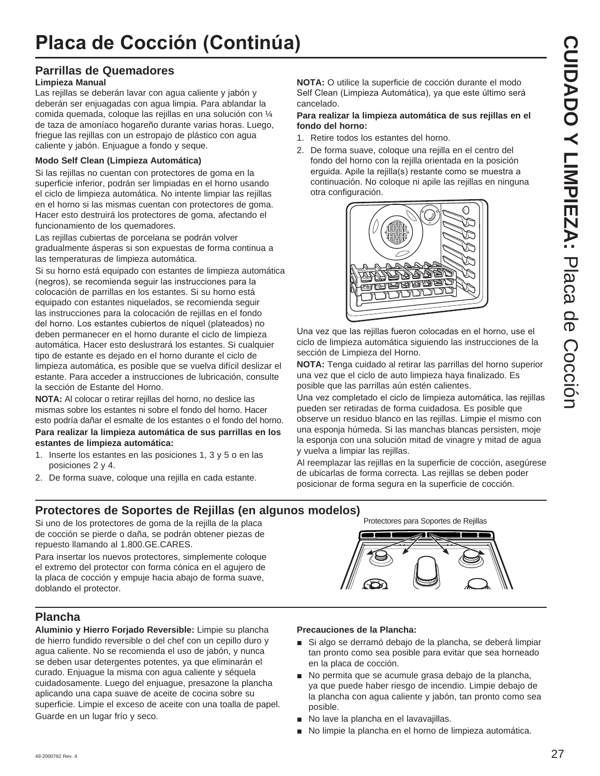## **Parrillas de Quemadores**

#### **Limpieza Manual**

Las rejillas se deberán lavar con agua caliente y jabón y deberán ser enjuagadas con agua limpia. Para ablandar la comida quemada, coloque las rejillas en una solución con ¼ de taza de amoníaco hogareño durante varias horas. Luego, friegue las rejillas con un estropajo de plástico con agua caliente y jabón. Enjuague a fondo y seque.

#### **Modo Self Clean (Limpieza Automática)**

Si las rejillas no cuentan con protectores de goma en la superficie inferior, podrán ser limpiadas en el horno usando el ciclo de limpieza automática. No intente limpiar las rejillas en el horno si las mismas cuentan con protectores de goma. Hacer esto destruirá los protectores de goma, afectando el funcionamiento de los quemadores.

Las rejillas cubiertas de porcelana se podrán volver gradualmente ásperas si son expuestas de forma continua a las temperaturas de limpieza automática.

Si su horno está equipado con estantes de limpieza automática (negros), se recomienda seguir las instrucciones para la colocación de parrillas en los estantes. Si su horno está equipado con estantes niquelados, se recomienda seguir las instrucciones para la colocación de rejillas en el fondo del horno. Los estantes cubiertos de níquel (plateados) no deben permanecer en el horno durante el ciclo de limpieza automática. Hacer esto deslustrará los estantes. Si cualquier tipo de estante es dejado en el horno durante el ciclo de limpieza automática, es posible que se vuelva difícil deslizar el estante. Para acceder a instrucciones de lubricación, consulte la sección de Estante del Horno.

**NOTA:** Al colocar o retirar rejillas del horno, no deslice las mismas sobre los estantes ni sobre el fondo del horno. Hacer esto podría dañar el esmalte de los estantes o el fondo del horno.

#### **Para realizar la limpieza automática de sus parrillas en los estantes de limpieza automática:**

- 1. Inserte los estantes en las posiciones 1, 3 y 5 o en las posiciones 2 y 4.
- 2. De forma suave, coloque una rejilla en cada estante.

**NOTA:** O utilice la superficie de cocción durante el modo Self Clean (Limpieza Automática), ya que este último será cancelado.

#### **Para realizar la limpieza automática de sus rejillas en el fondo del horno:**

- 1. Retire todos los estantes del horno.
- 2. De forma suave, coloque una rejilla en el centro del fondo del horno con la rejilla orientada en la posición erguida. Apile la rejilla(s) restante como se muestra a continuación. No coloque ni apile las rejillas en ninguna otra configuración.



Una vez que las rejillas fueron colocadas en el horno, use el ciclo de limpieza automática siguiendo las instrucciones de la sección de Limpieza del Horno.

**NOTA:** Tenga cuidado al retirar las parrillas del horno superior una vez que el ciclo de auto limpieza haya finalizado. Es posible que las parrillas aún estén calientes.

Una vez completado el ciclo de limpieza automática, las rejillas pueden ser retiradas de forma cuidadosa. Es posible que observe un residuo blanco en las rejillas. Limpie el mismo con una esponja húmeda. Si las manchas blancas persisten, moje la esponja con una solución mitad de vinagre y mitad de agua y vuelva a limpiar las rejillas.

Al reemplazar las rejillas en la superficie de cocción, asegúrese de ubicarlas de forma correcta. Las rejillas se deben poder posicionar de forma segura en la superficie de cocción.

Protectores para Soportes de Rejillas

## **Protectores de Soportes de Rejillas (en algunos modelos)**

Si uno de los protectores de goma de la rejilla de la placa de cocción se pierde o daña, se podrán obtener piezas de repuesto llamando al 1.800.GE.CARES.

Para insertar los nuevos protectores, simplemente coloque el extremo del protector con forma cónica en el agujero de la placa de cocción y empuje hacia abajo de forma suave, doblando el protector.

## **Plancha**

**Aluminio y Hierro Forjado Reversible:** Limpie su plancha de hierro fundido reversible o del chef con un cepillo duro y agua caliente. No se recomienda el uso de jabón, y nunca se deben usar detergentes potentes, ya que eliminarán el curado. Enjuague la misma con agua caliente y séquela cuidadosamente. Luego del enjuague, presazone la plancha aplicando una capa suave de aceite de cocina sobre su superficie. Limpie el exceso de aceite con una toalla de papel. Guarde en un lugar frío y seco.

#### **Precauciones de la Plancha:**

- Si algo se derramó debajo de la plancha, se deberá limpiar tan pronto como sea posible para evitar que sea horneado en la placa de cocción.
- No permita que se acumule grasa debajo de la plancha, ya que puede haber riesgo de incendio. Limpie debajo de la plancha con agua caliente y jabón, tan pronto como sea posible.
- No lave la plancha en el lavavajillas.
- No limpie la plancha en el horno de limpieza automática.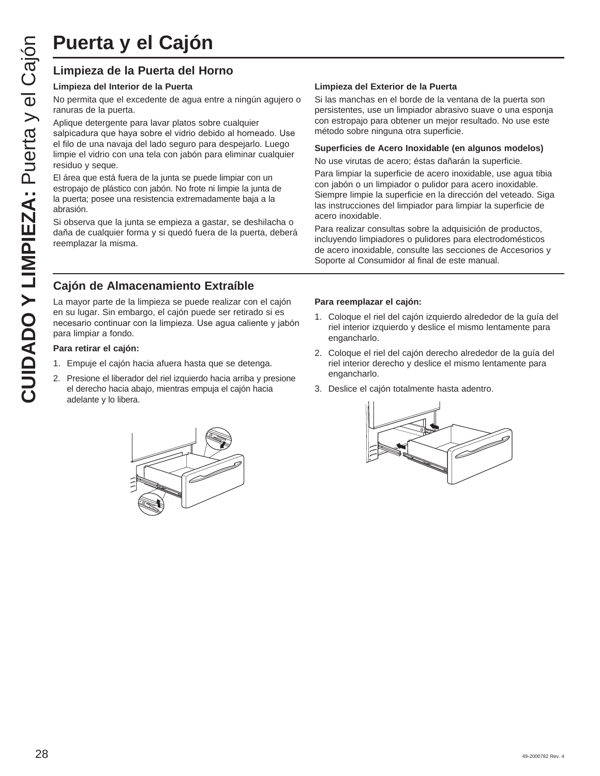# **Puerta y el Cajón**

#### **Limpieza de la Puerta del Horno**

#### **Limpieza del Interior de la Puerta**

No permita que el excedente de agua entre a ningún agujero o ranuras de la puerta.

Aplique detergente para lavar platos sobre cualquier salpicadura que haya sobre el vidrio debido al horneado. Use el filo de una navaja del lado seguro para despejarlo. Luego limpie el vidrio con una tela con jabón para eliminar cualquier residuo y seque.

El área que está fuera de la junta se puede limpiar con un estropajo de plástico con jabón. No frote ni limpie la junta de la puerta; posee una resistencia extremadamente baja a la abrasión.

Si observa que la junta se empieza a gastar, se deshilacha o daña de cualquier forma y si quedó fuera de la puerta, deberá reemplazar la misma.

### **Cajón de Almacenamiento Extraíble**

La mayor parte de la limpieza se puede realizar con el cajón en su lugar. Sin embargo, el cajón puede ser retirado si es necesario continuar con la limpieza. Use agua caliente y jabón para limpiar a fondo.

#### **Para retirar el cajón:**

- 1. Empuje el cajón hacia afuera hasta que se detenga.
- 2. Presione el liberador del riel izquierdo hacia arriba y presione el derecho hacia abajo, mientras empuja el cajón hacia adelante y lo libera.



#### **Limpieza del Exterior de la Puerta**

Si las manchas en el borde de la ventana de la puerta son persistentes, use un limpiador abrasivo suave o una esponja con estropajo para obtener un mejor resultado. No use este método sobre ninguna otra superficie.

#### **Superficies de Acero Inoxidable (en algunos modelos)**

No use virutas de acero; éstas dañarán la superficie.

Para limpiar la superficie de acero inoxidable, use agua tibia con jabón o un limpiador o pulidor para acero inoxidable. Siempre limpie la superficie en la dirección del veteado. Siga las instrucciones del limpiador para limpiar la superficie de acero inoxidable.

Para realizar consultas sobre la adquisición de productos, incluyendo limpiadores o pulidores para electrodomésticos de acero inoxidable, consulte las secciones de Accesorios y Soporte al Consumidor al final de este manual.

#### **Para reemplazar el cajón:**

- 1. Coloque el riel del cajón izquierdo alrededor de la guía del riel interior izquierdo y deslice el mismo lentamente para engancharlo.
- 2. Coloque el riel del cajón derecho alrededor de la guía del riel interior derecho y deslice el mismo lentamente para engancharlo.
- 3. Deslice el cajón totalmente hasta adentro.

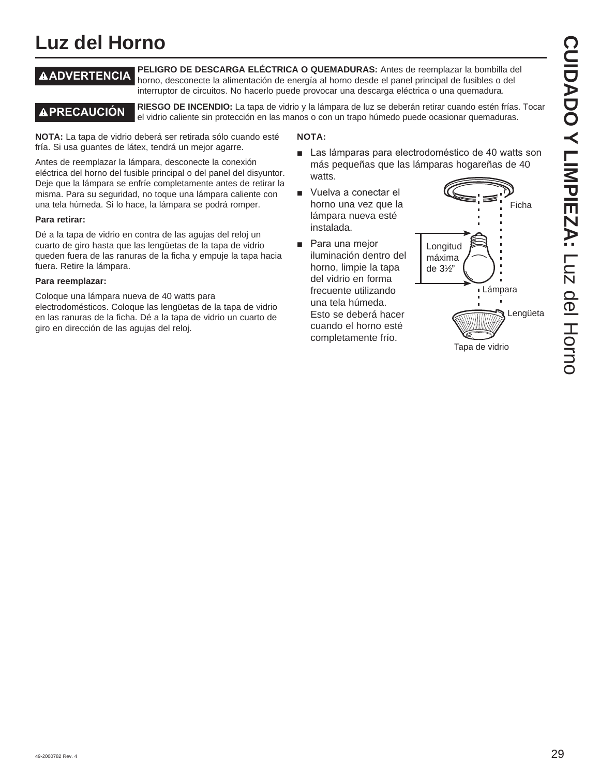# **Luz del Horno**

**ADVERTENCIA PELIGRO DE DESCARGA ELÉCTRICA O QUEMADURAS:** Antes de reemplazar la bombilla del horno, desconecte la alimentación de energía al horno desde el panel principal de fusibles o del interruptor de circuitos. No hacerlo puede provocar una descarga eléctrica o una quemadura.

**A PRECAUCIÓN** RIESGO DE INCENDIO: La tapa de vidrio y la lámpara de luz se deberán retirar cuando estén frías. Tocar el vidrio caliente sin protección en las manos o con un trapo húmedo puede ocasionar quemaduras.

**NOTA:** La tapa de vidrio deberá ser retirada sólo cuando esté fría. Si usa guantes de látex, tendrá un mejor agarre.

Antes de reemplazar la lámpara, desconecte la conexión eléctrica del horno del fusible principal o del panel del disyuntor. Deje que la lámpara se enfríe completamente antes de retirar la misma. Para su seguridad, no toque una lámpara caliente con una tela húmeda. Si lo hace, la lámpara se podrá romper.

#### **Para retirar:**

Dé a la tapa de vidrio en contra de las agujas del reloj un cuarto de giro hasta que las lengüetas de la tapa de vidrio queden fuera de las ranuras de la ficha y empuje la tapa hacia fuera. Retire la lámpara.

#### **Para reemplazar:**

Coloque una lámpara nueva de 40 watts para electrodomésticos. Coloque las lengüetas de la tapa de vidrio en las ranuras de la ficha. Dé a la tapa de vidrio un cuarto de giro en dirección de las agujas del reloj.

#### **NOTA:**

- Las lámparas para electrodoméstico de 40 watts son más pequeñas que las lámparas hogareñas de 40 watts.
- Vuelva a conectar el horno una vez que la lámpara nueva esté instalada.
- Para una mejor iluminación dentro del horno, limpie la tapa del vidrio en forma frecuente utilizando una tela húmeda. Esto se deberá hacer cuando el horno esté completamente frío.

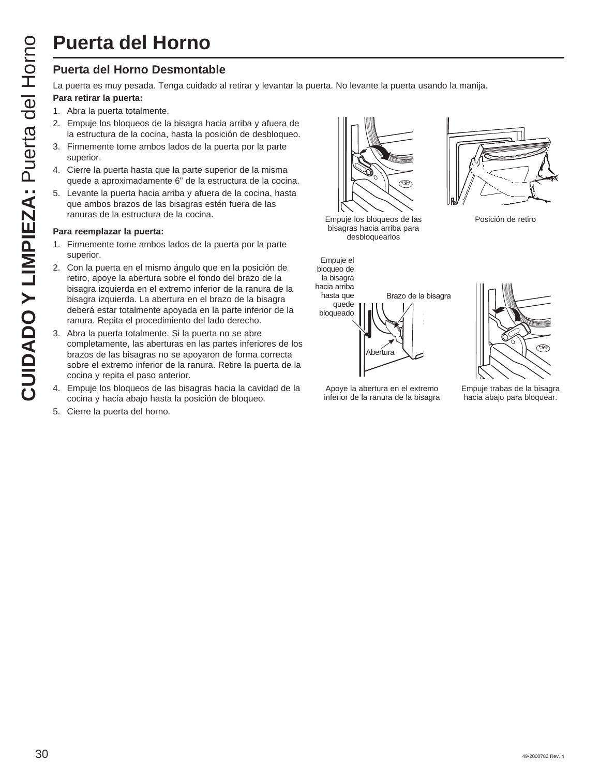#### **Puerta del Horno Desmontable**

La puerta es muy pesada. Tenga cuidado al retirar y levantar la puerta. No levante la puerta usando la manija.

#### **Para retirar la puerta:**

- 1. Abra la puerta totalmente.
- 2. Empuje los bloqueos de la bisagra hacia arriba y afuera de la estructura de la cocina, hasta la posición de desbloqueo.
- 3. Firmemente tome ambos lados de la puerta por la parte superior.
- 4. Cierre la puerta hasta que la parte superior de la misma quede a aproximadamente 6" de la estructura de la cocina.
- 5. Levante la puerta hacia arriba y afuera de la cocina, hasta que ambos brazos de las bisagras estén fuera de las ranuras de la estructura de la cocina.

#### **Para reemplazar la puerta:**

- 1. Firmemente tome ambos lados de la puerta por la parte superior.
- 2. Con la puerta en el mismo ángulo que en la posición de retiro, apoye la abertura sobre el fondo del brazo de la bisagra izquierda en el extremo inferior de la ranura de la bisagra izquierda. La abertura en el brazo de la bisagra deberá estar totalmente apoyada en la parte inferior de la ranura. Repita el procedimiento del lado derecho.
- 3. Abra la puerta totalmente. Si la puerta no se abre completamente, las aberturas en las partes inferiores de los brazos de las bisagras no se apoyaron de forma correcta sobre el extremo inferior de la ranura. Retire la puerta de la cocina y repita el paso anterior.
- 4. Empuje los bloqueos de las bisagras hacia la cavidad de la cocina y hacia abajo hasta la posición de bloqueo.
- 5. Cierre la puerta del horno.





Empuje los bloqueos de las Posición de retiro bisagras hacia arriba para desbloquearlos



Apoye la abertura en el extremo inferior de la ranura de la bisagra





Empuje trabas de la bisagra hacia abajo para bloquear.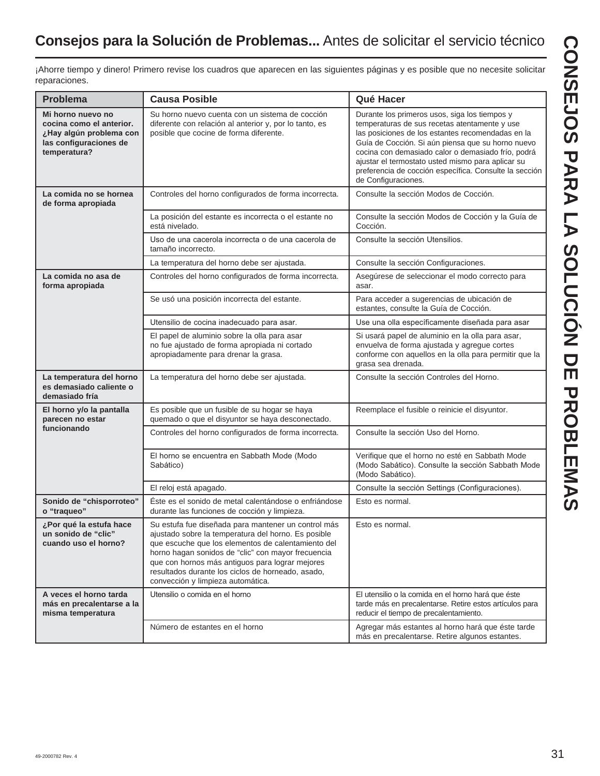¡Ahorre tiempo y dinero! Primero revise los cuadros que aparecen en las siguientes páginas y es posible que no necesite solicitar reparaciones.

| <b>Problema</b>                                                                                                    | <b>Causa Posible</b>                                                                                                                                                                                                                                                                                                                                                | Qué Hacer                                                                                                                                                                                                                                                                                                                                                                                            |
|--------------------------------------------------------------------------------------------------------------------|---------------------------------------------------------------------------------------------------------------------------------------------------------------------------------------------------------------------------------------------------------------------------------------------------------------------------------------------------------------------|------------------------------------------------------------------------------------------------------------------------------------------------------------------------------------------------------------------------------------------------------------------------------------------------------------------------------------------------------------------------------------------------------|
| Mi horno nuevo no<br>cocina como el anterior.<br>¿Hay algún problema con<br>las configuraciones de<br>temperatura? | Su horno nuevo cuenta con un sistema de cocción<br>diferente con relación al anterior y, por lo tanto, es<br>posible que cocine de forma diferente.                                                                                                                                                                                                                 | Durante los primeros usos, siga los tiempos y<br>temperaturas de sus recetas atentamente y use<br>las posiciones de los estantes recomendadas en la<br>Guía de Cocción. Si aún piensa que su horno nuevo<br>cocina con demasiado calor o demasiado frío, podrá<br>ajustar el termostato usted mismo para aplicar su<br>preferencia de cocción específica. Consulte la sección<br>de Configuraciones. |
| La comida no se hornea<br>de forma apropiada                                                                       | Controles del horno configurados de forma incorrecta.                                                                                                                                                                                                                                                                                                               | Consulte la sección Modos de Cocción.                                                                                                                                                                                                                                                                                                                                                                |
|                                                                                                                    | La posición del estante es incorrecta o el estante no<br>está nivelado.                                                                                                                                                                                                                                                                                             | Consulte la sección Modos de Cocción y la Guía de<br>Cocción.                                                                                                                                                                                                                                                                                                                                        |
|                                                                                                                    | Uso de una cacerola incorrecta o de una cacerola de<br>tamaño incorrecto.                                                                                                                                                                                                                                                                                           | Consulte la sección Utensilios.                                                                                                                                                                                                                                                                                                                                                                      |
|                                                                                                                    | La temperatura del horno debe ser ajustada.                                                                                                                                                                                                                                                                                                                         | Consulte la sección Configuraciones.                                                                                                                                                                                                                                                                                                                                                                 |
| La comida no asa de<br>forma apropiada                                                                             | Controles del horno configurados de forma incorrecta.                                                                                                                                                                                                                                                                                                               | Asegúrese de seleccionar el modo correcto para<br>asar.                                                                                                                                                                                                                                                                                                                                              |
|                                                                                                                    | Se usó una posición incorrecta del estante.                                                                                                                                                                                                                                                                                                                         | Para acceder a sugerencias de ubicación de<br>estantes, consulte la Guía de Cocción.                                                                                                                                                                                                                                                                                                                 |
|                                                                                                                    | Utensilio de cocina inadecuado para asar.                                                                                                                                                                                                                                                                                                                           | Use una olla específicamente diseñada para asar                                                                                                                                                                                                                                                                                                                                                      |
|                                                                                                                    | El papel de aluminio sobre la olla para asar<br>no fue ajustado de forma apropiada ni cortado<br>apropiadamente para drenar la grasa.                                                                                                                                                                                                                               | Si usará papel de aluminio en la olla para asar,<br>envuelva de forma ajustada y agregue cortes<br>conforme con aquellos en la olla para permitir que la<br>grasa sea drenada.                                                                                                                                                                                                                       |
| La temperatura del horno<br>es demasiado caliente o<br>demasiado fría                                              | La temperatura del horno debe ser ajustada.                                                                                                                                                                                                                                                                                                                         | Consulte la sección Controles del Horno.                                                                                                                                                                                                                                                                                                                                                             |
| El horno y/o la pantalla<br>parecen no estar                                                                       | Es posible que un fusible de su hogar se haya<br>quemado o que el disyuntor se haya desconectado.                                                                                                                                                                                                                                                                   | Reemplace el fusible o reinicie el disyuntor.                                                                                                                                                                                                                                                                                                                                                        |
| funcionando                                                                                                        | Controles del horno configurados de forma incorrecta.                                                                                                                                                                                                                                                                                                               | Consulte la sección Uso del Horno.                                                                                                                                                                                                                                                                                                                                                                   |
|                                                                                                                    | El horno se encuentra en Sabbath Mode (Modo<br>Sabático)                                                                                                                                                                                                                                                                                                            | Verifique que el horno no esté en Sabbath Mode<br>(Modo Sabático). Consulte la sección Sabbath Mode<br>(Modo Sabático).                                                                                                                                                                                                                                                                              |
|                                                                                                                    | El reloj está apagado.                                                                                                                                                                                                                                                                                                                                              | Consulte la sección Settings (Configuraciones).                                                                                                                                                                                                                                                                                                                                                      |
| Sonido de "chisporroteo"<br>o "traqueo"                                                                            | Éste es el sonido de metal calentándose o enfriándose<br>durante las funciones de cocción y limpieza.                                                                                                                                                                                                                                                               | Esto es normal.                                                                                                                                                                                                                                                                                                                                                                                      |
| ¿Por qué la estufa hace<br>un sonido de "clic"<br>cuando uso el horno?                                             | Su estufa fue diseñada para mantener un control más<br>ajustado sobre la temperatura del horno. Es posible<br>que escuche que los elementos de calentamiento del<br>horno hagan sonidos de "clic" con mayor frecuencia<br>que con hornos más antiguos para lograr mejores<br>resultados durante los ciclos de horneado, asado,<br>convección y limpieza automática. | Esto es normal.                                                                                                                                                                                                                                                                                                                                                                                      |
| A veces el horno tarda<br>más en precalentarse a la<br>misma temperatura                                           | Utensilio o comida en el horno                                                                                                                                                                                                                                                                                                                                      | El utensilio o la comida en el horno hará que éste<br>tarde más en precalentarse. Retire estos artículos para<br>reducir el tiempo de precalentamiento.                                                                                                                                                                                                                                              |
|                                                                                                                    | Número de estantes en el horno                                                                                                                                                                                                                                                                                                                                      | Agregar más estantes al horno hará que éste tarde<br>más en precalentarse. Retire algunos estantes.                                                                                                                                                                                                                                                                                                  |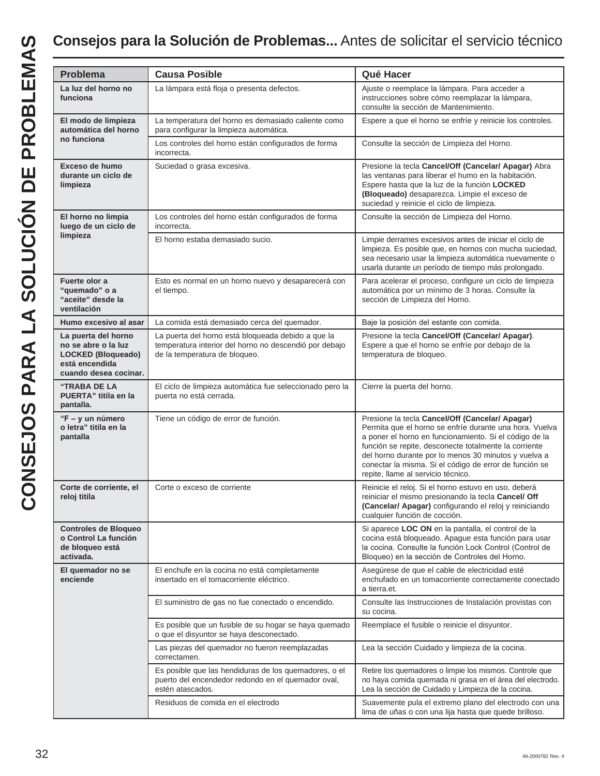# **Consejos para la Solución de Problemas...** Antes de solicitar el servicio técnico

| <b>Problema</b>                                                                                                    | <b>Causa Posible</b>                                                                                                                          | Qué Hacer                                                                                                                                                                                                                                                                                                                                                                             |  |
|--------------------------------------------------------------------------------------------------------------------|-----------------------------------------------------------------------------------------------------------------------------------------------|---------------------------------------------------------------------------------------------------------------------------------------------------------------------------------------------------------------------------------------------------------------------------------------------------------------------------------------------------------------------------------------|--|
| La luz del horno no<br>funciona                                                                                    | La lámpara está floja o presenta defectos.                                                                                                    | Ajuste o reemplace la lámpara. Para acceder a<br>instrucciones sobre cómo reemplazar la lámpara,<br>consulte la sección de Mantenimiento.                                                                                                                                                                                                                                             |  |
| El modo de limpieza<br>automática del horno                                                                        | La temperatura del horno es demasiado caliente como<br>para configurar la limpieza automática.                                                | Espere a que el horno se enfríe y reinicie los controles.                                                                                                                                                                                                                                                                                                                             |  |
| no funciona                                                                                                        | Los controles del horno están configurados de forma<br>incorrecta.                                                                            | Consulte la sección de Limpieza del Horno.                                                                                                                                                                                                                                                                                                                                            |  |
| Exceso de humo<br>durante un ciclo de<br>limpieza                                                                  | Suciedad o grasa excesiva.                                                                                                                    | Presione la tecla Cancel/Off (Cancelar/ Apagar) Abra<br>las ventanas para liberar el humo en la habitación.<br>Espere hasta que la luz de la función LOCKED<br>(Bloqueado) desaparezca. Limpie el exceso de<br>suciedad y reinicie el ciclo de limpieza.                                                                                                                              |  |
| El horno no limpia<br>luego de un ciclo de                                                                         | Los controles del horno están configurados de forma<br>incorrecta.                                                                            | Consulte la sección de Limpieza del Horno.                                                                                                                                                                                                                                                                                                                                            |  |
| limpieza                                                                                                           | El horno estaba demasiado sucio.                                                                                                              | Limpie derrames excesivos antes de iniciar el ciclo de<br>limpieza. Es posible que, en hornos con mucha suciedad,<br>sea necesario usar la limpieza automática nuevamente o<br>usarla durante un período de tiempo más prolongado.                                                                                                                                                    |  |
| Fuerte olor a<br>"quemado" o a<br>"aceite" desde la<br>ventilación                                                 | Esto es normal en un horno nuevo y desaparecerá con<br>el tiempo.                                                                             | Para acelerar el proceso, configure un ciclo de limpieza<br>automática por un mínimo de 3 horas. Consulte la<br>sección de Limpieza del Horno.                                                                                                                                                                                                                                        |  |
| Humo excesivo al asar                                                                                              | La comida está demasiado cerca del quemador.                                                                                                  | Baje la posición del estante con comida.                                                                                                                                                                                                                                                                                                                                              |  |
| La puerta del horno<br>no se abre o la luz<br><b>LOCKED (Bloqueado)</b><br>está encendida<br>cuando desea cocinar. | La puerta del horno está bloqueada debido a que la<br>temperatura interior del horno no descendió por debajo<br>de la temperatura de bloqueo. | Presione la tecla Cancel/Off (Cancelar/ Apagar).<br>Espere a que el horno se enfríe por debajo de la<br>temperatura de bloqueo.                                                                                                                                                                                                                                                       |  |
| <b>"TRABA DE LA</b><br>PUERTA" titila en la<br>pantalla.                                                           | El ciclo de limpieza automática fue seleccionado pero la<br>puerta no está cerrada.                                                           | Cierre la puerta del horno.                                                                                                                                                                                                                                                                                                                                                           |  |
| "F - y un número<br>o letra" titila en la<br>pantalla                                                              | Tiene un código de error de función.                                                                                                          | Presione la tecla Cancel/Off (Cancelar/ Apagar)<br>Permita que el horno se enfríe durante una hora. Vuelva<br>a poner el horno en funcionamiento. Si el código de la<br>función se repite, desconecte totalmente la corriente<br>del horno durante por lo menos 30 minutos y vuelva a<br>conectar la misma. Si el código de error de función se<br>repite, llame al servicio técnico. |  |
| Corte de corriente, el<br>reloj titila                                                                             | Corte o exceso de corriente                                                                                                                   | Reinicie el reloj. Si el horno estuvo en uso, deberá<br>reiniciar el mismo presionando la tecla Cancel/ Off<br>(Cancelar/ Apagar) configurando el reloj y reiniciando<br>cualquier función de cocción.                                                                                                                                                                                |  |
| <b>Controles de Bloqueo</b><br>o Control La función<br>de bloqueo está<br>activada.                                |                                                                                                                                               | Si aparece LOC ON en la pantalla, el control de la<br>cocina está bloqueado. Apague esta función para usar<br>la cocina. Consulte la función Lock Control (Control de<br>Bloqueo) en la sección de Controles del Horno.                                                                                                                                                               |  |
| El quemador no se<br>enciende                                                                                      | El enchufe en la cocina no está completamente<br>insertado en el tomacorriente eléctrico.                                                     | Asegúrese de que el cable de electricidad esté<br>enchufado en un tomacorriente correctamente conectado<br>a tierra.et.                                                                                                                                                                                                                                                               |  |
|                                                                                                                    | El suministro de gas no fue conectado o encendido.                                                                                            | Consulte las Instrucciones de Instalación provistas con<br>su cocina.                                                                                                                                                                                                                                                                                                                 |  |
|                                                                                                                    | Es posible que un fusible de su hogar se haya quemado<br>o que el disyuntor se haya desconectado.                                             | Reemplace el fusible o reinicie el disyuntor.                                                                                                                                                                                                                                                                                                                                         |  |
|                                                                                                                    | Las piezas del quemador no fueron reemplazadas<br>correctamen.                                                                                | Lea la sección Cuidado y limpieza de la cocina.                                                                                                                                                                                                                                                                                                                                       |  |
|                                                                                                                    | Es posible que las hendiduras de los quemadores, o el<br>puerto del encendedor redondo en el quemador oval,<br>estén atascados.               | Retire los quemadores o limpie los mismos. Controle que<br>no haya comida quemada ni grasa en el área del electrodo.<br>Lea la sección de Cuidado y Limpieza de la cocina.                                                                                                                                                                                                            |  |
|                                                                                                                    | Residuos de comida en el electrodo                                                                                                            | Suavemente pula el extremo plano del electrodo con una<br>lima de uñas o con una lija hasta que quede brilloso.                                                                                                                                                                                                                                                                       |  |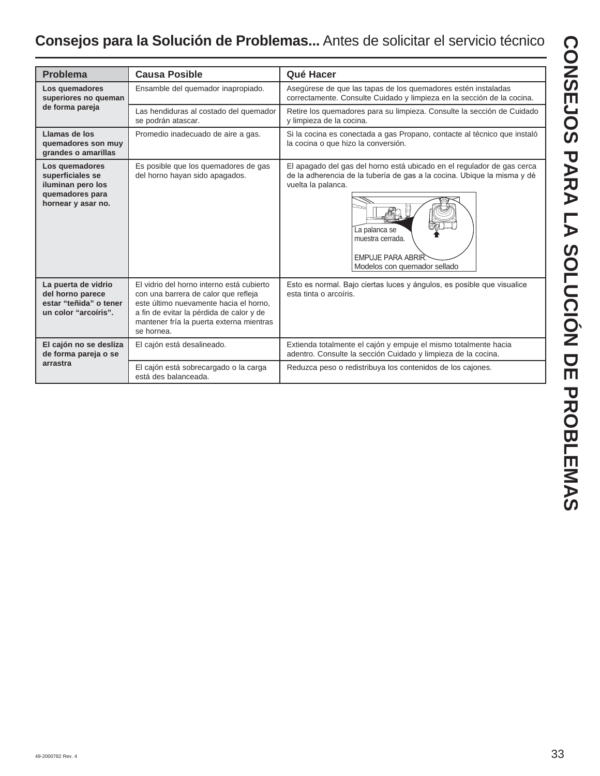# **Consejos para la Solución de Problemas...** Antes de solicitar el servicio técnico

| <b>Problema</b>                                                                                  | <b>Causa Posible</b>                                                                                                                                                                                                              | Qué Hacer                                                                                                                                                                                                                                                                      |  |
|--------------------------------------------------------------------------------------------------|-----------------------------------------------------------------------------------------------------------------------------------------------------------------------------------------------------------------------------------|--------------------------------------------------------------------------------------------------------------------------------------------------------------------------------------------------------------------------------------------------------------------------------|--|
| Los quemadores<br>superiores no queman                                                           | Ensamble del quemador inapropiado.                                                                                                                                                                                                | Asegúrese de que las tapas de los quemadores estén instaladas<br>correctamente. Consulte Cuidado y limpieza en la sección de la cocina.                                                                                                                                        |  |
| de forma pareja                                                                                  | Las hendiduras al costado del quemador<br>se podrán atascar.                                                                                                                                                                      | Retire los quemadores para su limpieza. Consulte la sección de Cuidado<br>y limpieza de la cocina.                                                                                                                                                                             |  |
| Llamas de los<br>quemadores son muy<br>grandes o amarillas                                       | Promedio inadecuado de aire a gas.                                                                                                                                                                                                | Si la cocina es conectada a gas Propano, contacte al técnico que instaló<br>la cocina o que hizo la conversión.                                                                                                                                                                |  |
| Los quemadores<br>superficiales se<br>iluminan pero los<br>quemadores para<br>hornear y asar no. | Es posible que los quemadores de gas<br>del horno hayan sido apagados.                                                                                                                                                            | El apagado del gas del horno está ubicado en el regulador de gas cerca<br>de la adherencia de la tubería de gas a la cocina. Ubique la misma y dé<br>vuelta la palanca.<br>הם<br>La palanca se<br>muestra cerrada.<br><b>EMPUJE PARA ABRIR</b><br>Modelos con quemador sellado |  |
| La puerta de vidrio<br>del horno parece<br>estar "teñida" o tener<br>un color "arcoiris".        | El vidrio del horno interno está cubierto<br>con una barrera de calor que refleja<br>este último nuevamente hacia el horno,<br>a fin de evitar la pérdida de calor y de<br>mantener fría la puerta externa mientras<br>se hornea. | Esto es normal. Bajo ciertas luces y ángulos, es posible que visualice<br>esta tinta o arcoíris.                                                                                                                                                                               |  |
| El cajón no se desliza<br>de forma pareja o se                                                   | El cajón está desalineado.                                                                                                                                                                                                        | Extienda totalmente el cajón y empuje el mismo totalmente hacia<br>adentro. Consulte la sección Cuidado y limpieza de la cocina.                                                                                                                                               |  |
| arrastra                                                                                         | El cajón está sobrecargado o la carga<br>está des balanceada.                                                                                                                                                                     | Reduzca peso o redistribuya los contenidos de los cajones.                                                                                                                                                                                                                     |  |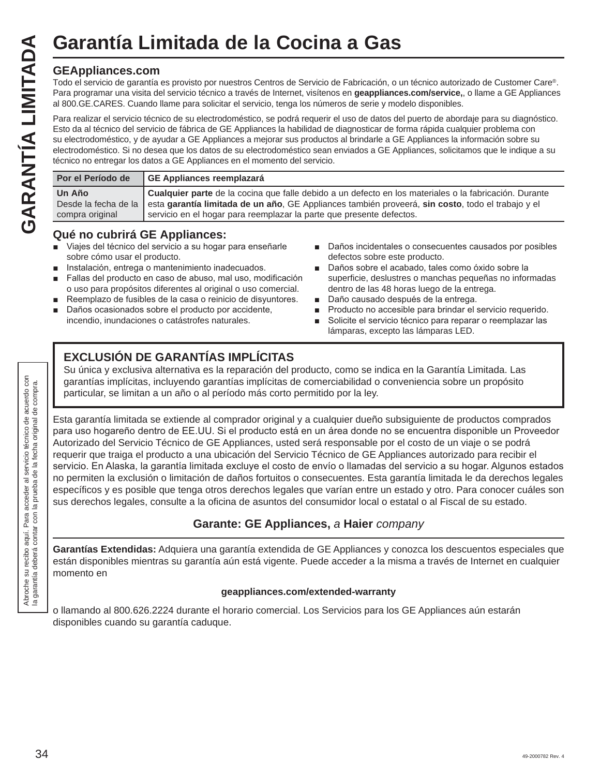#### **GEAppliances.com**

Todo el servicio de garantía es provisto por nuestros Centros de Servicio de Fabricación, o un técnico autorizado de Customer Care®. Para programar una visita del servicio técnico a través de Internet, visítenos en **geappliances.com/service,**, o llame a GE Appliances al 800.GE.CARES. Cuando llame para solicitar el servicio, tenga los números de serie y modelo disponibles.

Para realizar el servicio técnico de su electrodoméstico, se podrá requerir el uso de datos del puerto de abordaje para su diagnóstico. Esto da al técnico del servicio de fábrica de GE Appliances la habilidad de diagnosticar de forma rápida cualquier problema con su electrodoméstico, y de ayudar a GE Appliances a mejorar sus productos al brindarle a GE Appliances la información sobre su electrodoméstico. Si no desea que los datos de su electrodoméstico sean enviados a GE Appliances, solicitamos que le indique a su técnico no entregar los datos a GE Appliances en el momento del servicio. **Garantía Limitada de la Cocina a Gas**<br>
GEAppliances.com<br>
Todo el servicio de garantía es provisto por nuestros Centros de Servicio de Fabricación, o la Para programar una visita del servicio técnico a través de Internet,

| Por el Período de | GE Appliances reemplazará                                                                                              |
|-------------------|------------------------------------------------------------------------------------------------------------------------|
| Un Año            | <b>Cualquier parte</b> de la cocina que falle debido a un defecto en los materiales o la fabricación. Durante          |
|                   | Desde la fecha de la esta garantía limitada de un año, GE Appliances también proveerá, sin costo, todo el trabajo y el |
| compra original   | servicio en el hogar para reemplazar la parte que presente defectos.                                                   |

#### **Qué no cubrirá GE Appliances:**

- Viajes del técnico del servicio a su hogar para enseñarle sobre cómo usar el producto.
- **n** Instalación, entrega o mantenimiento inadecuados.
- Fallas del producto en caso de abuso, mal uso, modificación o uso para propósitos diferentes al original o uso comercial.
- Reemplazo de fusibles de la casa o reinicio de disyuntores.
- Daños ocasionados sobre el producto por accidente, incendio, inundaciones o catástrofes naturales.
- Daños incidentales o consecuentes causados por posibles defectos sobre este producto.
- Daños sobre el acabado, tales como óxido sobre la superficie, deslustres o manchas pequeñas no informadas dentro de las 48 horas luego de la entrega.
- Daño causado después de la entrega.
- Producto no accesible para brindar el servicio requerido.
- Solicite el servicio técnico para reparar o reemplazar las lámparas, excepto las lámparas LED.

### **EXCLUSIÓN DE GARANTÍAS IMPLÍCITAS**

Su única y exclusiva alternativa es la reparación del producto, como se indica en la Garantía Limitada. Las garantías implícitas, incluyendo garantías implícitas de comerciabilidad o conveniencia sobre un propósito particular, se limitan a un año o al período más corto permitido por la ley.

Esta garantía limitada se extiende al comprador original y a cualquier dueño subsiguiente de productos comprados para uso hogareño dentro de EE.UU. Si el producto está en un área donde no se encuentra disponible un Proveedor Autorizado del Servicio Técnico de GE Appliances, usted será responsable por el costo de un viaje o se podrá requerir que traiga el producto a una ubicación del Servicio Técnico de GE Appliances autorizado para recibir el servicio. En Alaska, la garantía limitada excluye el costo de envío o llamadas del servicio a su hogar. Algunos estados no permiten la exclusión o limitación de daños fortuitos o consecuentes. Esta garantía limitada le da derechos legales específicos y es posible que tenga otros derechos legales que varían entre un estado y otro. Para conocer cuáles son sus derechos legales, consulte a la oficina de asuntos del consumidor local o estatal o al Fiscal de su estado.

#### **Garante: GE Appliances,** *a* **Haier** *company*

**Garantías Extendidas:** Adquiera una garantía extendida de GE Appliances y conozca los descuentos especiales que están disponibles mientras su garantía aún está vigente. Puede acceder a la misma a través de Internet en cualquier momento en

#### **geappliances.com/extended-warranty**

o llamando al 800.626.2224 durante el horario comercial. Los Servicios para los GE Appliances aún estarán disponibles cuando su garantía caduque.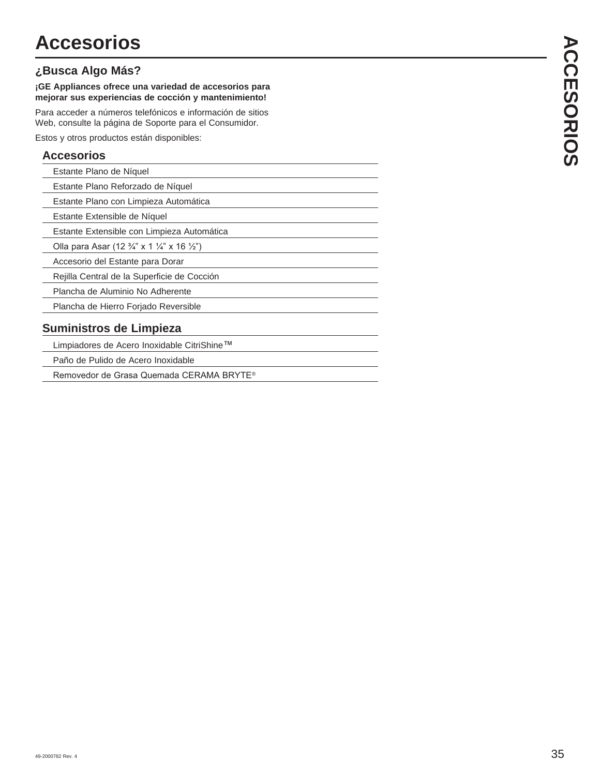#### **¿Busca Algo Más?**

**¡GE Appliances ofrece una variedad de accesorios para mejorar sus experiencias de cocción y mantenimiento!**

Para acceder a números telefónicos e información de sitios Web, consulte la página de Soporte para el Consumidor.

Estos y otros productos están disponibles:

#### **Accesorios**

| Estante Plano de Níquel |  |
|-------------------------|--|
|                         |  |

Estante Plano Reforzado de Níquel

Estante Plano con Limpieza Automática

Estante Extensible de Níquel

Estante Extensible con Limpieza Automática

Olla para Asar (12  $\frac{3}{4}$ " x 1  $\frac{1}{4}$ " x 16  $\frac{1}{2}$ ")

Accesorio del Estante para Dorar

Rejilla Central de la Superficie de Cocción

Plancha de Aluminio No Adherente

Plancha de Hierro Forjado Reversible

#### **Suministros de Limpieza**

Limpiadores de Acero Inoxidable CitriShine<sup>™</sup>

Paño de Pulido de Acero Inoxidable

Removedor de Grasa Quemada CERAMA BRYTE®